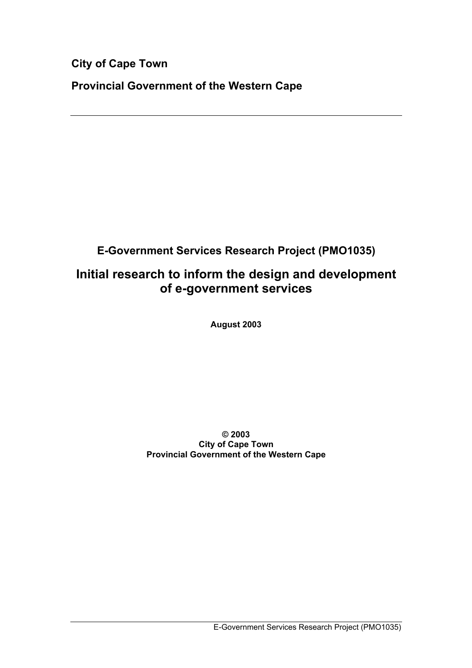**City of Cape Town**

**Provincial Government of the Western Cape**

**E-Government Services Research Project (PMO1035)**

# **Initial research to inform the design and development of e-government services**

**August 2003**

**© 2003 City of Cape Town Provincial Government of the Western Cape**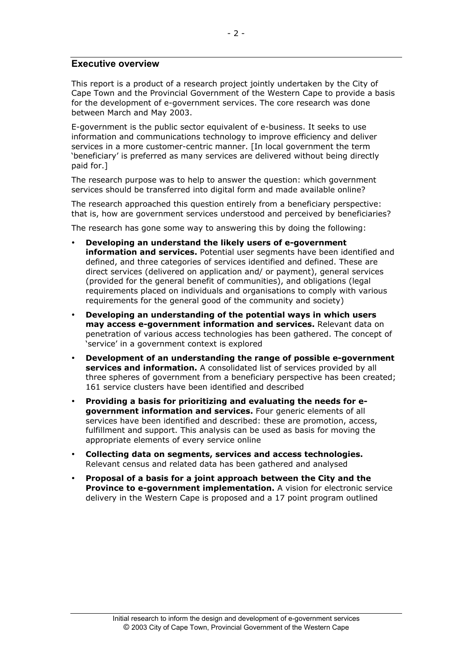#### **Executive overview**

This report is a product of a research project jointly undertaken by the City of Cape Town and the Provincial Government of the Western Cape to provide a basis for the development of e-government services. The core research was done between March and May 2003.

E-government is the public sector equivalent of e-business. It seeks to use information and communications technology to improve efficiency and deliver services in a more customer-centric manner. [In local government the term 'beneficiary' is preferred as many services are delivered without being directly paid for.]

The research purpose was to help to answer the question: which government services should be transferred into digital form and made available online?

The research approached this question entirely from a beneficiary perspective: that is, how are government services understood and perceived by beneficiaries?

The research has gone some way to answering this by doing the following:

**Developing an understand the likely users of e-government information and services.** Potential user segments have been identified and defined, and three categories of services identified and defined. These are direct services (delivered on application and/ or payment), general services (provided for the general benefit of communities), and obligations (legal requirements placed on individuals and organisations to comply with various requirements for the general good of the community and society)

**Developing an understanding of the potential ways in which users may access e-government information and services.** Relevant data on penetration of various access technologies has been gathered. The concept of 'service' in a government context is explored

**Development of an understanding the range of possible e-government services and information.** A consolidated list of services provided by all three spheres of government from a beneficiary perspective has been created; 161 service clusters have been identified and described

**Providing a basis for prioritizing and evaluating the needs for egovernment information and services.** Four generic elements of all services have been identified and described: these are promotion, access, fulfillment and support. This analysis can be used as basis for moving the appropriate elements of every service online

**Collecting data on segments, services and access technologies.** Relevant census and related data has been gathered and analysed

**Proposal of a basis for a joint approach between the City and the Province to e-government implementation.** A vision for electronic service delivery in the Western Cape is proposed and a 17 point program outlined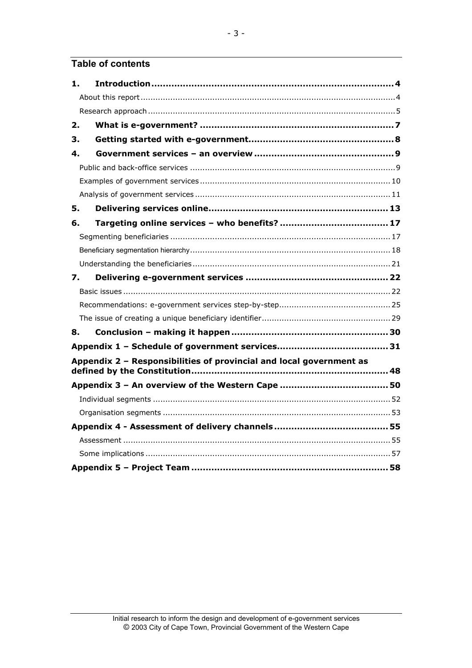# **Table of contents**

| 1. |                                                                     |  |
|----|---------------------------------------------------------------------|--|
|    |                                                                     |  |
|    |                                                                     |  |
| 2. |                                                                     |  |
| З. |                                                                     |  |
| 4. |                                                                     |  |
|    |                                                                     |  |
|    |                                                                     |  |
|    |                                                                     |  |
| 5. |                                                                     |  |
| 6. |                                                                     |  |
|    |                                                                     |  |
|    |                                                                     |  |
|    |                                                                     |  |
| 7. |                                                                     |  |
|    |                                                                     |  |
|    |                                                                     |  |
|    |                                                                     |  |
| 8. |                                                                     |  |
|    |                                                                     |  |
|    | Appendix 2 - Responsibilities of provincial and local government as |  |
|    |                                                                     |  |
|    |                                                                     |  |
|    |                                                                     |  |
|    |                                                                     |  |
|    |                                                                     |  |
|    |                                                                     |  |
|    |                                                                     |  |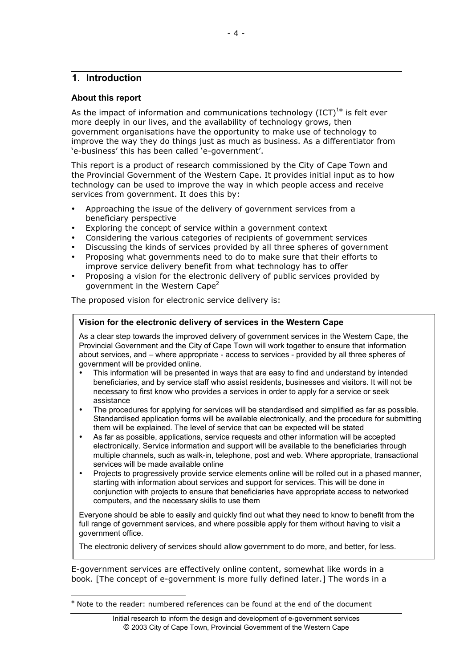# **1. Introduction**

#### **About this report**

-

As the impact of information and communications technology  $(ICT)^{1*}$  is felt ever more deeply in our lives, and the availability of technology grows, then government organisations have the opportunity to make use of technology to improve the way they do things just as much as business. As a differentiator from 'e-business' this has been called 'e-government'.

This report is a product of research commissioned by the City of Cape Town and the Provincial Government of the Western Cape. It provides initial input as to how technology can be used to improve the way in which people access and receive services from government. It does this by:

Approaching the issue of the delivery of government services from a beneficiary perspective

Exploring the concept of service within a government context Considering the various categories of recipients of government services Discussing the kinds of services provided by all three spheres of government Proposing what governments need to do to make sure that their efforts to improve service delivery benefit from what technology has to offer Proposing a vision for the electronic delivery of public services provided by government in the Western Cape<sup>2</sup>

The proposed vision for electronic service delivery is:

### **Vision for the electronic delivery of services in the Western Cape**

As a clear step towards the improved delivery of government services in the Western Cape, the Provincial Government and the City of Cape Town will work together to ensure that information about services, and – where appropriate - access to services - provided by all three spheres of government will be provided online.

This information will be presented in ways that are easy to find and understand by intended beneficiaries, and by service staff who assist residents, businesses and visitors. It will not be necessary to first know who provides a services in order to apply for a service or seek assistance

The procedures for applying for services will be standardised and simplified as far as possible. Standardised application forms will be available electronically, and the procedure for submitting them will be explained. The level of service that can be expected will be stated

As far as possible, applications, service requests and other information will be accepted electronically. Service information and support will be available to the beneficiaries through multiple channels, such as walk-in, telephone, post and web. Where appropriate, transactional services will be made available online

Projects to progressively provide service elements online will be rolled out in a phased manner, starting with information about services and support for services. This will be done in conjunction with projects to ensure that beneficiaries have appropriate access to networked computers, and the necessary skills to use them

Everyone should be able to easily and quickly find out what they need to know to benefit from the full range of government services, and where possible apply for them without having to visit a government office.

The electronic delivery of services should allow government to do more, and better, for less.

E-government services are effectively online content, somewhat like words in a book. [The concept of e-government is more fully defined later.] The words in a

<sup>\*</sup> Note to the reader: numbered references can be found at the end of the document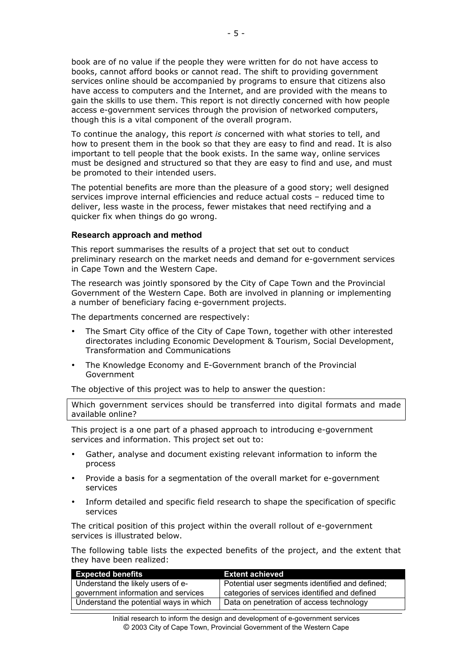book are of no value if the people they were written for do not have access to books, cannot afford books or cannot read. The shift to providing government services online should be accompanied by programs to ensure that citizens also have access to computers and the Internet, and are provided with the means to gain the skills to use them. This report is not directly concerned with how people access e-government services through the provision of networked computers, though this is a vital component of the overall program.

To continue the analogy, this report *is* concerned with what stories to tell, and how to present them in the book so that they are easy to find and read. It is also important to tell people that the book exists. In the same way, online services must be designed and structured so that they are easy to find and use, and must be promoted to their intended users.

The potential benefits are more than the pleasure of a good story; well designed services improve internal efficiencies and reduce actual costs – reduced time to deliver, less waste in the process, fewer mistakes that need rectifying and a quicker fix when things do go wrong.

#### **Research approach and method**

This report summarises the results of a project that set out to conduct preliminary research on the market needs and demand for e-government services in Cape Town and the Western Cape.

The research was jointly sponsored by the City of Cape Town and the Provincial Government of the Western Cape. Both are involved in planning or implementing a number of beneficiary facing e-government projects.

The departments concerned are respectively:

The Smart City office of the City of Cape Town, together with other interested directorates including Economic Development & Tourism, Social Development, Transformation and Communications

The Knowledge Economy and E-Government branch of the Provincial Government

The objective of this project was to help to answer the question:

Which government services should be transferred into digital formats and made available online?

This project is a one part of a phased approach to introducing e-government services and information. This project set out to:

Gather, analyse and document existing relevant information to inform the process

Provide a basis for a segmentation of the overall market for e-government services

Inform detailed and specific field research to shape the specification of specific services

The critical position of this project within the overall rollout of e-government services is illustrated below.

The following table lists the expected benefits of the project, and the extent that they have been realized:

| <b>Expected benefits</b>               | <b>Extent achieved</b>                          |
|----------------------------------------|-------------------------------------------------|
| Understand the likely users of e-      | Potential user segments identified and defined; |
| government information and services    | categories of services identified and defined   |
| Understand the potential ways in which | Data on penetration of access technology        |
|                                        |                                                 |

Initial research to inform the design and development of e-government services © 2003 City of Cape Town, Provincial Government of the Western Cape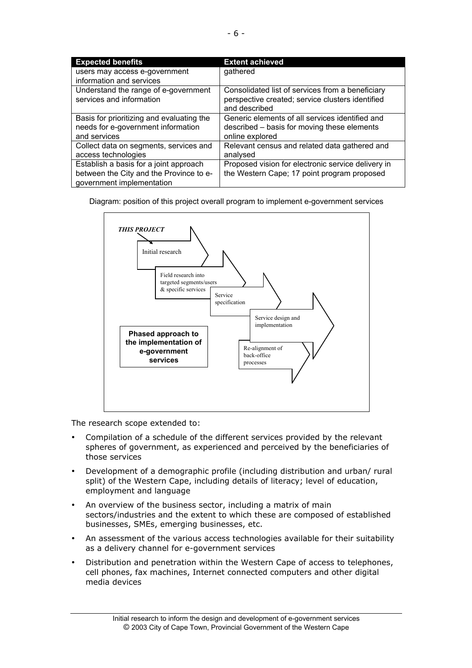| <b>Expected benefits</b>                                                                                       | <b>Extent achieved</b>                                                                                                |
|----------------------------------------------------------------------------------------------------------------|-----------------------------------------------------------------------------------------------------------------------|
| users may access e-government<br>information and services                                                      | gathered                                                                                                              |
| Understand the range of e-government<br>services and information                                               | Consolidated list of services from a beneficiary<br>perspective created; service clusters identified<br>and described |
| Basis for prioritizing and evaluating the<br>needs for e-government information<br>and services                | Generic elements of all services identified and<br>described – basis for moving these elements<br>online explored     |
| Collect data on segments, services and<br>access technologies                                                  | Relevant census and related data gathered and<br>analysed                                                             |
| Establish a basis for a joint approach<br>between the City and the Province to e-<br>government implementation | Proposed vision for electronic service delivery in<br>the Western Cape; 17 point program proposed                     |

Diagram: position of this project overall program to implement e-government services



The research scope extended to:

Compilation of a schedule of the different services provided by the relevant spheres of government, as experienced and perceived by the beneficiaries of those services

Development of a demographic profile (including distribution and urban/ rural split) of the Western Cape, including details of literacy; level of education, employment and language

An overview of the business sector, including a matrix of main sectors/industries and the extent to which these are composed of established businesses, SMEs, emerging businesses, etc.

An assessment of the various access technologies available for their suitability as a delivery channel for e-government services

Distribution and penetration within the Western Cape of access to telephones, cell phones, fax machines, Internet connected computers and other digital media devices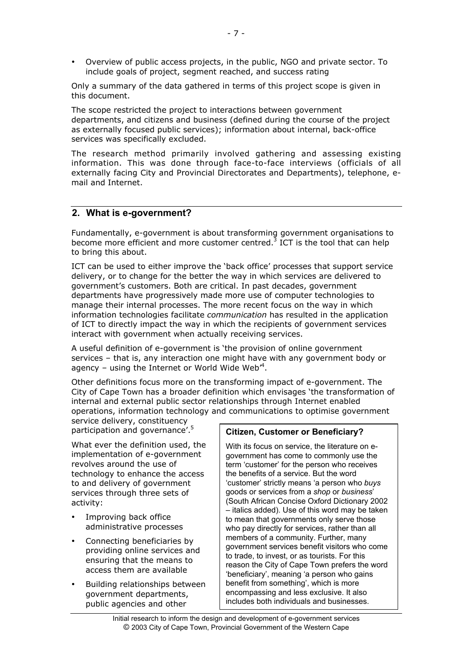Overview of public access projects, in the public, NGO and private sector. To include goals of project, segment reached, and success rating

Only a summary of the data gathered in terms of this project scope is given in this document.

The scope restricted the project to interactions between government departments, and citizens and business (defined during the course of the project as externally focused public services); information about internal, back-office services was specifically excluded.

The research method primarily involved gathering and assessing existing information. This was done through face-to-face interviews (officials of all externally facing City and Provincial Directorates and Departments), telephone, email and Internet.

# **2. What is e-government?**

Fundamentally, e-government is about transforming government organisations to become more efficient and more customer centred.<sup>3</sup> ICT is the tool that can help to bring this about.

ICT can be used to either improve the 'back office' processes that support service delivery, or to change for the better the way in which services are delivered to government's customers. Both are critical. In past decades, government departments have progressively made more use of computer technologies to manage their internal processes. The more recent focus on the way in which information technologies facilitate *communication* has resulted in the application of ICT to directly impact the way in which the recipients of government services interact with government when actually receiving services.

A useful definition of e-government is 'the provision of online government services – that is, any interaction one might have with any government body or agency – using the Internet or World Wide Web $4$ .

Other definitions focus more on the transforming impact of e-government. The City of Cape Town has a broader definition which envisages 'the transformation of internal and external public sector relationships through Internet enabled operations, information technology and communications to optimise government

service delivery, constituency participation and governance'.<sup>5</sup>

What ever the definition used, the implementation of e-government revolves around the use of technology to enhance the access to and delivery of government services through three sets of activity:

> Improving back office administrative processes

Connecting beneficiaries by providing online services and ensuring that the means to access them are available

Building relationships between government departments, public agencies and other

# **Citizen, Customer or Beneficiary?**

With its focus on service, the literature on egovernment has come to commonly use the term 'customer' for the person who receives the benefits of a service. But the word 'customer' strictly means 'a person who *buys* goods or services from a *shop* or *business*' (South African Concise Oxford Dictionary 2002 – italics added). Use of this word may be taken to mean that governments only serve those who pay directly for services, rather than all members of a community. Further, many government services benefit visitors who come to trade, to invest, or as tourists. For this reason the City of Cape Town prefers the word 'beneficiary', meaning 'a person who gains benefit from something', which is more encompassing and less exclusive. It also includes both individuals and businesses.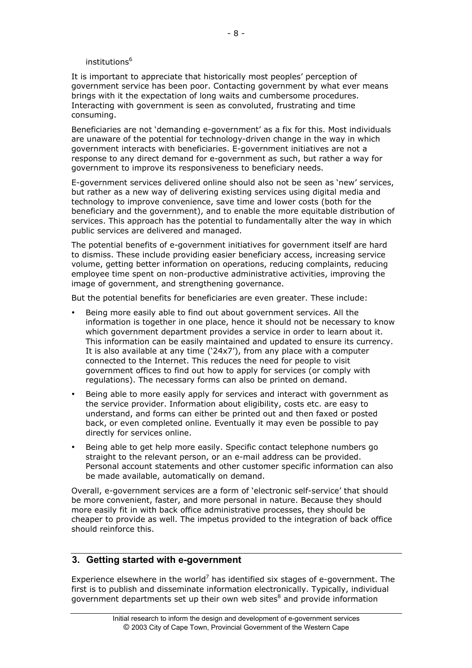#### institutions<sup>6</sup>

It is important to appreciate that historically most peoples' perception of government service has been poor. Contacting government by what ever means brings with it the expectation of long waits and cumbersome procedures. Interacting with government is seen as convoluted, frustrating and time consuming.

Beneficiaries are not 'demanding e-government' as a fix for this. Most individuals are unaware of the potential for technology-driven change in the way in which government interacts with beneficiaries. E-government initiatives are not a response to any direct demand for e-government as such, but rather a way for government to improve its responsiveness to beneficiary needs.

E-government services delivered online should also not be seen as 'new' services, but rather as a new way of delivering existing services using digital media and technology to improve convenience, save time and lower costs (both for the beneficiary and the government), and to enable the more equitable distribution of services. This approach has the potential to fundamentally alter the way in which public services are delivered and managed.

The potential benefits of e-government initiatives for government itself are hard to dismiss. These include providing easier beneficiary access, increasing service volume, getting better information on operations, reducing complaints, reducing employee time spent on non-productive administrative activities, improving the image of government, and strengthening governance.

But the potential benefits for beneficiaries are even greater. These include:

Being more easily able to find out about government services. All the information is together in one place, hence it should not be necessary to know which government department provides a service in order to learn about it. This information can be easily maintained and updated to ensure its currency. It is also available at any time ('24x7'), from any place with a computer connected to the Internet. This reduces the need for people to visit government offices to find out how to apply for services (or comply with regulations). The necessary forms can also be printed on demand.

Being able to more easily apply for services and interact with government as the service provider. Information about eligibility, costs etc. are easy to understand, and forms can either be printed out and then faxed or posted back, or even completed online. Eventually it may even be possible to pay directly for services online.

Being able to get help more easily. Specific contact telephone numbers go straight to the relevant person, or an e-mail address can be provided. Personal account statements and other customer specific information can also be made available, automatically on demand.

Overall, e-government services are a form of 'electronic self-service' that should be more convenient, faster, and more personal in nature. Because they should more easily fit in with back office administrative processes, they should be cheaper to provide as well. The impetus provided to the integration of back office should reinforce this.

# **3. Getting started with e-government**

Experience elsewhere in the world<sup>7</sup> has identified six stages of e-government. The first is to publish and disseminate information electronically. Typically, individual government departments set up their own web sites<sup>8</sup> and provide information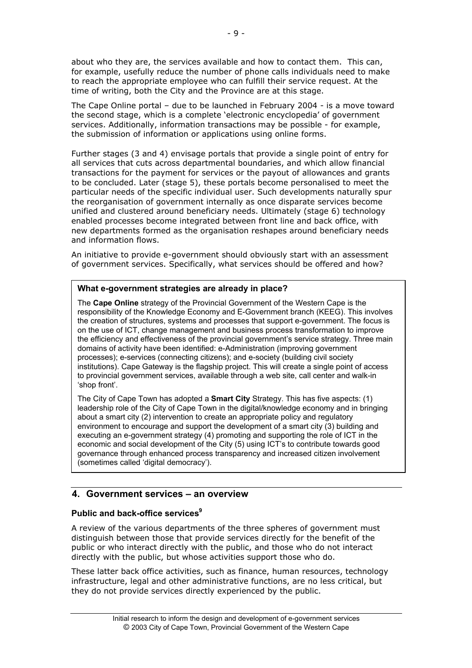about who they are, the services available and how to contact them. This can, for example, usefully reduce the number of phone calls individuals need to make to reach the appropriate employee who can fulfill their service request. At the time of writing, both the City and the Province are at this stage.

The Cape Online portal – due to be launched in February 2004 - is a move toward the second stage, which is a complete 'electronic encyclopedia' of government services. Additionally, information transactions may be possible - for example, the submission of information or applications using online forms.

Further stages (3 and 4) envisage portals that provide a single point of entry for all services that cuts across departmental boundaries, and which allow financial transactions for the payment for services or the payout of allowances and grants to be concluded. Later (stage 5), these portals become personalised to meet the particular needs of the specific individual user. Such developments naturally spur the reorganisation of government internally as once disparate services become unified and clustered around beneficiary needs. Ultimately (stage 6) technology enabled processes become integrated between front line and back office, with new departments formed as the organisation reshapes around beneficiary needs and information flows.

An initiative to provide e-government should obviously start with an assessment of government services. Specifically, what services should be offered and how?

### **What e-government strategies are already in place?**

The **Cape Online** strategy of the Provincial Government of the Western Cape is the responsibility of the Knowledge Economy and E-Government branch (KEEG). This involves the creation of structures, systems and processes that support e-government. The focus is on the use of ICT, change management and business process transformation to improve the efficiency and effectiveness of the provincial government's service strategy. Three main domains of activity have been identified: e-Administration (improving government processes); e-services (connecting citizens); and e-society (building civil society institutions). Cape Gateway is the flagship project. This will create a single point of access to provincial government services, available through a web site, call center and walk-in 'shop front'.

The City of Cape Town has adopted a **Smart City** Strategy. This has five aspects: (1) leadership role of the City of Cape Town in the digital/knowledge economy and in bringing about a smart city (2) intervention to create an appropriate policy and regulatory environment to encourage and support the development of a smart city (3) building and executing an e-government strategy (4) promoting and supporting the role of ICT in the economic and social development of the City (5) using ICT's to contribute towards good governance through enhanced process transparency and increased citizen involvement (sometimes called 'digital democracy').

# **4. Government services – an overview**

# Public and back-office services<sup>9</sup>

A review of the various departments of the three spheres of government must distinguish between those that provide services directly for the benefit of the public or who interact directly with the public, and those who do not interact directly with the public, but whose activities support those who do.

These latter back office activities, such as finance, human resources, technology infrastructure, legal and other administrative functions, are no less critical, but they do not provide services directly experienced by the public.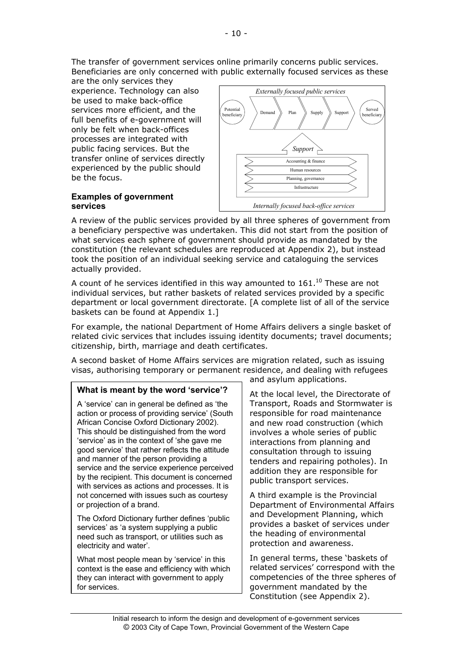The transfer of government services online primarily concerns public services. Beneficiaries are only concerned with public externally focused services as these

are the only services they experience. Technology can also be used to make back-office services more efficient, and the full benefits of e-government will only be felt when back-offices processes are integrated with public facing services. But the transfer online of services directly experienced by the public should be the focus.

#### **Examples of government services**



A review of the public services provided by all three spheres of government from a beneficiary perspective was undertaken. This did not start from the position of what services each sphere of government should provide as mandated by the constitution (the relevant schedules are reproduced at Appendix 2), but instead took the position of an individual seeking service and cataloguing the services actually provided.

A count of he services identified in this way amounted to  $161.^{10}$  These are not individual services, but rather baskets of related services provided by a specific department or local government directorate. [A complete list of all of the service baskets can be found at Appendix 1.]

For example, the national Department of Home Affairs delivers a single basket of related civic services that includes issuing identity documents; travel documents; citizenship, birth, marriage and death certificates.

A second basket of Home Affairs services are migration related, such as issuing visas, authorising temporary or permanent residence, and dealing with refugees

# **What is meant by the word 'service'?**

A 'service' can in general be defined as 'the action or process of providing service' (South African Concise Oxford Dictionary 2002). This should be distinguished from the word 'service' as in the context of 'she gave me good service' that rather reflects the attitude and manner of the person providing a service and the service experience perceived by the recipient. This document is concerned with services as actions and processes. It is not concerned with issues such as courtesy or projection of a brand.

The Oxford Dictionary further defines 'public services' as 'a system supplying a public need such as transport, or utilities such as electricity and water'.

What most people mean by 'service' in this context is the ease and efficiency with which they can interact with government to apply for services.

and asylum applications.

At the local level, the Directorate of Transport, Roads and Stormwater is responsible for road maintenance and new road construction (which involves a whole series of public interactions from planning and consultation through to issuing tenders and repairing potholes). In addition they are responsible for public transport services.

A third example is the Provincial Department of Environmental Affairs and Development Planning, which provides a basket of services under the heading of environmental protection and awareness.

In general terms, these 'baskets of related services' correspond with the competencies of the three spheres of government mandated by the Constitution (see Appendix 2).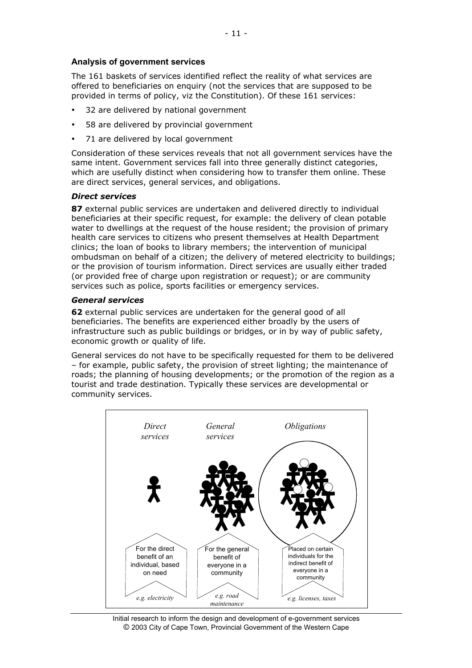### **Analysis of government services**

The 161 baskets of services identified reflect the reality of what services are offered to beneficiaries on enquiry (not the services that are supposed to be provided in terms of policy, viz the Constitution). Of these 161 services:

- 32 are delivered by national government
- 58 are delivered by provincial government
- 71 are delivered by local government

Consideration of these services reveals that not all government services have the same intent. Government services fall into three generally distinct categories, which are usefully distinct when considering how to transfer them online. These are direct services, general services, and obligations.

#### *Direct services*

**87** external public services are undertaken and delivered directly to individual beneficiaries at their specific request, for example: the delivery of clean potable water to dwellings at the request of the house resident; the provision of primary health care services to citizens who present themselves at Health Department clinics; the loan of books to library members; the intervention of municipal ombudsman on behalf of a citizen; the delivery of metered electricity to buildings; or the provision of tourism information. Direct services are usually either traded (or provided free of charge upon registration or request); or are community services such as police, sports facilities or emergency services.

#### *General services*

**62** external public services are undertaken for the general good of all beneficiaries. The benefits are experienced either broadly by the users of infrastructure such as public buildings or bridges, or in by way of public safety, economic growth or quality of life.

General services do not have to be specifically requested for them to be delivered – for example, public safety, the provision of street lighting; the maintenance of roads; the planning of housing developments; or the promotion of the region as a tourist and trade destination. Typically these services are developmental or community services.



Initial research to inform the design and development of e-government services © 2003 City of Cape Town, Provincial Government of the Western Cape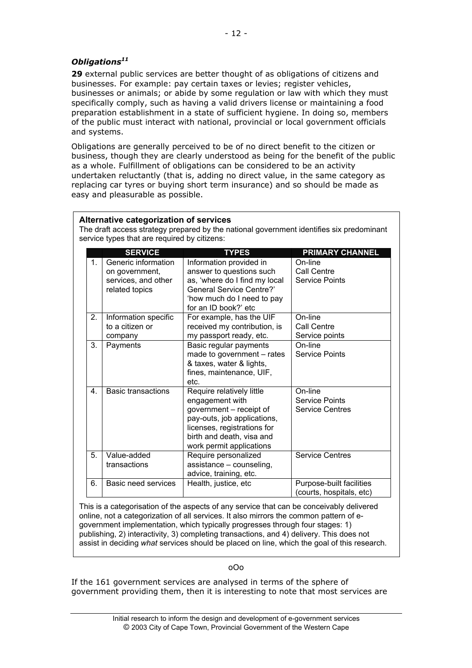# *Obligations11*

**29** external public services are better thought of as obligations of citizens and businesses. For example: pay certain taxes or levies; register vehicles, businesses or animals; or abide by some regulation or law with which they must specifically comply, such as having a valid drivers license or maintaining a food preparation establishment in a state of sufficient hygiene. In doing so, members of the public must interact with national, provincial or local government officials and systems.

Obligations are generally perceived to be of no direct benefit to the citizen or business, though they are clearly understood as being for the benefit of the public as a whole. Fulfillment of obligations can be considered to be an activity undertaken reluctantly (that is, adding no direct value, in the same category as replacing car tyres or buying short term insurance) and so should be made as easy and pleasurable as possible.

|                                                          | Alternative categorization of services<br>The draft access strategy prepared by the national government identifies six predominant<br>service types that are required by citizens: |                                                                                                                                                                                                |                                                      |  |  |  |  |  |  |
|----------------------------------------------------------|------------------------------------------------------------------------------------------------------------------------------------------------------------------------------------|------------------------------------------------------------------------------------------------------------------------------------------------------------------------------------------------|------------------------------------------------------|--|--|--|--|--|--|
| <b>SERVICE</b><br><b>PRIMARY CHANNEL</b><br><b>TYPES</b> |                                                                                                                                                                                    |                                                                                                                                                                                                |                                                      |  |  |  |  |  |  |
| $\mathbf 1$ .                                            | Generic information<br>on government,<br>services, and other<br>related topics                                                                                                     | Information provided in<br>answer to questions such<br>as, 'where do I find my local<br><b>General Service Centre?'</b><br>'how much do I need to pay<br>for an ID book?' etc                  | On-line<br>Call Centre<br><b>Service Points</b>      |  |  |  |  |  |  |
| 2.                                                       | Information specific<br>to a citizen or<br>company                                                                                                                                 | For example, has the UIF<br>received my contribution, is<br>my passport ready, etc.                                                                                                            | On-line<br>Call Centre<br>Service points             |  |  |  |  |  |  |
| 3.                                                       | Payments                                                                                                                                                                           | Basic regular payments<br>made to government - rates<br>& taxes, water & lights,<br>fines, maintenance, UIF,<br>etc.                                                                           | On-line<br><b>Service Points</b>                     |  |  |  |  |  |  |
| 4.                                                       | <b>Basic transactions</b>                                                                                                                                                          | Require relatively little<br>engagement with<br>government - receipt of<br>pay-outs, job applications,<br>licenses, registrations for<br>birth and death, visa and<br>work permit applications | On-line<br>Service Points<br><b>Service Centres</b>  |  |  |  |  |  |  |
| 5.                                                       | Value-added<br>transactions                                                                                                                                                        | Require personalized<br>assistance - counseling,<br>advice, training, etc.                                                                                                                     | <b>Service Centres</b>                               |  |  |  |  |  |  |
| 6.                                                       | <b>Basic need services</b>                                                                                                                                                         | Health, justice, etc                                                                                                                                                                           | Purpose-built facilities<br>(courts, hospitals, etc) |  |  |  |  |  |  |

This is a categorisation of the aspects of any service that can be conceivably delivered online, not a categorization of all services. It also mirrors the common pattern of egovernment implementation, which typically progresses through four stages: 1) publishing, 2) interactivity, 3) completing transactions, and 4) delivery. This does not assist in deciding *what* services should be placed on line, which the goal of this research.

#### oOo

If the 161 government services are analysed in terms of the sphere of government providing them, then it is interesting to note that most services are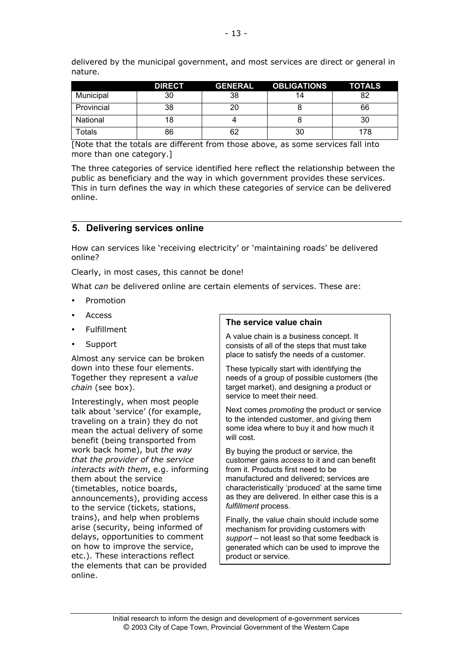|            | <b>DIRECT</b> | <b>GENERAL</b> | <b>OBLIGATIONS</b> | <b>TOTALS</b> |
|------------|---------------|----------------|--------------------|---------------|
| Municipal  | 30            | 38             | 14                 | 82            |
| Provincial | 38            |                |                    | 66            |
| National   | 18            |                |                    | 30            |
| Totals     | 86            | 62             | 30                 | 178           |

delivered by the municipal government, and most services are direct or general in nature.

[Note that the totals are different from those above, as some services fall into more than one category.]

The three categories of service identified here reflect the relationship between the public as beneficiary and the way in which government provides these services. This in turn defines the way in which these categories of service can be delivered online.

### **5. Delivering services online**

How can services like 'receiving electricity' or 'maintaining roads' be delivered online?

Clearly, in most cases, this cannot be done!

What *can* be delivered online are certain elements of services. These are:

Promotion

Access

Fulfillment

Support

Almost any service can be broken down into these four elements. Together they represent a *value chain* (see box).

Interestingly, when most people talk about 'service' (for example, traveling on a train) they do not mean the actual delivery of some benefit (being transported from work back home), but *the way that the provider of the service interacts with them*, e.g. informing them about the service (timetables, notice boards, announcements), providing access to the service (tickets, stations, trains), and help when problems arise (security, being informed of delays, opportunities to comment on how to improve the service, etc.). These interactions reflect the elements that can be provided online.

#### **The service value chain**

A value chain is a business concept. It consists of all of the steps that must take place to satisfy the needs of a customer.

These typically start with identifying the needs of a group of possible customers (the target market), and designing a product or service to meet their need.

Next comes *promoting* the product or service to the intended customer, and giving them some idea where to buy it and how much it will cost.

By buying the product or service, the customer gains *access* to it and can benefit from it. Products first need to be manufactured and delivered; services are characteristically 'produced' at the same time as they are delivered. In either case this is a *fulfillment* process.

Finally, the value chain should include some mechanism for providing customers with *support* – not least so that some feedback is generated which can be used to improve the product or service.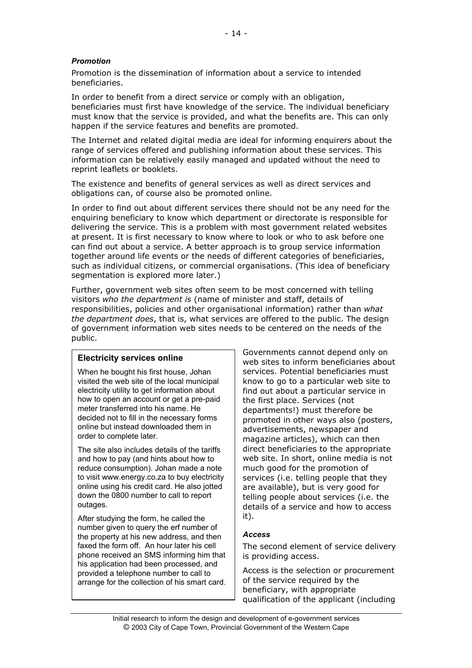### *Promotion*

Promotion is the dissemination of information about a service to intended beneficiaries.

In order to benefit from a direct service or comply with an obligation, beneficiaries must first have knowledge of the service. The individual beneficiary must know that the service is provided, and what the benefits are. This can only happen if the service features and benefits are promoted.

The Internet and related digital media are ideal for informing enquirers about the range of services offered and publishing information about these services. This information can be relatively easily managed and updated without the need to reprint leaflets or booklets.

The existence and benefits of general services as well as direct services and obligations can, of course also be promoted online.

In order to find out about different services there should not be any need for the enquiring beneficiary to know which department or directorate is responsible for delivering the service. This is a problem with most government related websites at present. It is first necessary to know where to look or who to ask before one can find out about a service. A better approach is to group service information together around life events or the needs of different categories of beneficiaries, such as individual citizens, or commercial organisations. (This idea of beneficiary segmentation is explored more later.)

Further, government web sites often seem to be most concerned with telling visitors *who the department is* (name of minister and staff, details of responsibilities, policies and other organisational information) rather than *what the department does*, that is, what services are offered to the public. The design of government information web sites needs to be centered on the needs of the public.

#### **Electricity services online**

When he bought his first house, Johan visited the web site of the local municipal electricity utility to get information about how to open an account or get a pre-paid meter transferred into his name. He decided not to fill in the necessary forms online but instead downloaded them in order to complete later.

The site also includes details of the tariffs and how to pay (and hints about how to reduce consumption). Johan made a note to visit www.energy.co.za to buy electricity online using his credit card. He also jotted down the 0800 number to call to report outages.

After studying the form, he called the number given to query the erf number of the property at his new address, and then faxed the form off. An hour later his cell phone received an SMS informing him that his application had been processed, and provided a telephone number to call to arrange for the collection of his smart card. Governments cannot depend only on web sites to inform beneficiaries about services. Potential beneficiaries must know to go to a particular web site to find out about a particular service in the first place. Services (not departments!) must therefore be promoted in other ways also (posters, advertisements, newspaper and magazine articles), which can then direct beneficiaries to the appropriate web site. In short, online media is not much good for the promotion of services (i.e. telling people that they are available), but is very good for telling people about services (i.e. the details of a service and how to access it).

#### *Access*

The second element of service delivery is providing access.

Access is the selection or procurement of the service required by the beneficiary, with appropriate qualification of the applicant (including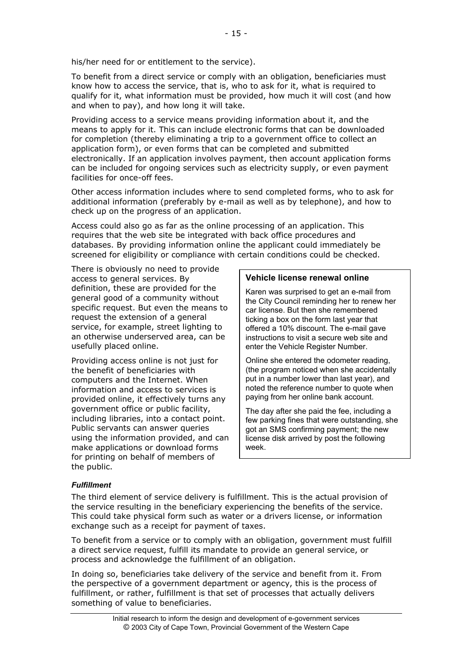To benefit from a direct service or comply with an obligation, beneficiaries must know how to access the service, that is, who to ask for it, what is required to qualify for it, what information must be provided, how much it will cost (and how and when to pay), and how long it will take.

Providing access to a service means providing information about it, and the means to apply for it. This can include electronic forms that can be downloaded for completion (thereby eliminating a trip to a government office to collect an application form), or even forms that can be completed and submitted electronically. If an application involves payment, then account application forms can be included for ongoing services such as electricity supply, or even payment facilities for once-off fees.

Other access information includes where to send completed forms, who to ask for additional information (preferably by e-mail as well as by telephone), and how to check up on the progress of an application.

Access could also go as far as the online processing of an application. This requires that the web site be integrated with back office procedures and databases. By providing information online the applicant could immediately be screened for eligibility or compliance with certain conditions could be checked.

There is obviously no need to provide access to general services. By definition, these are provided for the general good of a community without specific request. But even the means to request the extension of a general service, for example, street lighting to an otherwise underserved area, can be usefully placed online.

Providing access online is not just for the benefit of beneficiaries with computers and the Internet. When information and access to services is provided online, it effectively turns any government office or public facility, including libraries, into a contact point. Public servants can answer queries using the information provided, and can make applications or download forms for printing on behalf of members of the public.

### **Vehicle license renewal online**

Karen was surprised to get an e-mail from the City Council reminding her to renew her car license. But then she remembered ticking a box on the form last year that offered a 10% discount. The e-mail gave instructions to visit a secure web site and enter the Vehicle Register Number.

Online she entered the odometer reading, (the program noticed when she accidentally put in a number lower than last year), and noted the reference number to quote when paying from her online bank account.

The day after she paid the fee, including a few parking fines that were outstanding, she got an SMS confirming payment; the new license disk arrived by post the following week.

# *Fulfillment*

The third element of service delivery is fulfillment. This is the actual provision of the service resulting in the beneficiary experiencing the benefits of the service. This could take physical form such as water or a drivers license, or information exchange such as a receipt for payment of taxes.

To benefit from a service or to comply with an obligation, government must fulfill a direct service request, fulfill its mandate to provide an general service, or process and acknowledge the fulfillment of an obligation.

In doing so, beneficiaries take delivery of the service and benefit from it. From the perspective of a government department or agency, this is the process of fulfillment, or rather, fulfillment is that set of processes that actually delivers something of value to beneficiaries.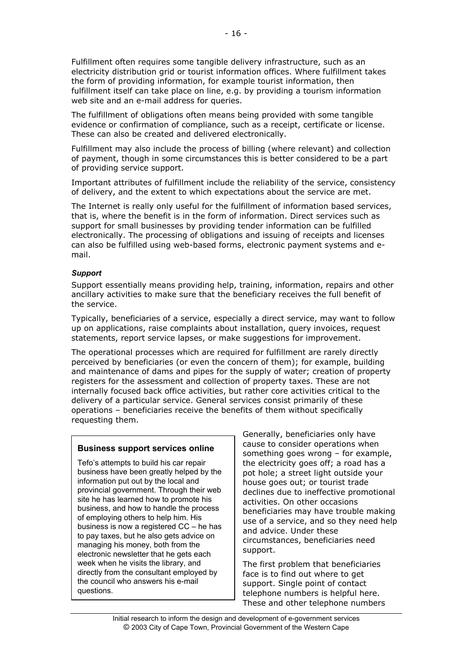Fulfillment often requires some tangible delivery infrastructure, such as an electricity distribution grid or tourist information offices. Where fulfillment takes the form of providing information, for example tourist information, then fulfillment itself can take place on line, e.g. by providing a tourism information web site and an e-mail address for queries.

The fulfillment of obligations often means being provided with some tangible evidence or confirmation of compliance, such as a receipt, certificate or license. These can also be created and delivered electronically.

Fulfillment may also include the process of billing (where relevant) and collection of payment, though in some circumstances this is better considered to be a part of providing service support.

Important attributes of fulfillment include the reliability of the service, consistency of delivery, and the extent to which expectations about the service are met.

The Internet is really only useful for the fulfillment of information based services, that is, where the benefit is in the form of information. Direct services such as support for small businesses by providing tender information can be fulfilled electronically. The processing of obligations and issuing of receipts and licenses can also be fulfilled using web-based forms, electronic payment systems and email.

### *Support*

Support essentially means providing help, training, information, repairs and other ancillary activities to make sure that the beneficiary receives the full benefit of the service.

Typically, beneficiaries of a service, especially a direct service, may want to follow up on applications, raise complaints about installation, query invoices, request statements, report service lapses, or make suggestions for improvement.

The operational processes which are required for fulfillment are rarely directly perceived by beneficiaries (or even the concern of them); for example, building and maintenance of dams and pipes for the supply of water; creation of property registers for the assessment and collection of property taxes. These are not internally focused back office activities, but rather core activities critical to the delivery of a particular service. General services consist primarily of these operations – beneficiaries receive the benefits of them without specifically requesting them.

# **Business support services online**

Tefo's attempts to build his car repair business have been greatly helped by the information put out by the local and provincial government. Through their web site he has learned how to promote his business, and how to handle the process of employing others to help him. His business is now a registered CC – he has to pay taxes, but he also gets advice on managing his money, both from the electronic newsletter that he gets each week when he visits the library, and directly from the consultant employed by the council who answers his e-mail questions.

Generally, beneficiaries only have cause to consider operations when something goes wrong – for example, the electricity goes off; a road has a pot hole; a street light outside your house goes out; or tourist trade declines due to ineffective promotional activities. On other occasions beneficiaries may have trouble making use of a service, and so they need help and advice. Under these circumstances, beneficiaries need support.

The first problem that beneficiaries face is to find out where to get support. Single point of contact telephone numbers is helpful here. These and other telephone numbers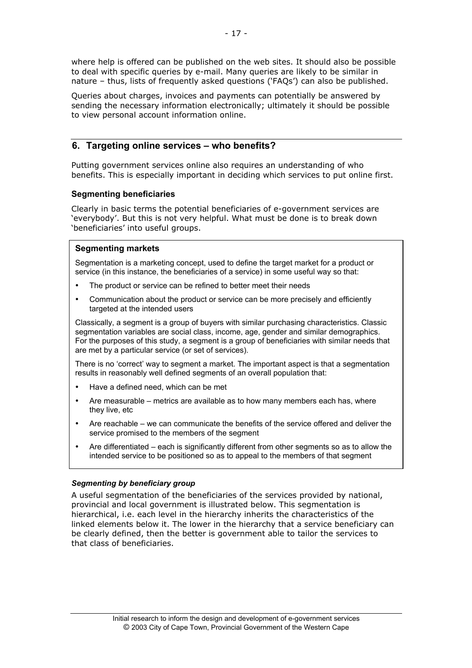where help is offered can be published on the web sites. It should also be possible to deal with specific queries by e-mail. Many queries are likely to be similar in nature – thus, lists of frequently asked questions ('FAQs') can also be published.

Queries about charges, invoices and payments can potentially be answered by sending the necessary information electronically; ultimately it should be possible to view personal account information online.

# **6. Targeting online services – who benefits?**

Putting government services online also requires an understanding of who benefits. This is especially important in deciding which services to put online first.

### **Segmenting beneficiaries**

Clearly in basic terms the potential beneficiaries of e-government services are 'everybody'. But this is not very helpful. What must be done is to break down 'beneficiaries' into useful groups.

### **Segmenting markets**

Segmentation is a marketing concept, used to define the target market for a product or service (in this instance, the beneficiaries of a service) in some useful way so that:

The product or service can be refined to better meet their needs

Communication about the product or service can be more precisely and efficiently targeted at the intended users

Classically, a segment is a group of buyers with similar purchasing characteristics. Classic segmentation variables are social class, income, age, gender and similar demographics. For the purposes of this study, a segment is a group of beneficiaries with similar needs that are met by a particular service (or set of services).

There is no 'correct' way to segment a market. The important aspect is that a segmentation results in reasonably well defined segments of an overall population that:

Have a defined need, which can be met

Are measurable – metrics are available as to how many members each has, where they live, etc

Are reachable – we can communicate the benefits of the service offered and deliver the service promised to the members of the segment

Are differentiated – each is significantly different from other segments so as to allow the intended service to be positioned so as to appeal to the members of that segment

# *Segmenting by beneficiary group*

A useful segmentation of the beneficiaries of the services provided by national, provincial and local government is illustrated below. This segmentation is hierarchical, i.e. each level in the hierarchy inherits the characteristics of the linked elements below it. The lower in the hierarchy that a service beneficiary can be clearly defined, then the better is government able to tailor the services to that class of beneficiaries.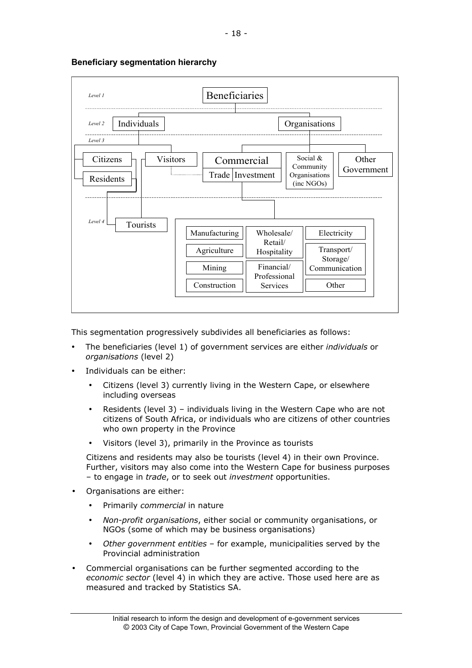

### **Beneficiary segmentation hierarchy**

This segmentation progressively subdivides all beneficiaries as follows:

The beneficiaries (level 1) of government services are either *individuals* or *organisations* (level 2)

Individuals can be either:

Citizens (level 3) currently living in the Western Cape, or elsewhere including overseas

Residents (level 3) – individuals living in the Western Cape who are not citizens of South Africa, or individuals who are citizens of other countries who own property in the Province

Visitors (level 3), primarily in the Province as tourists

Citizens and residents may also be tourists (level 4) in their own Province. Further, visitors may also come into the Western Cape for business purposes – to engage in *trade*, or to seek out *investment* opportunities.

Organisations are either:

Primarily *commercial* in nature

*Non-profit organisations*, either social or community organisations, or NGOs (some of which may be business organisations)

*Other government entities* – for example, municipalities served by the Provincial administration

Commercial organisations can be further segmented according to the *economic sector* (level 4) in which they are active. Those used here are as measured and tracked by Statistics SA.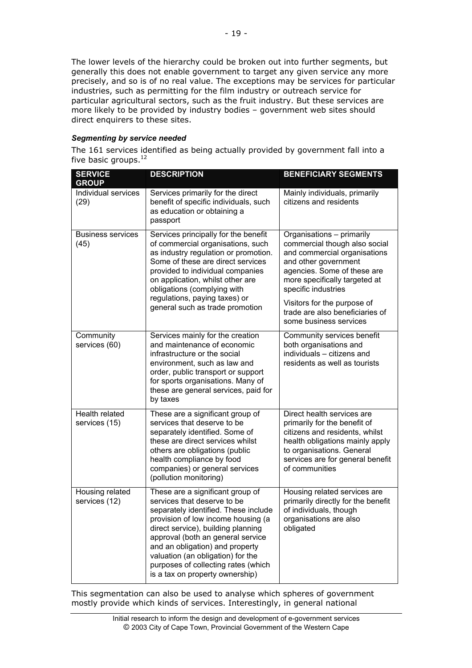The lower levels of the hierarchy could be broken out into further segments, but generally this does not enable government to target any given service any more precisely, and so is of no real value. The exceptions may be services for particular industries, such as permitting for the film industry or outreach service for particular agricultural sectors, such as the fruit industry. But these services are more likely to be provided by industry bodies – government web sites should direct enquirers to these sites.

#### *Segmenting by service needed*

The 161 services identified as being actually provided by government fall into a five basic groups.<sup>12</sup>

| <b>SERVICE</b><br><b>GROUP</b>   | <b>DESCRIPTION</b>                                                                                                                                                                                                                                                                                                                                                         | <b>BENEFICIARY SEGMENTS</b>                                                                                                                                                                                                                                                                           |
|----------------------------------|----------------------------------------------------------------------------------------------------------------------------------------------------------------------------------------------------------------------------------------------------------------------------------------------------------------------------------------------------------------------------|-------------------------------------------------------------------------------------------------------------------------------------------------------------------------------------------------------------------------------------------------------------------------------------------------------|
| Individual services<br>(29)      | Services primarily for the direct<br>benefit of specific individuals, such<br>as education or obtaining a<br>passport                                                                                                                                                                                                                                                      | Mainly individuals, primarily<br>citizens and residents                                                                                                                                                                                                                                               |
| <b>Business services</b><br>(45) | Services principally for the benefit<br>of commercial organisations, such<br>as industry regulation or promotion.<br>Some of these are direct services<br>provided to individual companies<br>on application, whilst other are<br>obligations (complying with<br>regulations, paying taxes) or<br>general such as trade promotion                                          | Organisations - primarily<br>commercial though also social<br>and commercial organisations<br>and other government<br>agencies. Some of these are<br>more specifically targeted at<br>specific industries<br>Visitors for the purpose of<br>trade are also beneficiaries of<br>some business services |
| Community<br>services (60)       | Services mainly for the creation<br>and maintenance of economic<br>infrastructure or the social<br>environment, such as law and<br>order, public transport or support<br>for sports organisations. Many of<br>these are general services, paid for<br>by taxes                                                                                                             | Community services benefit<br>both organisations and<br>individuals - citizens and<br>residents as well as tourists                                                                                                                                                                                   |
| Health related<br>services (15)  | These are a significant group of<br>services that deserve to be<br>separately identified. Some of<br>these are direct services whilst<br>others are obligations (public<br>health compliance by food<br>companies) or general services<br>(pollution monitoring)                                                                                                           | Direct health services are<br>primarily for the benefit of<br>citizens and residents, whilst<br>health obligations mainly apply<br>to organisations. General<br>services are for general benefit<br>of communities                                                                                    |
| Housing related<br>services (12) | These are a significant group of<br>services that deserve to be<br>separately identified. These include<br>provision of low income housing (a<br>direct service), building planning<br>approval (both an general service<br>and an obligation) and property<br>valuation (an obligation) for the<br>purposes of collecting rates (which<br>is a tax on property ownership) | Housing related services are<br>primarily directly for the benefit<br>of individuals, though<br>organisations are also<br>obligated                                                                                                                                                                   |

This segmentation can also be used to analyse which spheres of government mostly provide which kinds of services. Interestingly, in general national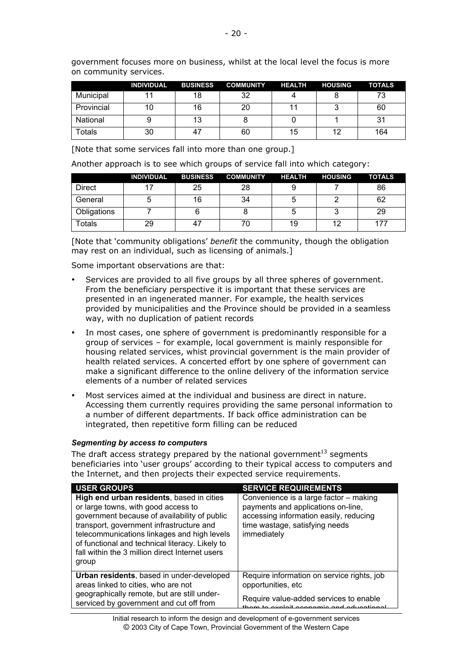government focuses more on business, whilst at the local level the focus is more on community services.

|            | <b>INDIVIDUAL</b> | <b>BUSINESS</b> | <b>COMMUNITY</b> | <b>HEALTH</b> | <b>HOUSING</b> | <b>TOTALS</b> |
|------------|-------------------|-----------------|------------------|---------------|----------------|---------------|
| Municipal  |                   | 18              | 32               |               |                | 73.           |
| Provincial |                   | 16              | 20               |               |                | 60            |
| National   |                   | 13              |                  |               |                |               |
| Totals     | 30                | 47              | 60               | 15            | 12             | 164           |

[Note that some services fall into more than one group.]

Another approach is to see which groups of service fall into which category:

|             | <b>INDIVIDUAL</b> | <b>BUSINESS</b> | <b>COMMUNITY</b> | <b>HEALTH</b> | <b>HOUSING</b> | <b>TOTALS</b> |
|-------------|-------------------|-----------------|------------------|---------------|----------------|---------------|
| Direct      |                   | 25              | 28               | 9             |                | 86            |
| General     |                   | 16              | 34               | b             |                | 62            |
| Obligations |                   |                 |                  | b             |                | 29            |
| ⊺otals      | 29                | 47              |                  | 19            | 12             |               |

[Note that 'community obligations' *benefit* the community, though the obligation may rest on an individual, such as licensing of animals.]

Some important observations are that:

Services are provided to all five groups by all three spheres of government. From the beneficiary perspective it is important that these services are presented in an ingenerated manner. For example, the health services provided by municipalities and the Province should be provided in a seamless way, with no duplication of patient records

In most cases, one sphere of government is predominantly responsible for a group of services – for example, local government is mainly responsible for housing related services, whist provincial government is the main provider of health related services. A concerted effort by one sphere of government can make a significant difference to the online delivery of the information service elements of a number of related services

Most services aimed at the individual and business are direct in nature. Accessing them currently requires providing the same personal information to a number of different departments. If back office administration can be integrated, then repetitive form filling can be reduced

#### *Segmenting by access to computers*

The draft access strategy prepared by the national government $^{13}$  segments beneficiaries into 'user groups' according to their typical access to computers and the Internet, and then projects their expected service requirements.

| <b>USER GROUPS</b>                                                                                                                                                                                                                                                                                                                         | <b>SERVICE REQUIREMENTS</b>                                                                                                                                             |
|--------------------------------------------------------------------------------------------------------------------------------------------------------------------------------------------------------------------------------------------------------------------------------------------------------------------------------------------|-------------------------------------------------------------------------------------------------------------------------------------------------------------------------|
| High end urban residents, based in cities<br>or large towns, with good access to<br>government because of availability of public<br>transport, government infrastructure and<br>telecommunications linkages and high levels<br>of functional and technical literacy. Likely to<br>fall within the 3 million direct Internet users<br>group | Convenience is a large factor - making<br>payments and applications on-line,<br>accessing information easily, reducing<br>time wastage, satisfying needs<br>immediately |
| Urban residents, based in under-developed                                                                                                                                                                                                                                                                                                  | Require information on service rights, job                                                                                                                              |
| areas linked to cities, who are not                                                                                                                                                                                                                                                                                                        | opportunities, etc                                                                                                                                                      |
| geographically remote, but are still under-                                                                                                                                                                                                                                                                                                | Require value-added services to enable                                                                                                                                  |
| serviced by government and cut off from                                                                                                                                                                                                                                                                                                    | avaloit aconomic and aducatio                                                                                                                                           |

Initial research to inform the design and development of e-government services © 2003 City of Cape Town, Provincial Government of the Western Cape Initial research to inform the design and development of e-government services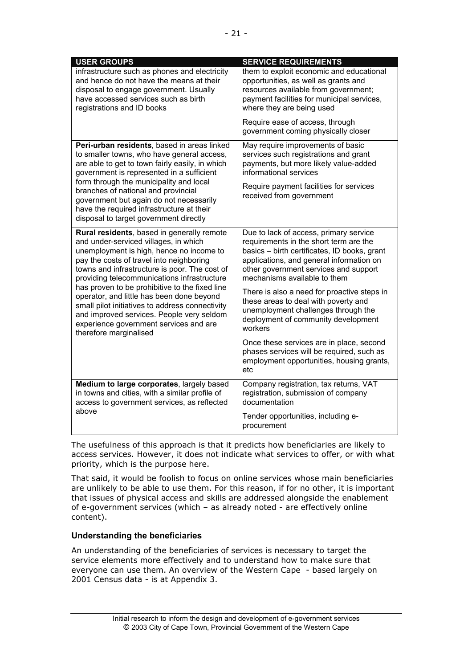| <b>USER GROUPS</b>                                                                                                                                                                                                                                                          | <b>SERVICE REQUIREMENTS</b>                                                                                                                                                                                                                           |
|-----------------------------------------------------------------------------------------------------------------------------------------------------------------------------------------------------------------------------------------------------------------------------|-------------------------------------------------------------------------------------------------------------------------------------------------------------------------------------------------------------------------------------------------------|
| infrastructure such as phones and electricity<br>and hence do not have the means at their<br>disposal to engage government. Usually<br>have accessed services such as birth<br>registrations and ID books                                                                   | them to exploit economic and educational<br>opportunities, as well as grants and<br>resources available from government;<br>payment facilities for municipal services,<br>where they are being used                                                   |
|                                                                                                                                                                                                                                                                             | Require ease of access, through<br>government coming physically closer                                                                                                                                                                                |
| Peri-urban residents, based in areas linked<br>to smaller towns, who have general access,<br>are able to get to town fairly easily, in which<br>government is represented in a sufficient                                                                                   | May require improvements of basic<br>services such registrations and grant<br>payments, but more likely value-added<br>informational services                                                                                                         |
| form through the municipality and local<br>branches of national and provincial<br>government but again do not necessarily<br>have the required infrastructure at their<br>disposal to target government directly                                                            | Require payment facilities for services<br>received from government                                                                                                                                                                                   |
| Rural residents, based in generally remote<br>and under-serviced villages, in which<br>unemployment is high, hence no income to<br>pay the costs of travel into neighboring<br>towns and infrastructure is poor. The cost of<br>providing telecommunications infrastructure | Due to lack of access, primary service<br>requirements in the short term are the<br>basics - birth certificates, ID books, grant<br>applications, and general information on<br>other government services and support<br>mechanisms available to them |
| has proven to be prohibitive to the fixed line<br>operator, and little has been done beyond<br>small pilot initiatives to address connectivity<br>and improved services. People very seldom<br>experience government services and are<br>therefore marginalised             | There is also a need for proactive steps in<br>these areas to deal with poverty and<br>unemployment challenges through the<br>deployment of community development<br>workers                                                                          |
|                                                                                                                                                                                                                                                                             | Once these services are in place, second<br>phases services will be required, such as<br>employment opportunities, housing grants,<br>etc                                                                                                             |
| Medium to large corporates, largely based<br>in towns and cities, with a similar profile of<br>access to government services, as reflected                                                                                                                                  | Company registration, tax returns, VAT<br>registration, submission of company<br>documentation                                                                                                                                                        |
| above                                                                                                                                                                                                                                                                       | Tender opportunities, including e-<br>procurement                                                                                                                                                                                                     |

The usefulness of this approach is that it predicts how beneficiaries are likely to access services. However, it does not indicate what services to offer, or with what priority, which is the purpose here.

That said, it would be foolish to focus on online services whose main beneficiaries are unlikely to be able to use them. For this reason, if for no other, it is important that issues of physical access and skills are addressed alongside the enablement of e-government services (which – as already noted - are effectively online content).

#### **Understanding the beneficiaries**

An understanding of the beneficiaries of services is necessary to target the service elements more effectively and to understand how to make sure that everyone can use them. An overview of the Western Cape - based largely on 2001 Census data - is at Appendix 3.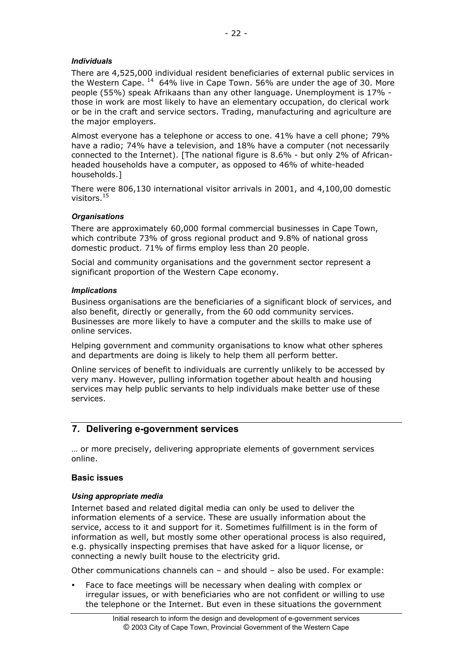### *Individuals*

There are 4,525,000 individual resident beneficiaries of external public services in the Western Cape. <sup>14</sup> 64% live in Cape Town. 56% are under the age of 30. More people (55%) speak Afrikaans than any other language. Unemployment is 17% those in work are most likely to have an elementary occupation, do clerical work or be in the craft and service sectors. Trading, manufacturing and agriculture are the major employers.

Almost everyone has a telephone or access to one. 41% have a cell phone; 79% have a radio; 74% have a television, and 18% have a computer (not necessarily connected to the Internet). [The national figure is 8.6% - but only 2% of Africanheaded households have a computer, as opposed to 46% of white-headed households.]

There were 806,130 international visitor arrivals in 2001, and 4,100,00 domestic visitors.15

### *Organisations*

There are approximately 60,000 formal commercial businesses in Cape Town, which contribute 73% of gross regional product and 9.8% of national gross domestic product. 71% of firms employ less than 20 people.

Social and community organisations and the government sector represent a significant proportion of the Western Cape economy.

#### *Implications*

Business organisations are the beneficiaries of a significant block of services, and also benefit, directly or generally, from the 60 odd community services. Businesses are more likely to have a computer and the skills to make use of online services.

Helping government and community organisations to know what other spheres and departments are doing is likely to help them all perform better.

Online services of benefit to individuals are currently unlikely to be accessed by very many. However, pulling information together about health and housing services may help public servants to help individuals make better use of these services.

# **7. Delivering e-government services**

… or more precisely, delivering appropriate elements of government services online.

#### **Basic issues**

#### *Using appropriate media*

Internet based and related digital media can only be used to deliver the information elements of a service. These are usually information about the service, access to it and support for it. Sometimes fulfillment is in the form of information as well, but mostly some other operational process is also required, e.g. physically inspecting premises that have asked for a liquor license, or connecting a newly built house to the electricity grid.

Other communications channels can – and should – also be used. For example:

Face to face meetings will be necessary when dealing with complex or irregular issues, or with beneficiaries who are not confident or willing to use the telephone or the Internet. But even in these situations the government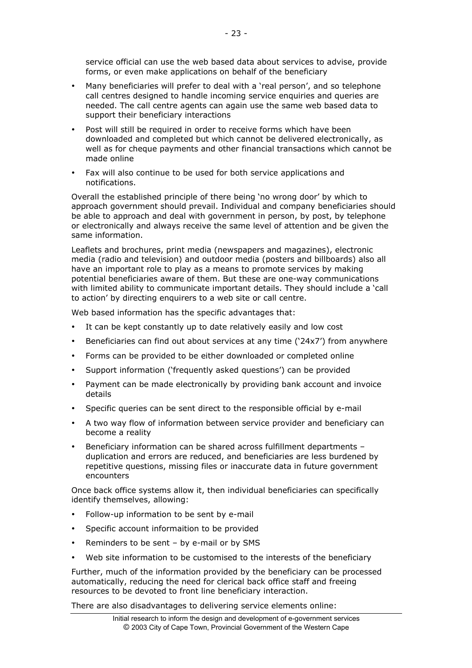Many beneficiaries will prefer to deal with a 'real person', and so telephone call centres designed to handle incoming service enquiries and queries are needed. The call centre agents can again use the same web based data to support their beneficiary interactions

Post will still be required in order to receive forms which have been downloaded and completed but which cannot be delivered electronically, as well as for cheque payments and other financial transactions which cannot be made online

Fax will also continue to be used for both service applications and notifications.

Overall the established principle of there being 'no wrong door' by which to approach government should prevail. Individual and company beneficiaries should be able to approach and deal with government in person, by post, by telephone or electronically and always receive the same level of attention and be given the same information.

Leaflets and brochures, print media (newspapers and magazines), electronic media (radio and television) and outdoor media (posters and billboards) also all have an important role to play as a means to promote services by making potential beneficiaries aware of them. But these are one-way communications with limited ability to communicate important details. They should include a 'call to action' by directing enquirers to a web site or call centre.

Web based information has the specific advantages that:

It can be kept constantly up to date relatively easily and low cost

Beneficiaries can find out about services at any time ('24x7') from anywhere

Forms can be provided to be either downloaded or completed online

Support information ('frequently asked questions') can be provided

Payment can be made electronically by providing bank account and invoice details

Specific queries can be sent direct to the responsible official by e-mail

A two way flow of information between service provider and beneficiary can become a reality

Beneficiary information can be shared across fulfillment departments – duplication and errors are reduced, and beneficiaries are less burdened by repetitive questions, missing files or inaccurate data in future government encounters

Once back office systems allow it, then individual beneficiaries can specifically identify themselves, allowing:

Follow-up information to be sent by e-mail

Specific account informaition to be provided

Reminders to be sent – by e-mail or by SMS

Web site information to be customised to the interests of the beneficiary

Further, much of the information provided by the beneficiary can be processed automatically, reducing the need for clerical back office staff and freeing resources to be devoted to front line beneficiary interaction.

There are also disadvantages to delivering service elements online: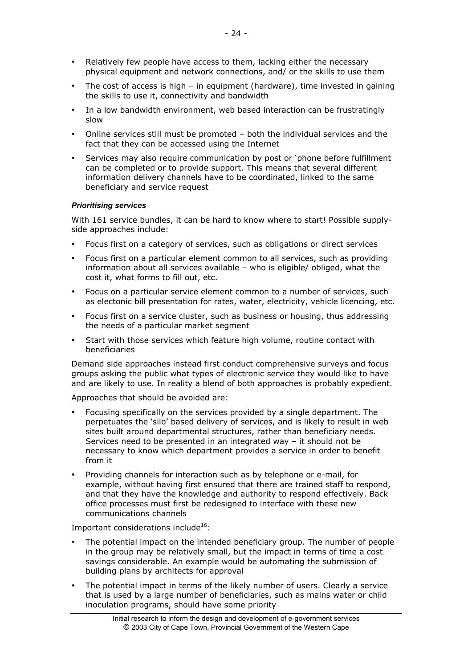Relatively few people have access to them, lacking either the necessary physical equipment and network connections, and/ or the skills to use them

The cost of access is high – in equipment (hardware), time invested in gaining the skills to use it, connectivity and bandwidth

In a low bandwidth environment, web based interaction can be frustratingly slow

Online services still must be promoted – both the individual services and the fact that they can be accessed using the Internet

Services may also require communication by post or 'phone before fulfillment can be completed or to provide support. This means that several different information delivery channels have to be coordinated, linked to the same beneficiary and service request

#### *Prioritising services*

With 161 service bundles, it can be hard to know where to start! Possible supplyside approaches include:

Focus first on a category of services, such as obligations or direct services

Focus first on a particular element common to all services, such as providing information about all services available – who is eligible/ obliged, what the cost it, what forms to fill out, etc.

Focus on a particular service element common to a number of services, such as electonic bill presentation for rates, water, electricity, vehicle licencing, etc.

Focus first on a service cluster, such as business or housing, thus addressing the needs of a particular market segment

Start with those services which feature high volume, routine contact with beneficiaries

Demand side approaches instead first conduct comprehensive surveys and focus groups asking the public what types of electronic service they would like to have and are likely to use. In reality a blend of both approaches is probably expedient.

Approaches that should be avoided are:

Focusing specifically on the services provided by a single department. The perpetuates the 'silo' based delivery of services, and is likely to result in web sites built around departmental structures, rather than beneficiary needs. Services need to be presented in an integrated way – it should not be necessary to know which department provides a service in order to benefit from it

Providing channels for interaction such as by telephone or e-mail, for example, without having first ensured that there are trained staff to respond, and that they have the knowledge and authority to respond effectively. Back office processes must first be redesigned to interface with these new communications channels

Important considerations include $^{16}$ :

The potential impact on the intended beneficiary group. The number of people in the group may be relatively small, but the impact in terms of time a cost savings considerable. An example would be automating the submission of building plans by architects for approval

The potential impact in terms of the likely number of users. Clearly a service that is used by a large number of beneficiaries, such as mains water or child inoculation programs, should have some priority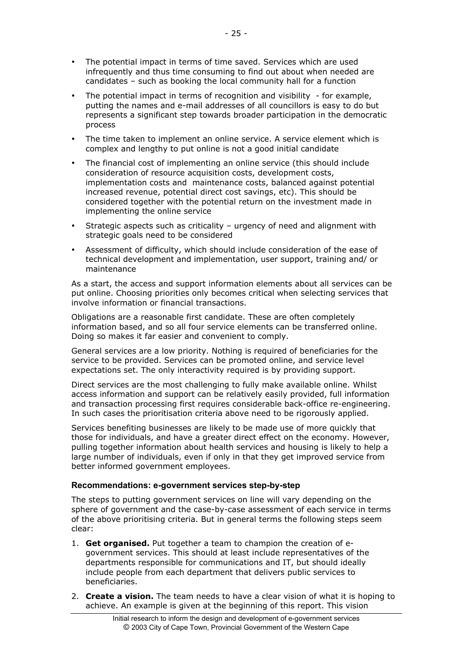The potential impact in terms of time saved. Services which are used infrequently and thus time consuming to find out about when needed are candidates – such as booking the local community hall for a function

The potential impact in terms of recognition and visibility - for example, putting the names and e-mail addresses of all councillors is easy to do but represents a significant step towards broader participation in the democratic process

The time taken to implement an online service. A service element which is complex and lengthy to put online is not a good initial candidate

The financial cost of implementing an online service (this should include consideration of resource acquisition costs, development costs, implementation costs and maintenance costs, balanced against potential increased revenue, potential direct cost savings, etc). This should be considered together with the potential return on the investment made in implementing the online service

Strategic aspects such as criticality – urgency of need and alignment with strategic goals need to be considered

Assessment of difficulty, which should include consideration of the ease of technical development and implementation, user support, training and/ or maintenance

As a start, the access and support information elements about all services can be put online. Choosing priorities only becomes critical when selecting services that involve information or financial transactions.

Obligations are a reasonable first candidate. These are often completely information based, and so all four service elements can be transferred online. Doing so makes it far easier and convenient to comply.

General services are a low priority. Nothing is required of beneficiaries for the service to be provided. Services can be promoted online, and service level expectations set. The only interactivity required is by providing support.

Direct services are the most challenging to fully make available online. Whilst access information and support can be relatively easily provided, full information and transaction processing first requires considerable back-office re-engineering. In such cases the prioritisation criteria above need to be rigorously applied.

Services benefiting businesses are likely to be made use of more quickly that those for individuals, and have a greater direct effect on the economy. However, pulling together information about health services and housing is likely to help a large number of individuals, even if only in that they get improved service from better informed government employees.

#### **Recommendations: e-government services step-by-step**

The steps to putting government services on line will vary depending on the sphere of government and the case-by-case assessment of each service in terms of the above prioritising criteria. But in general terms the following steps seem clear:

- 1. **Get organised.** Put together a team to champion the creation of egovernment services. This should at least include representatives of the departments responsible for communications and IT, but should ideally include people from each department that delivers public services to beneficiaries.
- 2. **Create a vision.** The team needs to have a clear vision of what it is hoping to achieve. An example is given at the beginning of this report. This vision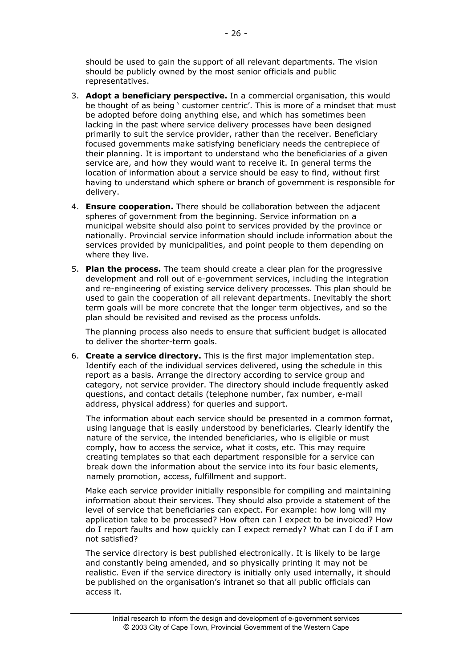should be used to gain the support of all relevant departments. The vision should be publicly owned by the most senior officials and public representatives.

- 3. **Adopt a beneficiary perspective.** In a commercial organisation, this would be thought of as being ' customer centric'. This is more of a mindset that must be adopted before doing anything else, and which has sometimes been lacking in the past where service delivery processes have been designed primarily to suit the service provider, rather than the receiver. Beneficiary focused governments make satisfying beneficiary needs the centrepiece of their planning. It is important to understand who the beneficiaries of a given service are, and how they would want to receive it. In general terms the location of information about a service should be easy to find, without first having to understand which sphere or branch of government is responsible for delivery.
- 4. **Ensure cooperation.** There should be collaboration between the adjacent spheres of government from the beginning. Service information on a municipal website should also point to services provided by the province or nationally. Provincial service information should include information about the services provided by municipalities, and point people to them depending on where they live.
- 5. **Plan the process.** The team should create a clear plan for the progressive development and roll out of e-government services, including the integration and re-engineering of existing service delivery processes. This plan should be used to gain the cooperation of all relevant departments. Inevitably the short term goals will be more concrete that the longer term objectives, and so the plan should be revisited and revised as the process unfolds.

The planning process also needs to ensure that sufficient budget is allocated to deliver the shorter-term goals.

6. **Create a service directory.** This is the first major implementation step. Identify each of the individual services delivered, using the schedule in this report as a basis. Arrange the directory according to service group and category, not service provider. The directory should include frequently asked questions, and contact details (telephone number, fax number, e-mail address, physical address) for queries and support.

The information about each service should be presented in a common format, using language that is easily understood by beneficiaries. Clearly identify the nature of the service, the intended beneficiaries, who is eligible or must comply, how to access the service, what it costs, etc. This may require creating templates so that each department responsible for a service can break down the information about the service into its four basic elements, namely promotion, access, fulfillment and support.

Make each service provider initially responsible for compiling and maintaining information about their services. They should also provide a statement of the level of service that beneficiaries can expect. For example: how long will my application take to be processed? How often can I expect to be invoiced? How do I report faults and how quickly can I expect remedy? What can I do if I am not satisfied?

The service directory is best published electronically. It is likely to be large and constantly being amended, and so physically printing it may not be realistic. Even if the service directory is initially only used internally, it should be published on the organisation's intranet so that all public officials can access it.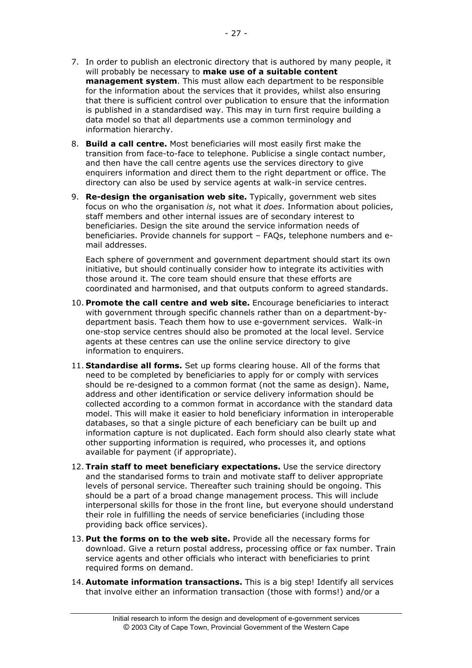- 7. In order to publish an electronic directory that is authored by many people, it will probably be necessary to **make use of a suitable content management system**. This must allow each department to be responsible for the information about the services that it provides, whilst also ensuring that there is sufficient control over publication to ensure that the information is published in a standardised way. This may in turn first require building a data model so that all departments use a common terminology and information hierarchy.
- 8. **Build a call centre.** Most beneficiaries will most easily first make the transition from face-to-face to telephone. Publicise a single contact number, and then have the call centre agents use the services directory to give enquirers information and direct them to the right department or office. The directory can also be used by service agents at walk-in service centres.
- 9. **Re-design the organisation web site.** Typically, government web sites focus on who the organisation *is*, not what it *does*. Information about policies, staff members and other internal issues are of secondary interest to beneficiaries. Design the site around the service information needs of beneficiaries. Provide channels for support – FAQs, telephone numbers and email addresses.

Each sphere of government and government department should start its own initiative, but should continually consider how to integrate its activities with those around it. The core team should ensure that these efforts are coordinated and harmonised, and that outputs conform to agreed standards.

- 10. **Promote the call centre and web site.** Encourage beneficiaries to interact with government through specific channels rather than on a department-bydepartment basis. Teach them how to use e-government services. Walk-in one-stop service centres should also be promoted at the local level. Service agents at these centres can use the online service directory to give information to enquirers.
- 11. **Standardise all forms.** Set up forms clearing house. All of the forms that need to be completed by beneficiaries to apply for or comply with services should be re-designed to a common format (not the same as design). Name, address and other identification or service delivery information should be collected according to a common format in accordance with the standard data model. This will make it easier to hold beneficiary information in interoperable databases, so that a single picture of each beneficiary can be built up and information capture is not duplicated. Each form should also clearly state what other supporting information is required, who processes it, and options available for payment (if appropriate).
- 12. **Train staff to meet beneficiary expectations.** Use the service directory and the standarised forms to train and motivate staff to deliver appropriate levels of personal service. Thereafter such training should be ongoing. This should be a part of a broad change management process. This will include interpersonal skills for those in the front line, but everyone should understand their role in fulfilling the needs of service beneficiaries (including those providing back office services).
- 13. **Put the forms on to the web site.** Provide all the necessary forms for download. Give a return postal address, processing office or fax number. Train service agents and other officials who interact with beneficiaries to print required forms on demand.
- 14. **Automate information transactions.** This is a big step! Identify all services that involve either an information transaction (those with forms!) and/or a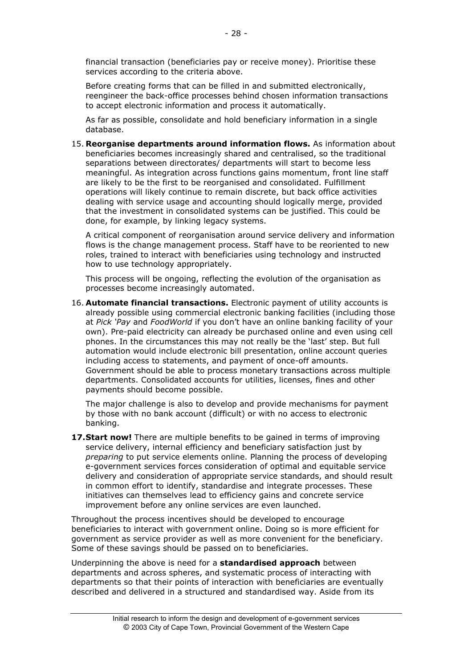financial transaction (beneficiaries pay or receive money). Prioritise these services according to the criteria above.

Before creating forms that can be filled in and submitted electronically, reengineer the back-office processes behind chosen information transactions to accept electronic information and process it automatically.

As far as possible, consolidate and hold beneficiary information in a single database.

15. **Reorganise departments around information flows.** As information about beneficiaries becomes increasingly shared and centralised, so the traditional separations between directorates/ departments will start to become less meaningful. As integration across functions gains momentum, front line staff are likely to be the first to be reorganised and consolidated. Fulfillment operations will likely continue to remain discrete, but back office activities dealing with service usage and accounting should logically merge, provided that the investment in consolidated systems can be justified. This could be done, for example, by linking legacy systems.

A critical component of reorganisation around service delivery and information flows is the change management process. Staff have to be reoriented to new roles, trained to interact with beneficiaries using technology and instructed how to use technology appropriately.

This process will be ongoing, reflecting the evolution of the organisation as processes become increasingly automated.

16. **Automate financial transactions.** Electronic payment of utility accounts is already possible using commercial electronic banking facilities (including those at *Pick 'Pay* and *FoodWorld* if you don't have an online banking facility of your own). Pre-paid electricity can already be purchased online and even using cell phones. In the circumstances this may not really be the 'last' step. But full automation would include electronic bill presentation, online account queries including access to statements, and payment of once-off amounts. Government should be able to process monetary transactions across multiple departments. Consolidated accounts for utilities, licenses, fines and other payments should become possible.

The major challenge is also to develop and provide mechanisms for payment by those with no bank account (difficult) or with no access to electronic banking.

**17. Start now!** There are multiple benefits to be gained in terms of improving service delivery, internal efficiency and beneficiary satisfaction just by *preparing* to put service elements online. Planning the process of developing e-government services forces consideration of optimal and equitable service delivery and consideration of appropriate service standards, and should result in common effort to identify, standardise and integrate processes. These initiatives can themselves lead to efficiency gains and concrete service improvement before any online services are even launched.

Throughout the process incentives should be developed to encourage beneficiaries to interact with government online. Doing so is more efficient for government as service provider as well as more convenient for the beneficiary. Some of these savings should be passed on to beneficiaries.

Underpinning the above is need for a **standardised approach** between departments and across spheres, and systematic process of interacting with departments so that their points of interaction with beneficiaries are eventually described and delivered in a structured and standardised way. Aside from its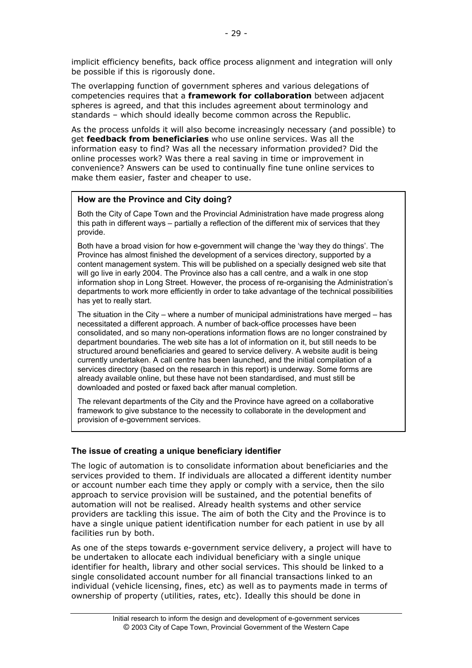implicit efficiency benefits, back office process alignment and integration will only be possible if this is rigorously done.

The overlapping function of government spheres and various delegations of competencies requires that a **framework for collaboration** between adjacent spheres is agreed, and that this includes agreement about terminology and standards – which should ideally become common across the Republic.

As the process unfolds it will also become increasingly necessary (and possible) to get **feedback from beneficiaries** who use online services. Was all the information easy to find? Was all the necessary information provided? Did the online processes work? Was there a real saving in time or improvement in convenience? Answers can be used to continually fine tune online services to make them easier, faster and cheaper to use.

# **How are the Province and City doing?**

Both the City of Cape Town and the Provincial Administration have made progress along this path in different ways – partially a reflection of the different mix of services that they provide.

Both have a broad vision for how e-government will change the 'way they do things'. The Province has almost finished the development of a services directory, supported by a content management system. This will be published on a specially designed web site that will go live in early 2004. The Province also has a call centre, and a walk in one stop information shop in Long Street. However, the process of re-organising the Administration's departments to work more efficiently in order to take advantage of the technical possibilities has yet to really start.

The situation in the City – where a number of municipal administrations have merged – has necessitated a different approach. A number of back-office processes have been consolidated, and so many non-operations information flows are no longer constrained by department boundaries. The web site has a lot of information on it, but still needs to be structured around beneficiaries and geared to service delivery. A website audit is being currently undertaken. A call centre has been launched, and the initial compilation of a services directory (based on the research in this report) is underway. Some forms are already available online, but these have not been standardised, and must still be downloaded and posted or faxed back after manual completion.

The relevant departments of the City and the Province have agreed on a collaborative framework to give substance to the necessity to collaborate in the development and provision of e-government services.

# **The issue of creating a unique beneficiary identifier**

The logic of automation is to consolidate information about beneficiaries and the services provided to them. If individuals are allocated a different identity number or account number each time they apply or comply with a service, then the silo approach to service provision will be sustained, and the potential benefits of automation will not be realised. Already health systems and other service providers are tackling this issue. The aim of both the City and the Province is to have a single unique patient identification number for each patient in use by all facilities run by both.

As one of the steps towards e-government service delivery, a project will have to be undertaken to allocate each individual beneficiary with a single unique identifier for health, library and other social services. This should be linked to a single consolidated account number for all financial transactions linked to an individual (vehicle licensing, fines, etc) as well as to payments made in terms of ownership of property (utilities, rates, etc). Ideally this should be done in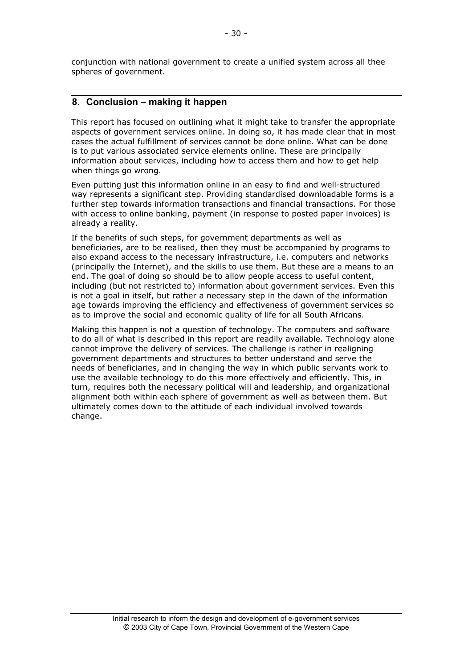conjunction with national government to create a unified system across all thee spheres of government.

# **8. Conclusion – making it happen**

This report has focused on outlining what it might take to transfer the appropriate aspects of government services online. In doing so, it has made clear that in most cases the actual fulfillment of services cannot be done online. What can be done is to put various associated service elements online. These are principally information about services, including how to access them and how to get help when things go wrong.

Even putting just this information online in an easy to find and well-structured way represents a significant step. Providing standardised downloadable forms is a further step towards information transactions and financial transactions. For those with access to online banking, payment (in response to posted paper invoices) is already a reality.

If the benefits of such steps, for government departments as well as beneficiaries, are to be realised, then they must be accompanied by programs to also expand access to the necessary infrastructure, i.e. computers and networks (principally the Internet), and the skills to use them. But these are a means to an end. The goal of doing so should be to allow people access to useful content, including (but not restricted to) information about government services. Even this is not a goal in itself, but rather a necessary step in the dawn of the information age towards improving the efficiency and effectiveness of government services so as to improve the social and economic quality of life for all South Africans.

Making this happen is not a question of technology. The computers and software to do all of what is described in this report are readily available. Technology alone cannot improve the delivery of services. The challenge is rather in realigning government departments and structures to better understand and serve the needs of beneficiaries, and in changing the way in which public servants work to use the available technology to do this more effectively and efficiently. This, in turn, requires both the necessary political will and leadership, and organizational alignment both within each sphere of government as well as between them. But ultimately comes down to the attitude of each individual involved towards change.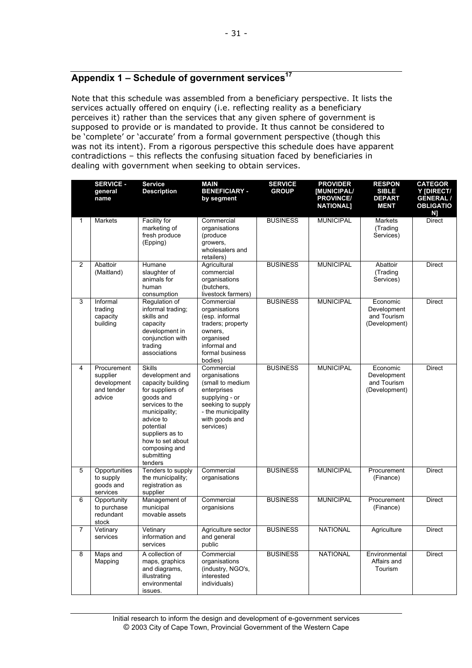# Appendix 1 – Schedule of government services<sup>17</sup>

Note that this schedule was assembled from a beneficiary perspective. It lists the services actually offered on enquiry (i.e. reflecting reality as a beneficiary perceives it) rather than the services that any given sphere of government is supposed to provide or is mandated to provide. It thus cannot be considered to be 'complete' or 'accurate' from a formal government perspective (though this was not its intent). From a rigorous perspective this schedule does have apparent contradictions – this reflects the confusing situation faced by beneficiaries in dealing with government when seeking to obtain services.

|              | <b>SERVICE -</b><br>general<br>name                            | <b>Service</b><br><b>Description</b>                                                                                                                                                                                                  | <b>MAIN</b><br><b>BENEFICIARY -</b><br>by segment                                                                                                          | <b>SERVICE</b><br><b>GROUP</b> | <b>PROVIDER</b><br>[MUNICIPAL/<br><b>PROVINCE/</b><br><b>NATIONAL]</b> | <b>RESPON</b><br><b>SIBLE</b><br><b>DEPART</b><br><b>MENT</b> | <b>CATEGOR</b><br>Y [DIRECT/<br><b>GENERAL /</b><br><b>OBLIGATIO</b><br>N] |
|--------------|----------------------------------------------------------------|---------------------------------------------------------------------------------------------------------------------------------------------------------------------------------------------------------------------------------------|------------------------------------------------------------------------------------------------------------------------------------------------------------|--------------------------------|------------------------------------------------------------------------|---------------------------------------------------------------|----------------------------------------------------------------------------|
| $\mathbf{1}$ | Markets                                                        | Facility for<br>marketing of<br>fresh produce<br>(Epping)                                                                                                                                                                             | Commercial<br>organisations<br>(produce<br>growers,<br>wholesalers and<br>retailers)                                                                       | <b>BUSINESS</b>                | <b>MUNICIPAL</b>                                                       | Markets<br>(Trading<br>Services)                              | <b>Direct</b>                                                              |
| 2            | Abattoir<br>(Maitland)                                         | Humane<br>slaughter of<br>animals for<br>human<br>consumption                                                                                                                                                                         | Agricultural<br>commercial<br>organisations<br>(butchers,<br>livestock farmers)                                                                            | <b>BUSINESS</b>                | <b>MUNICIPAL</b>                                                       | Abattoir<br>(Trading<br>Services)                             | <b>Direct</b>                                                              |
| 3            | Informal<br>trading<br>capacity<br>building                    | Regulation of<br>informal trading;<br>skills and<br>capacity<br>development in<br>conjunction with<br>trading<br>associations                                                                                                         | Commercial<br>organisations<br>(esp. informal<br>traders; property<br>owners,<br>organised<br>informal and<br>formal business<br>bodies)                   | <b>BUSINESS</b>                | <b>MUNICIPAL</b>                                                       | Economic<br>Development<br>and Tourism<br>(Development)       | <b>Direct</b>                                                              |
| 4            | Procurement<br>supplier<br>development<br>and tender<br>advice | <b>Skills</b><br>development and<br>capacity building<br>for suppliers of<br>goods and<br>services to the<br>municipality;<br>advice to<br>potential<br>suppliers as to<br>how to set about<br>composing and<br>submitting<br>tenders | Commercial<br>organisations<br>(small to medium<br>enterprises<br>supplying - or<br>seeking to supply<br>- the municipality<br>with goods and<br>services) | <b>BUSINESS</b>                | <b>MUNICIPAL</b>                                                       | Economic<br>Development<br>and Tourism<br>(Development)       | <b>Direct</b>                                                              |
| 5            | Opportunities<br>to supply<br>goods and<br>services            | Tenders to supply<br>the municipality;<br>registration as<br>supplier                                                                                                                                                                 | Commercial<br>organisations                                                                                                                                | <b>BUSINESS</b>                | <b>MUNICIPAL</b>                                                       | Procurement<br>(Finance)                                      | <b>Direct</b>                                                              |
| 6            | Opportunity<br>to purchase<br>redundant<br>stock               | Management of<br>municipal<br>movable assets                                                                                                                                                                                          | Commercial<br>organisions                                                                                                                                  | <b>BUSINESS</b>                | <b>MUNICIPAL</b>                                                       | Procurement<br>(Finance)                                      | <b>Direct</b>                                                              |
| 7            | Vetinary<br>services                                           | Vetinary<br>information and<br>services                                                                                                                                                                                               | Agriculture sector<br>and general<br>public                                                                                                                | <b>BUSINESS</b>                | <b>NATIONAL</b>                                                        | Agriculture                                                   | <b>Direct</b>                                                              |
| 8            | Maps and<br>Mapping                                            | A collection of<br>maps, graphics<br>and diagrams,<br>illustrating<br>environmental<br>issues.                                                                                                                                        | Commercial<br>organisations<br>(industry, NGO's,<br>interested<br>individuals)                                                                             | <b>BUSINESS</b>                | <b>NATIONAL</b>                                                        | Environmental<br>Affairs and<br>Tourism                       | <b>Direct</b>                                                              |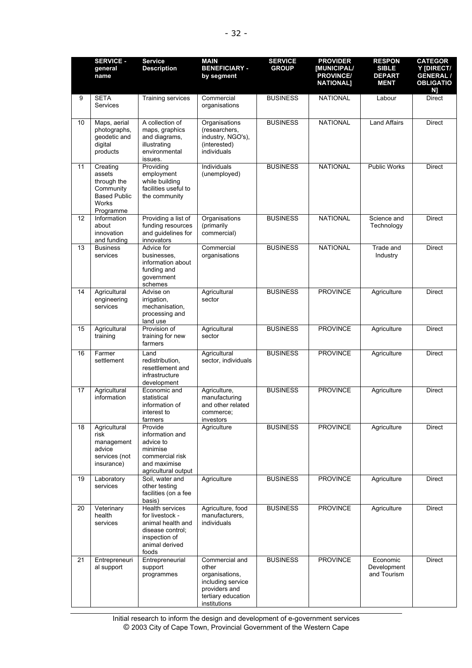|    | <b>SERVICE -</b><br>general<br>name                                                                | <b>Service</b><br><b>Description</b>                                                                                    | <b>MAIN</b><br><b>BENEFICIARY -</b><br>by segment                                                                     | <b>SERVICE</b><br><b>GROUP</b> | <b>PROVIDER</b><br><b>IMUNICIPAL/</b><br><b>PROVINCE/</b><br><b>NATIONAL]</b> | <b>RESPON</b><br><b>SIBLE</b><br><b>DEPART</b><br><b>MENT</b> | <b>CATEGOR</b><br>Y [DIRECT/<br><b>GENERAL /</b><br><b>OBLIGATIO</b><br>N] |
|----|----------------------------------------------------------------------------------------------------|-------------------------------------------------------------------------------------------------------------------------|-----------------------------------------------------------------------------------------------------------------------|--------------------------------|-------------------------------------------------------------------------------|---------------------------------------------------------------|----------------------------------------------------------------------------|
| 9  | <b>SETA</b><br><b>Services</b>                                                                     | Training services                                                                                                       | Commercial<br>organisations                                                                                           | <b>BUSINESS</b>                | <b>NATIONAL</b>                                                               | Labour                                                        | <b>Direct</b>                                                              |
| 10 | Maps, aerial<br>photographs,<br>geodetic and<br>digital<br>products                                | A collection of<br>maps, graphics<br>and diagrams,<br>illustrating<br>environmental<br>issues.                          | Organisations<br>(researchers,<br>industry, NGO's),<br>(interested)<br>individuals                                    | <b>BUSINESS</b>                | <b>NATIONAL</b>                                                               | <b>Land Affairs</b>                                           | Direct                                                                     |
| 11 | Creating<br>assets<br>through the<br>Community<br><b>Based Public</b><br><b>Works</b><br>Programme | Providing<br>employment<br>while building<br>facilities useful to<br>the community                                      | Individuals<br>(unemployed)                                                                                           | <b>BUSINESS</b>                | <b>NATIONAL</b>                                                               | <b>Public Works</b>                                           | <b>Direct</b>                                                              |
| 12 | Information<br>about<br>innovation<br>and funding                                                  | Providing a list of<br>funding resources<br>and guidelines for<br>innovators                                            | Organisations<br>(primarily<br>commercial)                                                                            | <b>BUSINESS</b>                | <b>NATIONAL</b>                                                               | Science and<br>Technology                                     | <b>Direct</b>                                                              |
| 13 | <b>Business</b><br>services                                                                        | Advice for<br>businesses,<br>information about<br>funding and<br>government<br>schemes                                  | Commercial<br>organisations                                                                                           | <b>BUSINESS</b>                | <b>NATIONAL</b>                                                               | Trade and<br>Industry                                         | <b>Direct</b>                                                              |
| 14 | Agricultural<br>engineering<br>services                                                            | Advise on<br>irrigation,<br>mechanisation,<br>processing and<br>land use                                                | Agricultural<br>sector                                                                                                | <b>BUSINESS</b>                | <b>PROVINCE</b>                                                               | Agriculture                                                   | <b>Direct</b>                                                              |
| 15 | Agricultural<br>training                                                                           | Provision of<br>training for new<br>farmers                                                                             | Agricultural<br>sector                                                                                                | <b>BUSINESS</b>                | <b>PROVINCE</b>                                                               | Agriculture                                                   | <b>Direct</b>                                                              |
| 16 | Farmer<br>settlement                                                                               | Land<br>redistribution,<br>resettlement and<br>infrastructure<br>development                                            | Agricultural<br>sector, individuals                                                                                   | <b>BUSINESS</b>                | <b>PROVINCE</b>                                                               | Agriculture                                                   | <b>Direct</b>                                                              |
| 17 | Agricultural<br>information                                                                        | Economic and<br>statistical<br>information of<br>interest to<br>farmers                                                 | Agriculture,<br>manufacturing<br>and other related<br>commerce:<br>investors                                          | <b>BUSINESS</b>                | <b>PROVINCE</b>                                                               | Agriculture                                                   | <b>Direct</b>                                                              |
| 18 | Agricultural<br>risk<br>management<br>advice<br>services (not<br>insurance)                        | Provide<br>information and<br>advice to<br>minimise<br>commercial risk<br>and maximise<br>agricultural output           | Agriculture                                                                                                           | <b>BUSINESS</b>                | <b>PROVINCE</b>                                                               | Agriculture                                                   | Direct                                                                     |
| 19 | Laboratory<br>services                                                                             | Soil, water and<br>other testing<br>facilities (on a fee<br>basis)                                                      | Agriculture                                                                                                           | <b>BUSINESS</b>                | <b>PROVINCE</b>                                                               | Agriculture                                                   | Direct                                                                     |
| 20 | Veterinary<br>health<br>services                                                                   | Health services<br>for livestock -<br>animal health and<br>disease control;<br>inspection of<br>animal derived<br>foods | Agriculture, food<br>manufacturers,<br>individuals                                                                    | <b>BUSINESS</b>                | <b>PROVINCE</b>                                                               | Agriculture                                                   | <b>Direct</b>                                                              |
| 21 | Entrepreneuri<br>al support                                                                        | Entrepreneurial<br>support<br>programmes                                                                                | Commercial and<br>other<br>organisations,<br>including service<br>providers and<br>tertiary education<br>institutions | <b>BUSINESS</b>                | <b>PROVINCE</b>                                                               | Economic<br>Development<br>and Tourism                        | <b>Direct</b>                                                              |

Initial research to inform the design and development of e-government services © 2003 City of Cape Town, Provincial Government of the Western Cape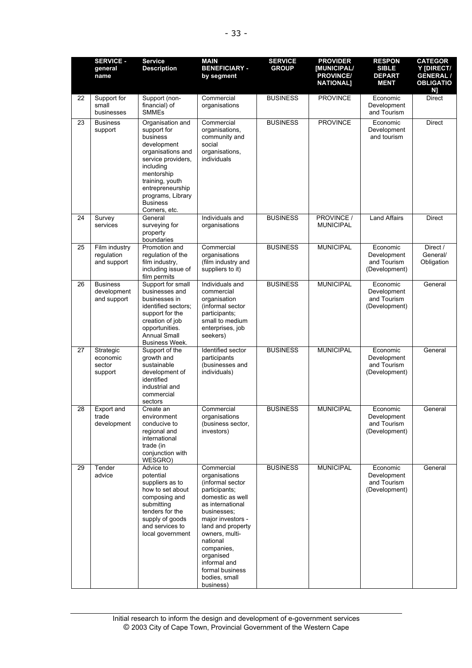|    | <b>SERVICE -</b><br>general<br>name           | <b>Service</b><br><b>Description</b>                                                                                                                                                                                             | <b>MAIN</b><br><b>BENEFICIARY -</b><br>by segment                                                                                                                                                                                                                                           | <b>SERVICE</b><br><b>GROUP</b> | <b>PROVIDER</b><br><b>IMUNICIPAL/</b><br><b>PROVINCE/</b><br><b>NATIONAL]</b> | <b>RESPON</b><br><b>SIBLE</b><br><b>DEPART</b><br><b>MENT</b> | <b>CATEGOR</b><br>Y IDIRECT/<br><b>GENERAL /</b><br><b>OBLIGATIO</b><br>N] |
|----|-----------------------------------------------|----------------------------------------------------------------------------------------------------------------------------------------------------------------------------------------------------------------------------------|---------------------------------------------------------------------------------------------------------------------------------------------------------------------------------------------------------------------------------------------------------------------------------------------|--------------------------------|-------------------------------------------------------------------------------|---------------------------------------------------------------|----------------------------------------------------------------------------|
| 22 | Support for<br>small<br>businesses            | Support (non-<br>financial) of<br><b>SMMEs</b>                                                                                                                                                                                   | Commercial<br>organisations                                                                                                                                                                                                                                                                 | <b>BUSINESS</b>                | <b>PROVINCE</b>                                                               | Economic<br>Development<br>and Tourism                        | <b>Direct</b>                                                              |
| 23 | <b>Business</b><br>support                    | Organisation and<br>support for<br>business<br>development<br>organisations and<br>service providers,<br>including<br>mentorship<br>training, youth<br>entrepreneurship<br>programs, Library<br><b>Business</b><br>Corners, etc. | Commercial<br>organisations,<br>community and<br>social<br>organisations,<br>individuals                                                                                                                                                                                                    | <b>BUSINESS</b>                | <b>PROVINCE</b>                                                               | Economic<br>Development<br>and tourism                        | Direct                                                                     |
| 24 | Survey<br>services                            | General<br>surveying for<br>property<br>boundaries                                                                                                                                                                               | Individuals and<br>organisations                                                                                                                                                                                                                                                            | <b>BUSINESS</b>                | PROVINCE /<br><b>MUNICIPAL</b>                                                | <b>Land Affairs</b>                                           | <b>Direct</b>                                                              |
| 25 | Film industry<br>regulation<br>and support    | Promotion and<br>regulation of the<br>film industry,<br>including issue of<br>film permits                                                                                                                                       | Commercial<br>organisations<br>(film industry and<br>suppliers to it)                                                                                                                                                                                                                       | <b>BUSINESS</b>                | <b>MUNICIPAL</b>                                                              | Economic<br>Development<br>and Tourism<br>(Development)       | Direct /<br>General/<br>Obligation                                         |
| 26 | <b>Business</b><br>development<br>and support | Support for small<br>businesses and<br>businesses in<br>identified sectors;<br>support for the<br>creation of job<br>opportunities.<br><b>Annual Small</b><br>Business Week.                                                     | Individuals and<br>commercial<br>organisation<br>(informal sector<br>participants;<br>small to medium<br>enterprises, job<br>seekers)                                                                                                                                                       | <b>BUSINESS</b>                | <b>MUNICIPAL</b>                                                              | Economic<br>Development<br>and Tourism<br>(Development)       | General                                                                    |
| 27 | Strategic<br>economic<br>sector<br>support    | Support of the<br>growth and<br>sustainable<br>development of<br>identified<br>industrial and<br>commercial<br>sectors                                                                                                           | Identified sector<br>participants<br>(businesses and<br>individuals)                                                                                                                                                                                                                        | <b>BUSINESS</b>                | <b>MUNICIPAL</b>                                                              | Economic<br>Development<br>and Tourism<br>(Development)       | General                                                                    |
| 28 | Export and<br>trade<br>development            | Create an<br>environment<br>conducive to<br>regional and<br>international<br>trade (in<br>conjunction with<br>WESGRO)                                                                                                            | Commercial<br>organisations<br>(business sector,<br>investors)                                                                                                                                                                                                                              | <b>BUSINESS</b>                | <b>MUNICIPAL</b>                                                              | Economic<br>Development<br>and Tourism<br>(Development)       | General                                                                    |
| 29 | Tender<br>advice                              | Advice to<br>potential<br>suppliers as to<br>how to set about<br>composing and<br>submitting<br>tenders for the<br>supply of goods<br>and services to<br>local government                                                        | Commercial<br>organisations<br>(informal sector<br>participants;<br>domestic as well<br>as international<br>businesses:<br>major investors -<br>land and property<br>owners, multi-<br>national<br>companies,<br>organised<br>informal and<br>formal business<br>bodies, small<br>business) | <b>BUSINESS</b>                | <b>MUNICIPAL</b>                                                              | Economic<br>Development<br>and Tourism<br>(Development)       | General                                                                    |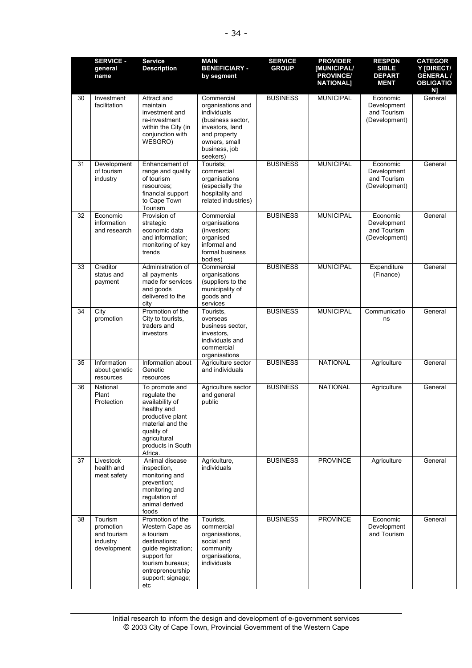|    | <b>SERVICE -</b><br>general<br>name                            | <b>Service</b><br><b>Description</b>                                                                                                                                        | <b>MAIN</b><br><b>BENEFICIARY -</b><br>by segment                                                                                                    | <b>SERVICE</b><br><b>GROUP</b> | <b>PROVIDER</b><br><b>IMUNICIPAL/</b><br><b>PROVINCE/</b><br><b>NATIONAL]</b> | <b>RESPON</b><br><b>SIBLE</b><br><b>DEPART</b><br><b>MENT</b> | <b>CATEGOR</b><br>Y [DIRECT/<br><b>GENERAL /</b><br><b>OBLIGATIO</b><br>N] |
|----|----------------------------------------------------------------|-----------------------------------------------------------------------------------------------------------------------------------------------------------------------------|------------------------------------------------------------------------------------------------------------------------------------------------------|--------------------------------|-------------------------------------------------------------------------------|---------------------------------------------------------------|----------------------------------------------------------------------------|
| 30 | Investment<br>facilitation                                     | Attract and<br>maintain<br>investment and<br>re-investment<br>within the City (in<br>conjunction with<br>WESGRO)                                                            | Commercial<br>organisations and<br>individuals<br>(business sector,<br>investors, land<br>and property<br>owners, small<br>business, job<br>seekers) | <b>BUSINESS</b>                | <b>MUNICIPAL</b>                                                              | Economic<br>Development<br>and Tourism<br>(Development)       | General                                                                    |
| 31 | Development<br>of tourism<br>industry                          | Enhancement of<br>range and quality<br>of tourism<br>resources;<br>financial support<br>to Cape Town<br>Tourism                                                             | Tourists:<br>commercial<br>organisations<br>(especially the<br>hospitality and<br>related industries)                                                | <b>BUSINESS</b>                | <b>MUNICIPAL</b>                                                              | Economic<br>Development<br>and Tourism<br>(Development)       | General                                                                    |
| 32 | Economic<br>information<br>and research                        | Provision of<br>strategic<br>economic data<br>and information;<br>monitoring of key<br>trends                                                                               | Commercial<br>organisations<br>(investors;<br>organised<br>informal and<br>formal business<br>bodies)                                                | <b>BUSINESS</b>                | <b>MUNICIPAL</b>                                                              | Economic<br>Development<br>and Tourism<br>(Development)       | General                                                                    |
| 33 | Creditor<br>status and<br>payment                              | Administration of<br>all payments<br>made for services<br>and goods<br>delivered to the<br>city                                                                             | Commercial<br>organisations<br>(suppliers to the<br>municipality of<br>goods and<br>services                                                         | <b>BUSINESS</b>                | <b>MUNICIPAL</b>                                                              | Expenditure<br>(Finance)                                      | General                                                                    |
| 34 | City<br>promotion                                              | Promotion of the<br>City to tourists,<br>traders and<br>investors                                                                                                           | Tourists,<br>overseas<br>business sector,<br>investors,<br>individuals and<br>commercial<br>organisations                                            | <b>BUSINESS</b>                | <b>MUNICIPAL</b>                                                              | Communicatio<br>ns                                            | General                                                                    |
| 35 | Information<br>about genetic<br>resources                      | Information about<br>Genetic<br>resources                                                                                                                                   | Agriculture sector<br>and individuals                                                                                                                | <b>BUSINESS</b>                | <b>NATIONAL</b>                                                               | Agriculture                                                   | General                                                                    |
| 36 | National<br>Plant<br>Protection                                | To promote and<br>regulate the<br>availability of<br>healthy and<br>productive plant<br>material and the<br>quality of<br>agricultural<br>products in South<br>Africa.      | Agriculture sector<br>and general<br>public                                                                                                          | <b>BUSINESS</b>                | <b>NATIONAL</b>                                                               | Agriculture                                                   | General                                                                    |
| 37 | Livestock<br>health and<br>meat safety                         | Animal disease<br>inspection,<br>monitoring and<br>prevention;<br>monitoring and<br>regulation of<br>animal derived<br>foods                                                | Agriculture,<br>individuals                                                                                                                          | <b>BUSINESS</b>                | <b>PROVINCE</b>                                                               | Agriculture                                                   | General                                                                    |
| 38 | Tourism<br>promotion<br>and tourism<br>industry<br>development | Promotion of the<br>Western Cape as<br>a tourism<br>destinations;<br>guide registration;<br>support for<br>tourism bureaus;<br>entrepreneurship<br>support; signage;<br>etc | Tourists,<br>commercial<br>organisations,<br>social and<br>community<br>organisations,<br>individuals                                                | <b>BUSINESS</b>                | <b>PROVINCE</b>                                                               | Economic<br>Development<br>and Tourism                        | General                                                                    |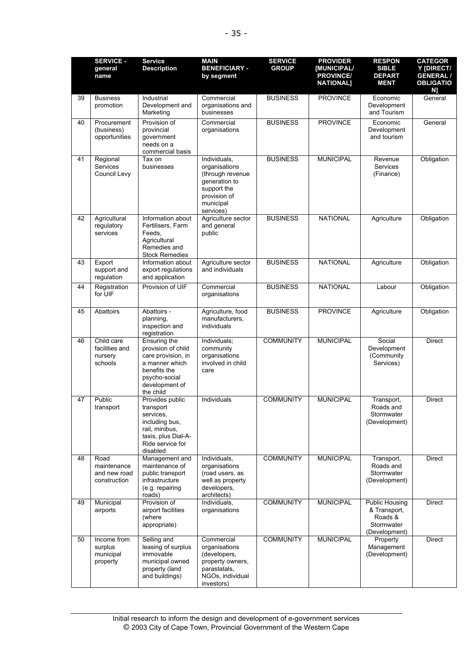|    | <b>SERVICE -</b><br>general<br>name                 | <b>Service</b><br><b>Description</b>                                                                                                       | <b>MAIN</b><br><b>BENEFICIARY -</b><br>by segment                                                                           | <b>SERVICE</b><br><b>GROUP</b> | <b>PROVIDER</b><br>[MUNICIPAL/<br><b>PROVINCE/</b><br><b>NATIONAL]</b> | <b>RESPON</b><br><b>SIBLE</b><br><b>DEPART</b><br><b>MENT</b>                   | <b>CATEGOR</b><br>Y [DIRECT/<br><b>GENERAL/</b><br><b>OBLIGATIO</b><br>N] |
|----|-----------------------------------------------------|--------------------------------------------------------------------------------------------------------------------------------------------|-----------------------------------------------------------------------------------------------------------------------------|--------------------------------|------------------------------------------------------------------------|---------------------------------------------------------------------------------|---------------------------------------------------------------------------|
| 39 | <b>Business</b><br>promotion                        | Industrial<br>Development and<br>Marketing                                                                                                 | Commercial<br>organisations and<br>businesses                                                                               | <b>BUSINESS</b>                | <b>PROVINCE</b>                                                        | Economic<br>Development<br>and Tourism                                          | General                                                                   |
| 40 | Procurement<br>(business)<br>opportunities          | Provision of<br>provincial<br>government<br>needs on a<br>commercial basis                                                                 | Commercial<br>organisations                                                                                                 | <b>BUSINESS</b>                | <b>PROVINCE</b>                                                        | Economic<br>Development<br>and tourism                                          | General                                                                   |
| 41 | Regional<br>Services<br>Council Levy                | Tax on<br>businesses                                                                                                                       | Individuals,<br>organisations<br>(through revenue<br>generation to<br>support the<br>provision of<br>municipal<br>services) | <b>BUSINESS</b>                | <b>MUNICIPAL</b>                                                       | Revenue<br><b>Services</b><br>(Finance)                                         | Obligation                                                                |
| 42 | Agricultural<br>regulatory<br>services              | Information about<br>Fertilisers, Farm<br>Feeds.<br>Agricultural<br>Remedies and<br><b>Stock Remedies</b>                                  | Agriculture sector<br>and general<br>public                                                                                 | <b>BUSINESS</b>                | <b>NATIONAL</b>                                                        | Agriculture                                                                     | Obligation                                                                |
| 43 | Export<br>support and<br>regulation                 | Information about<br>export regulations<br>and application                                                                                 | Agriculture sector<br>and individuals                                                                                       | <b>BUSINESS</b>                | <b>NATIONAL</b>                                                        | Agriculture                                                                     | Obligation                                                                |
| 44 | Registration<br>for UIF                             | Provision of UIF                                                                                                                           | Commercial<br>organisations                                                                                                 | <b>BUSINESS</b>                | <b>NATIONAL</b>                                                        | Labour                                                                          | Obligation                                                                |
| 45 | Abattoirs                                           | Abattoirs -<br>planning,<br>inspection and<br>registration                                                                                 | Agriculture, food<br>manufacturers,<br>individuals                                                                          | <b>BUSINESS</b>                | <b>PROVINCE</b>                                                        | Agriculture                                                                     | Obligation                                                                |
| 46 | Child care<br>facilities and<br>nursery<br>schools  | Ensuring the<br>provision of child<br>care provision, in<br>a manner which<br>benefits the<br>psycho-social<br>development of<br>the child | Individuals;<br>community<br>organisations<br>involved in child<br>care                                                     | <b>COMMUNITY</b>               | <b>MUNICIPAL</b>                                                       | Social<br>Development<br>(Community<br>Services)                                | <b>Direct</b>                                                             |
| 47 | Public<br>transport                                 | Provides public<br>transport<br>services,<br>including bus,<br>rail, minibus,<br>taxis, plus Dial-A-<br>Ride service for<br>disabled       | Individuals                                                                                                                 | <b>COMMUNITY</b>               | <b>MUNICIPAL</b>                                                       | Transport,<br>Roads and<br>Stormwater<br>(Development)                          | <b>Direct</b>                                                             |
| 48 | Road<br>maintenance<br>and new road<br>construction | Management and<br>maintenance of<br>public transport<br>infrastructure<br>(e.g. repairing<br>roads)                                        | Individuals,<br>organisations<br>(road users, as<br>well as property<br>developers,<br>architects)                          | <b>COMMUNITY</b>               | <b>MUNICIPAL</b>                                                       | Transport,<br>Roads and<br>Stormwater<br>(Development)                          | <b>Direct</b>                                                             |
| 49 | Municipal<br>airports                               | Provision of<br>airport facilities<br>(where<br>appropriate)                                                                               | Individuals,<br>organisations                                                                                               | <b>COMMUNITY</b>               | <b>MUNICIPAL</b>                                                       | <b>Public Housing</b><br>& Transport,<br>Roads &<br>Stormwater<br>(Development) | <b>Direct</b>                                                             |
| 50 | Income from<br>surplus<br>municipal<br>property     | Selling and<br>leasing of surplus<br>immovable<br>municipal owned<br>property (land<br>and buildings)                                      | Commercial<br>organisations<br>(developers,<br>property owners,<br>parastatals,<br>NGOs, individual<br>investors)           | <b>COMMUNITY</b>               | <b>MUNICIPAL</b>                                                       | Property<br>Management<br>(Development)                                         | Direct                                                                    |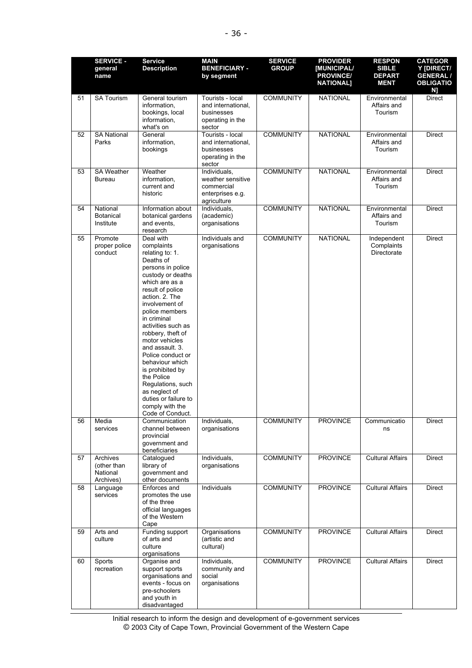|    | <b>SERVICE -</b><br>general<br>name              | <b>Service</b><br><b>Description</b>                                                                                                                                                                                                                                                                                                                                                                                                                                        | <b>MAIN</b><br><b>BENEFICIARY -</b><br>by segment                                  | <b>SERVICE</b><br><b>GROUP</b> | <b>PROVIDER</b><br><b>[MUNICIPAL/</b><br><b>PROVINCE/</b><br><b>NATIONAL]</b> | <b>RESPON</b><br><b>SIBLE</b><br><b>DEPART</b><br><b>MENT</b> | <b>CATEGOR</b><br>Y [DIRECT/<br><b>GENERAL /</b><br><b>OBLIGATIO</b> |
|----|--------------------------------------------------|-----------------------------------------------------------------------------------------------------------------------------------------------------------------------------------------------------------------------------------------------------------------------------------------------------------------------------------------------------------------------------------------------------------------------------------------------------------------------------|------------------------------------------------------------------------------------|--------------------------------|-------------------------------------------------------------------------------|---------------------------------------------------------------|----------------------------------------------------------------------|
| 51 | <b>SA Tourism</b>                                | General tourism<br>information,<br>bookings, local<br>information,<br>what's on                                                                                                                                                                                                                                                                                                                                                                                             | Tourists - local<br>and international,<br>businesses<br>operating in the<br>sector | <b>COMMUNITY</b>               | <b>NATIONAL</b>                                                               | Environmental<br>Affairs and<br>Tourism                       | N]<br><b>Direct</b>                                                  |
| 52 | <b>SA National</b><br>Parks                      | General<br>information,<br>bookings                                                                                                                                                                                                                                                                                                                                                                                                                                         | Tourists - local<br>and international,<br>businesses<br>operating in the<br>sector | <b>COMMUNITY</b>               | <b>NATIONAL</b>                                                               | Environmental<br>Affairs and<br>Tourism                       | <b>Direct</b>                                                        |
| 53 | <b>SA Weather</b><br><b>Bureau</b>               | Weather<br>information,<br>current and<br>historic                                                                                                                                                                                                                                                                                                                                                                                                                          | Individuals,<br>weather sensitive<br>commercial<br>enterprises e.g.<br>agriculture | <b>COMMUNITY</b>               | <b>NATIONAL</b>                                                               | Environmental<br>Affairs and<br>Tourism                       | <b>Direct</b>                                                        |
| 54 | National<br><b>Botanical</b><br>Institute        | Information about<br>botanical gardens<br>and events,<br>research                                                                                                                                                                                                                                                                                                                                                                                                           | Individuals,<br>(academic)<br>organisations                                        | <b>COMMUNITY</b>               | <b>NATIONAL</b>                                                               | Environmental<br>Affairs and<br>Tourism                       | <b>Direct</b>                                                        |
| 55 | Promote<br>proper police<br>conduct              | Deal with<br>complaints<br>relating to: 1.<br>Deaths of<br>persons in police<br>custody or deaths<br>which are as a<br>result of police<br>action. 2. The<br>involvement of<br>police members<br>in criminal<br>activities such as<br>robbery, theft of<br>motor vehicles<br>and assault. 3.<br>Police conduct or<br>behaviour which<br>is prohibited by<br>the Police<br>Regulations, such<br>as neglect of<br>duties or failure to<br>comply with the<br>Code of Conduct. | Individuals and<br>organisations                                                   | <b>COMMUNITY</b>               | <b>NATIONAL</b>                                                               | Independent<br>Complaints<br>Directorate                      | <b>Direct</b>                                                        |
| 56 | Media<br>services                                | Communication<br>channel between<br>provincial<br>government and<br>beneficiaries                                                                                                                                                                                                                                                                                                                                                                                           | Individuals,<br>organisations                                                      | <b>COMMUNITY</b>               | <b>PROVINCE</b>                                                               | Communicatio<br>ns                                            | Direct                                                               |
| 57 | Archives<br>(other than<br>National<br>Archives) | Catalogued<br>library of<br>government and<br>other documents                                                                                                                                                                                                                                                                                                                                                                                                               | Individuals,<br>organisations                                                      | <b>COMMUNITY</b>               | <b>PROVINCE</b>                                                               | <b>Cultural Affairs</b>                                       | Direct                                                               |
| 58 | Language<br>services                             | Enforces and<br>promotes the use<br>of the three<br>official languages<br>of the Western<br>Cape                                                                                                                                                                                                                                                                                                                                                                            | Individuals                                                                        | <b>COMMUNITY</b>               | <b>PROVINCE</b>                                                               | <b>Cultural Affairs</b>                                       | <b>Direct</b>                                                        |
| 59 | Arts and<br>culture                              | Funding support<br>of arts and<br>culture<br>organisations                                                                                                                                                                                                                                                                                                                                                                                                                  | Organisations<br>(artistic and<br>cultural)                                        | <b>COMMUNITY</b>               | <b>PROVINCE</b>                                                               | <b>Cultural Affairs</b>                                       | Direct                                                               |
| 60 | Sports<br>recreation                             | Organise and<br>support sports<br>organisations and<br>events - focus on<br>pre-schoolers<br>and youth in<br>disadvantaged                                                                                                                                                                                                                                                                                                                                                  | Individuals,<br>community and<br>social<br>organisations                           | <b>COMMUNITY</b>               | <b>PROVINCE</b>                                                               | <b>Cultural Affairs</b>                                       | Direct                                                               |

Initial research to inform the design and development of e-government services © 2003 City of Cape Town, Provincial Government of the Western Cape areas, and senior earch ti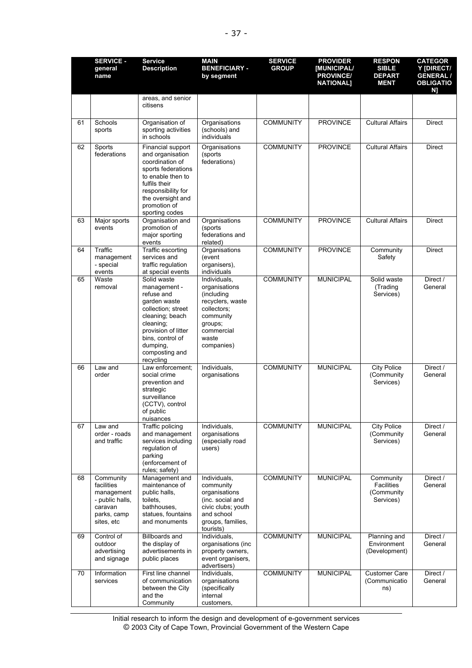|    | <b>SERVICE -</b><br>general<br>name                                                              | <b>Service</b><br><b>Description</b>                                                                                                                                                                  | <b>MAIN</b><br><b>BENEFICIARY -</b><br>by segment                                                                                           | <b>SERVICE</b><br><b>GROUP</b> | <b>PROVIDER</b><br>[MUNICIPAL/<br><b>PROVINCE/</b><br><b>NATIONAL]</b> | <b>RESPON</b><br><b>SIBLE</b><br><b>DEPART</b><br><b>MENT</b> | <b>CATEGOR</b><br>Y [DIRECT/<br><b>GENERAL /</b><br><b>OBLIGATIO</b><br>N] |
|----|--------------------------------------------------------------------------------------------------|-------------------------------------------------------------------------------------------------------------------------------------------------------------------------------------------------------|---------------------------------------------------------------------------------------------------------------------------------------------|--------------------------------|------------------------------------------------------------------------|---------------------------------------------------------------|----------------------------------------------------------------------------|
|    |                                                                                                  | areas, and senior<br>citisens                                                                                                                                                                         |                                                                                                                                             |                                |                                                                        |                                                               |                                                                            |
| 61 | Schools<br>sports                                                                                | Organisation of<br>sporting activities<br>in schools                                                                                                                                                  | Organisations<br>(schools) and<br>individuals                                                                                               | <b>COMMUNITY</b>               | <b>PROVINCE</b>                                                        | <b>Cultural Affairs</b>                                       | <b>Direct</b>                                                              |
| 62 | Sports<br>federations                                                                            | Financial support<br>and organisation<br>coordination of<br>sports federations<br>to enable then to<br>fulfils their<br>responsibility for<br>the oversight and<br>promotion of<br>sporting codes     | Organisations<br>(sports<br>federations)                                                                                                    | <b>COMMUNITY</b>               | <b>PROVINCE</b>                                                        | <b>Cultural Affairs</b>                                       | <b>Direct</b>                                                              |
| 63 | Major sports<br>events                                                                           | Organisation and<br>promotion of<br>major sporting<br>events                                                                                                                                          | Organisations<br>(sports<br>federations and<br>related)                                                                                     | <b>COMMUNITY</b>               | <b>PROVINCE</b>                                                        | <b>Cultural Affairs</b>                                       | <b>Direct</b>                                                              |
| 64 | Traffic<br>management<br>- special<br>events                                                     | Traffic escorting<br>services and<br>traffic regulation<br>at special events                                                                                                                          | Organisations<br>(event<br>organisers),<br>individuals                                                                                      | <b>COMMUNITY</b>               | <b>PROVINCE</b>                                                        | Community<br>Safety                                           | <b>Direct</b>                                                              |
| 65 | Waste<br>removal                                                                                 | Solid waste<br>management -<br>refuse and<br>garden waste<br>collection; street<br>cleaning; beach<br>cleaning;<br>provision of litter<br>bins, control of<br>dumping,<br>composting and<br>recycling | Individuals,<br>organisations<br>(including<br>recyclers, waste<br>collectors;<br>community<br>groups;<br>commercial<br>waste<br>companies) | <b>COMMUNITY</b>               | <b>MUNICIPAL</b>                                                       | Solid waste<br>(Trading<br>Services)                          | Direct /<br>General                                                        |
| 66 | Law and<br>order                                                                                 | Law enforcement:<br>social crime<br>prevention and<br>strategic<br>surveillance<br>(CCTV), control<br>of public<br>nuisances                                                                          | Individuals,<br>organisations                                                                                                               | <b>COMMUNITY</b>               | <b>MUNICIPAL</b>                                                       | <b>City Police</b><br>(Community<br>Services)                 | Direct /<br>General                                                        |
| 67 | Law and<br>order - roads<br>and traffic                                                          | Traffic policing<br>and management<br>services including<br>regulation of<br>parking<br>(enforcement of<br>rules; safety)                                                                             | Individuals,<br>organisations<br>(especially road<br>users)                                                                                 | <b>COMMUNITY</b>               | <b>MUNICIPAL</b>                                                       | <b>City Police</b><br>(Community<br>Services)                 | Direct /<br>General                                                        |
| 68 | Community<br>facilities<br>management<br>- public halls,<br>caravan<br>parks, camp<br>sites, etc | Management and<br>maintenance of<br>public halls,<br>toilets,<br>bathhouses,<br>statues, fountains<br>and monuments                                                                                   | Individuals,<br>community<br>organisations<br>(inc. social and<br>civic clubs; youth<br>and school<br>groups, families,<br>tourists)        | <b>COMMUNITY</b>               | <b>MUNICIPAL</b>                                                       | Community<br><b>Facilities</b><br>(Community<br>Services)     | Direct /<br>General                                                        |
| 69 | Control of<br>outdoor<br>advertising<br>and signage                                              | <b>Billboards and</b><br>the display of<br>advertisements in<br>public places                                                                                                                         | Individuals,<br>organisations (inc<br>property owners,<br>event organisers,<br>advertisers)                                                 | <b>COMMUNITY</b>               | <b>MUNICIPAL</b>                                                       | Planning and<br>Environment<br>(Development)                  | Direct /<br>General                                                        |
| 70 | Information<br>services                                                                          | First line channel<br>of communication<br>between the City<br>and the<br>Community                                                                                                                    | Individuals,<br>organisations<br>(specifically<br>internal<br>customers,                                                                    | <b>COMMUNITY</b>               | <b>MUNICIPAL</b>                                                       | <b>Customer Care</b><br>(Communicatio<br>ns)                  | Direct /<br>General                                                        |

Initial research to inform the design and development of e-government services © 2003 City of Cape Town, Provincial Government of the Western Cape desian a  $\overline{D}$ provin  $\dots, \dots$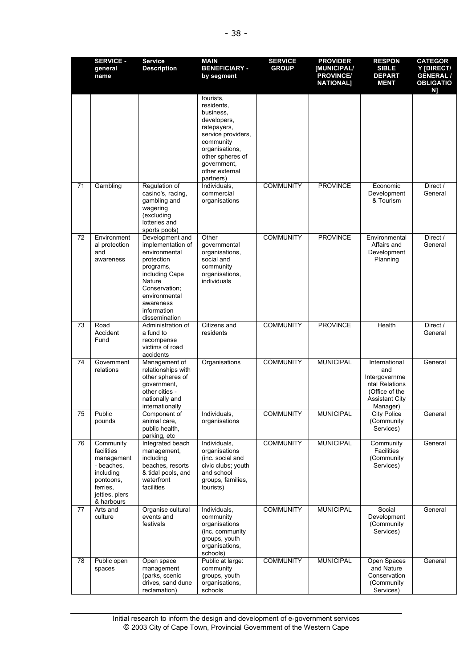|    | <b>SERVICE -</b><br>general<br>name                                                                                       | <b>Service</b><br><b>Description</b>                                                                                                                                                        | <b>MAIN</b><br><b>BENEFICIARY -</b><br>by segment                                                                                                                                         | <b>SERVICE</b><br><b>GROUP</b> | <b>PROVIDER</b><br>[MUNICIPAL/<br><b>PROVINCE/</b><br><b>NATIONAL]</b> | <b>RESPON</b><br><b>SIBLE</b><br><b>DEPART</b><br><b>MENT</b>                                                  | <b>CATEGOR</b><br>Y [DIRECT/<br><b>GENERAL /</b><br><b>OBLIGATIO</b><br>N] |
|----|---------------------------------------------------------------------------------------------------------------------------|---------------------------------------------------------------------------------------------------------------------------------------------------------------------------------------------|-------------------------------------------------------------------------------------------------------------------------------------------------------------------------------------------|--------------------------------|------------------------------------------------------------------------|----------------------------------------------------------------------------------------------------------------|----------------------------------------------------------------------------|
|    |                                                                                                                           |                                                                                                                                                                                             | tourists.<br>residents,<br>business,<br>developers,<br>ratepayers,<br>service providers,<br>community<br>organisations,<br>other spheres of<br>government,<br>other external<br>partners) |                                |                                                                        |                                                                                                                |                                                                            |
| 71 | Gambling                                                                                                                  | Regulation of<br>casino's, racing,<br>gambling and<br>wagering<br>(excluding<br>lotteries and<br>sports pools)                                                                              | Individuals,<br>commercial<br>organisations                                                                                                                                               | <b>COMMUNITY</b>               | <b>PROVINCE</b>                                                        | Economic<br>Development<br>& Tourism                                                                           | Direct /<br>General                                                        |
| 72 | Environment<br>al protection<br>and<br>awareness                                                                          | Development and<br>implementation of<br>environmental<br>protection<br>programs,<br>including Cape<br>Nature<br>Conservation:<br>environmental<br>awareness<br>information<br>dissemination | Other<br>governmental<br>organisations,<br>social and<br>community<br>organisations,<br>individuals                                                                                       | <b>COMMUNITY</b>               | <b>PROVINCE</b>                                                        | Environmental<br>Affairs and<br>Development<br>Planning                                                        | Direct /<br>General                                                        |
| 73 | Road<br>Accident<br>Fund                                                                                                  | Administration of<br>a fund to<br>recompense<br>victims of road<br>accidents                                                                                                                | Citizens and<br>residents                                                                                                                                                                 | <b>COMMUNITY</b>               | <b>PROVINCE</b>                                                        | Health                                                                                                         | Direct /<br>General                                                        |
| 74 | Government<br>relations                                                                                                   | Management of<br>relationships with<br>other spheres of<br>government,<br>other cities -<br>nationally and<br>internationally                                                               | Organisations                                                                                                                                                                             | <b>COMMUNITY</b>               | <b>MUNICIPAL</b>                                                       | International<br>and<br>Intergovernme<br>ntal Relations<br>(Office of the<br><b>Assistant City</b><br>Manager) | General                                                                    |
| 75 | Public<br>pounds                                                                                                          | Component of<br>animal care,<br>public health,<br>parking, etc                                                                                                                              | Individuals,<br>organisations                                                                                                                                                             | <b>COMMUNITY</b>               | <b>MUNICIPAL</b>                                                       | <b>City Police</b><br>(Community<br>Services)                                                                  | General                                                                    |
| 76 | Community<br>facilities<br>management<br>- beaches,<br>including<br>pontoons,<br>ferries,<br>jetties, piers<br>& harbours | Integrated beach<br>management.<br>including<br>beaches, resorts<br>& tidal pools, and<br>waterfront<br>facilities                                                                          | Individuals,<br>organisations<br>(inc. social and<br>civic clubs; youth<br>and school<br>groups, families,<br>tourists)                                                                   | <b>COMMUNITY</b>               | <b>MUNICIPAL</b>                                                       | Community<br>Facilities<br>(Community<br>Services)                                                             | General                                                                    |
| 77 | Arts and<br>culture                                                                                                       | Organise cultural<br>events and<br>festivals                                                                                                                                                | Individuals,<br>community<br>organisations<br>(inc. community<br>groups, youth<br>organisations,<br>schools)                                                                              | <b>COMMUNITY</b>               | <b>MUNICIPAL</b>                                                       | Social<br>Development<br>(Community<br>Services)                                                               | General                                                                    |
| 78 | Public open<br>spaces                                                                                                     | Open space<br>management<br>(parks, scenic<br>drives, sand dune<br>reclamation)                                                                                                             | Public at large:<br>community<br>groups, youth<br>organisations,<br>schools                                                                                                               | <b>COMMUNITY</b>               | <b>MUNICIPAL</b>                                                       | Open Spaces<br>and Nature<br>Conservation<br>(Community<br>Services)                                           | General                                                                    |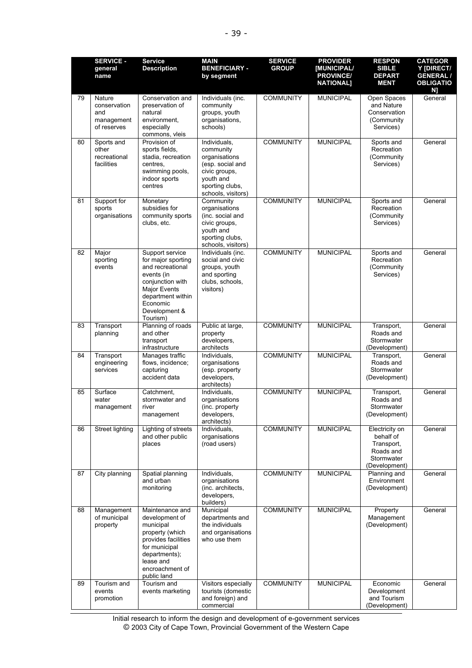|    | <b>SERVICE -</b><br>general<br>name                        | <b>Service</b><br><b>Description</b>                                                                                                                                             | <b>MAIN</b><br><b>BENEFICIARY -</b><br>by segment                                                                                     | <b>SERVICE</b><br><b>GROUP</b> | <b>PROVIDER</b><br>[MUNICIPAL/<br><b>PROVINCE/</b><br><b>NATIONAL]</b> | <b>RESPON</b><br><b>SIBLE</b><br><b>DEPART</b><br><b>MENT</b>                         | <b>CATEGOR</b><br>Y [DIRECT/<br><b>GENERAL /</b><br><b>OBLIGATIO</b><br>N) |
|----|------------------------------------------------------------|----------------------------------------------------------------------------------------------------------------------------------------------------------------------------------|---------------------------------------------------------------------------------------------------------------------------------------|--------------------------------|------------------------------------------------------------------------|---------------------------------------------------------------------------------------|----------------------------------------------------------------------------|
| 79 | Nature<br>conservation<br>and<br>management<br>of reserves | Conservation and<br>preservation of<br>natural<br>environment,<br>especially<br>commons, vleis                                                                                   | Individuals (inc.<br>community<br>groups, youth<br>organisations,<br>schools)                                                         | <b>COMMUNITY</b>               | <b>MUNICIPAL</b>                                                       | Open Spaces<br>and Nature<br>Conservation<br>(Community<br>Services)                  | General                                                                    |
| 80 | Sports and<br>other<br>recreational<br>facilities          | Provision of<br>sports fields,<br>stadia, recreation<br>centres.<br>swimming pools,<br>indoor sports<br>centres                                                                  | Individuals,<br>community<br>organisations<br>(esp. social and<br>civic groups,<br>youth and<br>sporting clubs,<br>schools, visitors) | <b>COMMUNITY</b>               | <b>MUNICIPAL</b>                                                       | Sports and<br>Recreation<br>(Community<br>Services)                                   | General                                                                    |
| 81 | Support for<br>sports<br>organisations                     | Monetary<br>subsidies for<br>community sports<br>clubs, etc.                                                                                                                     | Community<br>organisations<br>(inc. social and<br>civic groups,<br>youth and<br>sporting clubs,<br>schools, visitors)                 | <b>COMMUNITY</b>               | <b>MUNICIPAL</b>                                                       | Sports and<br>Recreation<br>(Community<br>Services)                                   | General                                                                    |
| 82 | Major<br>sporting<br>events                                | Support service<br>for major sporting<br>and recreational<br>events (in<br>conjunction with<br><b>Major Events</b><br>department within<br>Economic<br>Development &<br>Tourism) | Individuals (inc.<br>social and civic<br>groups, youth<br>and sporting<br>clubs, schools,<br>visitors)                                | <b>COMMUNITY</b>               | <b>MUNICIPAL</b>                                                       | Sports and<br>Recreation<br>(Community<br>Services)                                   | General                                                                    |
| 83 | Transport<br>planning                                      | Planning of roads<br>and other<br>transport<br>infrastructure                                                                                                                    | Public at large,<br>property<br>developers,<br>architects                                                                             | <b>COMMUNITY</b>               | <b>MUNICIPAL</b>                                                       | Transport,<br>Roads and<br>Stormwater<br>(Development)                                | General                                                                    |
| 84 | Transport<br>engineering<br>services                       | Manages traffic<br>flows, incidence;<br>capturing<br>accident data                                                                                                               | Individuals,<br>organisations<br>(esp. property<br>developers,<br>architects)                                                         | <b>COMMUNITY</b>               | <b>MUNICIPAL</b>                                                       | Transport,<br>Roads and<br>Stormwater<br>(Development)                                | General                                                                    |
| 85 | Surface<br>water<br>management                             | Catchment,<br>stormwater and<br>river<br>management                                                                                                                              | Individuals,<br>organisations<br>(inc. property<br>developers,<br>architects)                                                         | <b>COMMUNITY</b>               | <b>MUNICIPAL</b>                                                       | Transport,<br>Roads and<br>Stormwater<br>(Development)                                | General                                                                    |
| 86 | Street lighting                                            | Lighting of streets<br>and other public<br>places                                                                                                                                | Individuals,<br>organisations<br>(road users)                                                                                         | <b>COMMUNITY</b>               | <b>MUNICIPAL</b>                                                       | Electricity on<br>behalf of<br>Transport,<br>Roads and<br>Stormwater<br>(Development) | General                                                                    |
| 87 | City planning                                              | Spatial planning<br>and urban<br>monitoring                                                                                                                                      | Individuals,<br>organisations<br>(inc. architects,<br>developers,<br>builders)                                                        | <b>COMMUNITY</b>               | <b>MUNICIPAL</b>                                                       | Planning and<br>Environment<br>(Development)                                          | General                                                                    |
| 88 | Management<br>of municipal<br>property                     | Maintenance and<br>development of<br>municipal<br>property (which<br>provides facilities<br>for municipal<br>departments);<br>lease and<br>encroachment of<br>public land        | Municipal<br>departments and<br>the individuals<br>and organisations<br>who use them                                                  | <b>COMMUNITY</b>               | <b>MUNICIPAL</b>                                                       | Property<br>Management<br>(Development)                                               | General                                                                    |
| 89 | Tourism and<br>events<br>promotion                         | Tourism and<br>events marketing                                                                                                                                                  | Visitors especially<br>tourists (domestic<br>and foreign) and<br>commercial                                                           | <b>COMMUNITY</b>               | <b>MUNICIPAL</b>                                                       | Economic<br>Development<br>and Tourism<br>(Development)                               | General                                                                    |

Initial research to inform the design and development of e-government services © 2003 City of Cape Town, Provincial Government of the Western Cape organisations design and d *n*, Provinc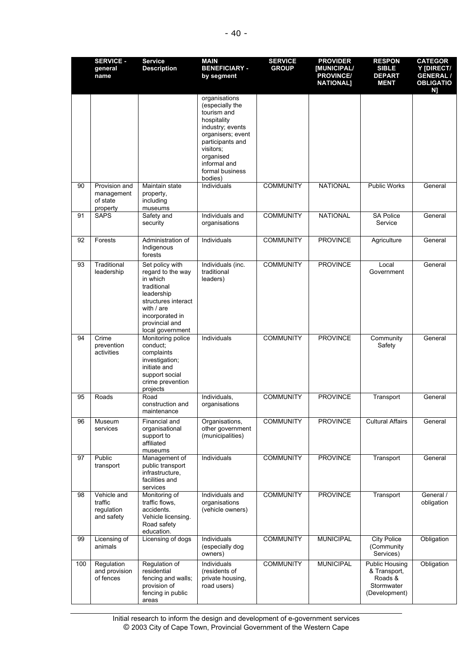|     | <b>SERVICE -</b><br>general<br>name                 | <b>Service</b><br><b>Description</b>                                                                                                                                          | <b>MAIN</b><br><b>BENEFICIARY -</b><br>by segment                                                                                                                                                   | <b>SERVICE</b><br><b>GROUP</b> | <b>PROVIDER</b><br><b>IMUNICIPAL/</b><br><b>PROVINCE/</b><br><b>NATIONAL]</b> | <b>RESPON</b><br><b>SIBLE</b><br><b>DEPART</b><br><b>MENT</b>                   | <b>CATEGOR</b><br>Y [DIRECT/<br><b>GENERAL /</b><br><b>OBLIGATIO</b><br>N] |
|-----|-----------------------------------------------------|-------------------------------------------------------------------------------------------------------------------------------------------------------------------------------|-----------------------------------------------------------------------------------------------------------------------------------------------------------------------------------------------------|--------------------------------|-------------------------------------------------------------------------------|---------------------------------------------------------------------------------|----------------------------------------------------------------------------|
|     |                                                     |                                                                                                                                                                               | organisations<br>(especially the<br>tourism and<br>hospitality<br>industry; events<br>organisers; event<br>participants and<br>visitors:<br>organised<br>informal and<br>formal business<br>bodies) |                                |                                                                               |                                                                                 |                                                                            |
| 90  | Provision and<br>management<br>of state<br>property | Maintain state<br>property,<br>including<br>museums                                                                                                                           | Individuals                                                                                                                                                                                         | <b>COMMUNITY</b>               | <b>NATIONAL</b>                                                               | <b>Public Works</b>                                                             | General                                                                    |
| 91  | <b>SAPS</b>                                         | Safety and<br>security                                                                                                                                                        | Individuals and<br>organisations                                                                                                                                                                    | <b>COMMUNITY</b>               | <b>NATIONAL</b>                                                               | <b>SA Police</b><br>Service                                                     | General                                                                    |
| 92  | Forests                                             | Administration of<br>Indigenous<br>forests                                                                                                                                    | Individuals                                                                                                                                                                                         | <b>COMMUNITY</b>               | <b>PROVINCE</b>                                                               | Agriculture                                                                     | General                                                                    |
| 93  | Traditional<br>leadership                           | Set policy with<br>regard to the way<br>in which<br>traditional<br>leadership<br>structures interact<br>with $/$ are<br>incorporated in<br>provincial and<br>local government | Individuals (inc.<br>traditional<br>leaders)                                                                                                                                                        | <b>COMMUNITY</b>               | <b>PROVINCE</b>                                                               | Local<br>Government                                                             | General                                                                    |
| 94  | Crime<br>prevention<br>activities                   | Monitoring police<br>conduct:<br>complaints<br>investigation;<br>initiate and<br>support social<br>crime prevention<br>projects                                               | Individuals                                                                                                                                                                                         | <b>COMMUNITY</b>               | <b>PROVINCE</b>                                                               | Community<br>Safety                                                             | General                                                                    |
| 95  | Roads                                               | Road<br>construction and<br>maintenance                                                                                                                                       | Individuals,<br>organisations                                                                                                                                                                       | <b>COMMUNITY</b>               | <b>PROVINCE</b>                                                               | Transport                                                                       | General                                                                    |
| 96  | Museum<br>services                                  | Financial and<br>organisational<br>support to<br>affiliated<br>museums                                                                                                        | Organisations,<br>other government<br>(municipalities)                                                                                                                                              | <b>COMMUNITY</b>               | <b>PROVINCE</b>                                                               | <b>Cultural Affairs</b>                                                         | General                                                                    |
| 97  | Public<br>transport                                 | Management of<br>public transport<br>infrastructure,<br>facilities and<br>services                                                                                            | Individuals                                                                                                                                                                                         | <b>COMMUNITY</b>               | <b>PROVINCE</b>                                                               | Transport                                                                       | General                                                                    |
| 98  | Vehicle and<br>traffic<br>regulation<br>and safety  | Monitoring of<br>traffic flows,<br>accidents.<br>Vehicle licensing.<br>Road safety<br>education.                                                                              | Individuals and<br>organisations<br>(vehicle owners)                                                                                                                                                | <b>COMMUNITY</b>               | <b>PROVINCE</b>                                                               | Transport                                                                       | General /<br>obligation                                                    |
| 99  | Licensing of<br>animals                             | Licensing of dogs                                                                                                                                                             | Individuals<br>(especially dog<br>owners)                                                                                                                                                           | <b>COMMUNITY</b>               | <b>MUNICIPAL</b>                                                              | <b>City Police</b><br>(Community<br>Services)                                   | Obligation                                                                 |
| 100 | Regulation<br>and provision<br>of fences            | Regulation of<br>residential<br>fencing and walls;<br>provision of<br>fencing in public<br>areas                                                                              | Individuals<br>(residents of<br>private housing,<br>road users)                                                                                                                                     | <b>COMMUNITY</b>               | <b>MUNICIPAL</b>                                                              | <b>Public Housing</b><br>& Transport,<br>Roads &<br>Stormwater<br>(Development) | Obligation                                                                 |

Initial research to inform the design and development of e-government services © 2003 City of Cape Town, Provincial Government of the Western Cape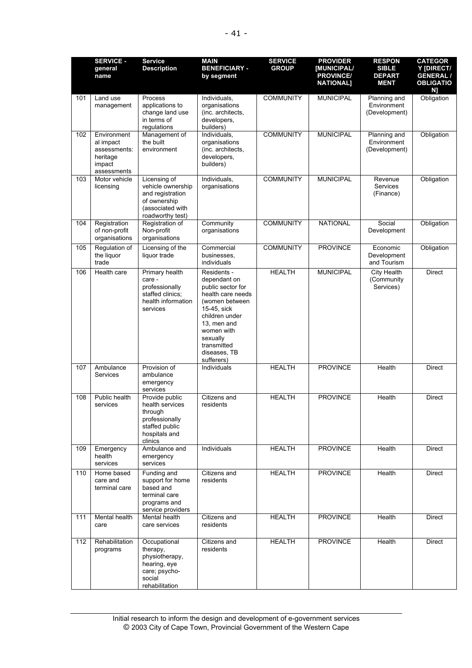|     | <b>SERVICE -</b><br>general<br>name                                           | <b>Service</b><br><b>Description</b>                                                                          | <b>MAIN</b><br><b>BENEFICIARY -</b><br>by segment                                                                                                                                                              | <b>SERVICE</b><br><b>GROUP</b> | <b>PROVIDER</b><br>[MUNICIPAL/<br><b>PROVINCE/</b><br><b>NATIONAL]</b> | <b>RESPON</b><br><b>SIBLE</b><br><b>DEPART</b><br><b>MENT</b> | <b>CATEGOR</b><br>Y [DIRECT/<br><b>GENERAL /</b><br><b>OBLIGATIO</b><br>N] |
|-----|-------------------------------------------------------------------------------|---------------------------------------------------------------------------------------------------------------|----------------------------------------------------------------------------------------------------------------------------------------------------------------------------------------------------------------|--------------------------------|------------------------------------------------------------------------|---------------------------------------------------------------|----------------------------------------------------------------------------|
| 101 | Land use<br>management                                                        | Process<br>applications to<br>change land use<br>in terms of<br>regulations                                   | Individuals,<br>organisations<br>(inc. architects,<br>developers,<br>builders)                                                                                                                                 | <b>COMMUNITY</b>               | <b>MUNICIPAL</b>                                                       | Planning and<br>Environment<br>(Development)                  | Obligation                                                                 |
| 102 | Environment<br>al impact<br>assessments:<br>heritage<br>impact<br>assessments | Management of<br>the built<br>environment                                                                     | Individuals,<br>organisations<br>(inc. architects,<br>developers,<br>builders)                                                                                                                                 | <b>COMMUNITY</b>               | <b>MUNICIPAL</b>                                                       | Planning and<br>Environment<br>(Development)                  | Obligation                                                                 |
| 103 | Motor vehicle<br>licensing                                                    | Licensing of<br>vehicle ownership<br>and registration<br>of ownership<br>(associated with<br>roadworthy test) | Individuals,<br>organisations                                                                                                                                                                                  | <b>COMMUNITY</b>               | <b>MUNICIPAL</b>                                                       | Revenue<br><b>Services</b><br>(Finance)                       | Obligation                                                                 |
| 104 | Registration<br>of non-profit<br>organisations                                | Registration of<br>Non-profit<br>organisations                                                                | Community<br>organisations                                                                                                                                                                                     | <b>COMMUNITY</b>               | <b>NATIONAL</b>                                                        | Social<br>Development                                         | Obligation                                                                 |
| 105 | Regulation of<br>the liquor<br>trade                                          | Licensing of the<br>liquor trade                                                                              | Commercial<br>businesses,<br>individuals                                                                                                                                                                       | <b>COMMUNITY</b>               | <b>PROVINCE</b>                                                        | Economic<br>Development<br>and Tourism                        | Obligation                                                                 |
| 106 | Health care                                                                   | Primary health<br>care -<br>professionally<br>staffed clinics;<br>health information<br>services              | Residents -<br>dependant on<br>public sector for<br>health care needs<br>(women between<br>15-45, sick<br>children under<br>13, men and<br>women with<br>sexually<br>transmitted<br>diseases, TB<br>sufferers) | <b>HEALTH</b>                  | <b>MUNICIPAL</b>                                                       | City Health<br>(Community<br>Services)                        | <b>Direct</b>                                                              |
| 107 | Ambulance<br><b>Services</b>                                                  | Provision of<br>ambulance<br>emergency<br>services                                                            | Individuals                                                                                                                                                                                                    | <b>HEALTH</b>                  | <b>PROVINCE</b>                                                        | Health                                                        | <b>Direct</b>                                                              |
| 108 | Public health<br>services                                                     | Provide public<br>health services<br>through<br>professionally<br>staffed public<br>hospitals and<br>clinics  | <b>Citizens and</b><br>residents                                                                                                                                                                               | <b>HEALTH</b>                  | <b>PROVINCE</b>                                                        | Health                                                        | <b>Direct</b>                                                              |
| 109 | Emergency<br>health<br>services                                               | Ambulance and<br>emergency<br>services                                                                        | Individuals                                                                                                                                                                                                    | <b>HEALTH</b>                  | <b>PROVINCE</b>                                                        | Health                                                        | Direct                                                                     |
| 110 | Home based<br>care and<br>terminal care                                       | Funding and<br>support for home<br>based and<br>terminal care<br>programs and<br>service providers            | Citizens and<br>residents                                                                                                                                                                                      | <b>HEALTH</b>                  | <b>PROVINCE</b>                                                        | Health                                                        | <b>Direct</b>                                                              |
| 111 | Mental health<br>care                                                         | Mental health<br>care services                                                                                | Citizens and<br>residents                                                                                                                                                                                      | <b>HEALTH</b>                  | <b>PROVINCE</b>                                                        | Health                                                        | Direct                                                                     |
| 112 | Rehabilitation<br>programs                                                    | Occupational<br>therapy,<br>physiotherapy,<br>hearing, eye<br>care; psycho-<br>social<br>rehabilitation       | Citizens and<br>residents                                                                                                                                                                                      | <b>HEALTH</b>                  | <b>PROVINCE</b>                                                        | Health                                                        | Direct                                                                     |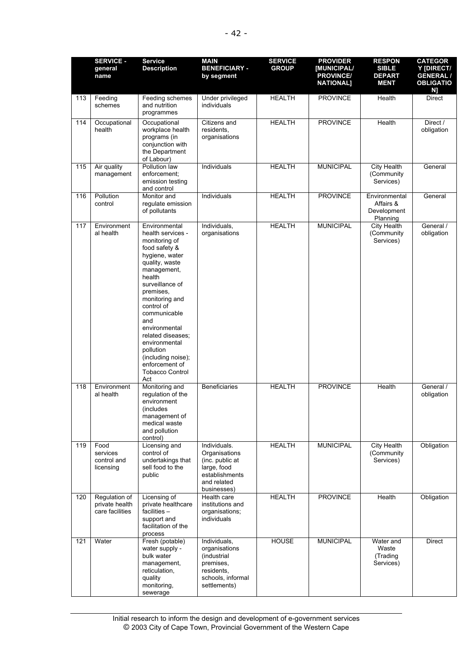|     | <b>SERVICE -</b><br>general<br>name                | <b>Service</b><br><b>Description</b>                                                                                                                                                                                                                                                                                                                                  | <b>MAIN</b><br><b>BENEFICIARY -</b><br>by segment                                                               | <b>SERVICE</b><br><b>GROUP</b> | <b>PROVIDER</b><br><b>IMUNICIPAL/</b><br><b>PROVINCE/</b><br><b>NATIONAL]</b> | <b>RESPON</b><br><b>SIBLE</b><br><b>DEPART</b><br><b>MENT</b> | <b>CATEGOR</b><br>Y IDIRECT/<br><b>GENERAL /</b><br><b>OBLIGATIO</b><br>N] |
|-----|----------------------------------------------------|-----------------------------------------------------------------------------------------------------------------------------------------------------------------------------------------------------------------------------------------------------------------------------------------------------------------------------------------------------------------------|-----------------------------------------------------------------------------------------------------------------|--------------------------------|-------------------------------------------------------------------------------|---------------------------------------------------------------|----------------------------------------------------------------------------|
| 113 | Feeding<br>schemes                                 | Feeding schemes<br>and nutrition<br>programmes                                                                                                                                                                                                                                                                                                                        | Under privileged<br>individuals                                                                                 | <b>HEALTH</b>                  | <b>PROVINCE</b>                                                               | Health                                                        | Direct                                                                     |
| 114 | Occupational<br>health                             | Occupational<br>workplace health<br>programs (in<br>conjunction with<br>the Department<br>of Labour)                                                                                                                                                                                                                                                                  | Citizens and<br>residents,<br>organisations                                                                     | <b>HEALTH</b>                  | <b>PROVINCE</b>                                                               | Health                                                        | Direct /<br>obligation                                                     |
| 115 | Air quality<br>management                          | Pollution law<br>enforcement;<br>emission testing<br>and control                                                                                                                                                                                                                                                                                                      | Individuals                                                                                                     | <b>HEALTH</b>                  | <b>MUNICIPAL</b>                                                              | <b>City Health</b><br>(Community<br>Services)                 | General                                                                    |
| 116 | Pollution<br>control                               | Monitor and<br>regulate emission<br>of pollutants                                                                                                                                                                                                                                                                                                                     | Individuals                                                                                                     | <b>HEALTH</b>                  | <b>PROVINCE</b>                                                               | Environmental<br>Affairs &<br>Development<br>Planning         | General                                                                    |
| 117 | Environment<br>al health                           | Environmental<br>health services -<br>monitoring of<br>food safety &<br>hygiene, water<br>quality, waste<br>management,<br>health<br>surveillance of<br>premises,<br>monitoring and<br>control of<br>communicable<br>and<br>environmental<br>related diseases;<br>environmental<br>pollution<br>(including noise);<br>enforcement of<br><b>Tobacco Control</b><br>Act | Individuals,<br>organisations                                                                                   | <b>HEALTH</b>                  | <b>MUNICIPAL</b>                                                              | <b>City Health</b><br>(Community<br>Services)                 | General /<br>obligation                                                    |
| 118 | Environment<br>al health                           | Monitoring and<br>regulation of the<br>environment<br>(includes)<br>management of<br>medical waste<br>and pollution<br>control)                                                                                                                                                                                                                                       | <b>Beneficiaries</b>                                                                                            | <b>HEALTH</b>                  | <b>PROVINCE</b>                                                               | Health                                                        | General /<br>obligation                                                    |
| 119 | Food<br>services<br>control and<br>licensing       | Licensing and<br>control of<br>undertakings that<br>sell food to the<br>public                                                                                                                                                                                                                                                                                        | Individuals.<br>Organisations<br>(inc. public at<br>large, food<br>establishments<br>and related<br>businesses) | <b>HEALTH</b>                  | <b>MUNICIPAL</b>                                                              | City Health<br>(Community<br>Services)                        | Obligation                                                                 |
| 120 | Regulation of<br>private health<br>care facilities | Licensing of<br>private healthcare<br>facilities $-$<br>support and<br>facilitation of the<br>process                                                                                                                                                                                                                                                                 | Health care<br>institutions and<br>organisations;<br>individuals                                                | <b>HEALTH</b>                  | <b>PROVINCE</b>                                                               | Health                                                        | Obligation                                                                 |
| 121 | Water                                              | Fresh (potable)<br>water supply -<br>bulk water<br>management,<br>reticulation,<br>quality<br>monitoring,<br>sewerage                                                                                                                                                                                                                                                 | Individuals,<br>organisations<br>(industrial<br>premises,<br>residents,<br>schools, informal<br>settlements)    | <b>HOUSE</b>                   | <b>MUNICIPAL</b>                                                              | Water and<br>Waste<br>(Trading<br>Services)                   | <b>Direct</b>                                                              |

Initial research to inform the design and development of e-government services © 2003 City of Cape Town, Provincial Government of the Western Cape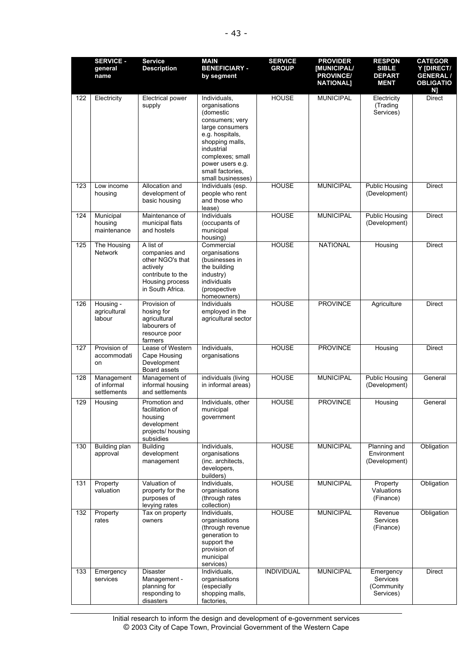|     | <b>SERVICE -</b><br>general<br>name      | <b>Service</b><br><b>Description</b>                                                                                   | <b>MAIN</b><br><b>BENEFICIARY -</b><br>by segment                                                                                                                                                                     | <b>SERVICE</b><br><b>GROUP</b> | <b>PROVIDER</b><br><b>IMUNICIPAL/</b><br><b>PROVINCE/</b><br><b>NATIONAL]</b> | <b>RESPON</b><br><b>SIBLE</b><br><b>DEPART</b><br><b>MENT</b> | <b>CATEGOR</b><br>Y [DIRECT/<br><b>GENERAL /</b><br><b>OBLIGATIO</b><br>N] |
|-----|------------------------------------------|------------------------------------------------------------------------------------------------------------------------|-----------------------------------------------------------------------------------------------------------------------------------------------------------------------------------------------------------------------|--------------------------------|-------------------------------------------------------------------------------|---------------------------------------------------------------|----------------------------------------------------------------------------|
| 122 | Electricity                              | Electrical power<br>supply                                                                                             | Individuals,<br>organisations<br>(domestic<br>consumers; very<br>large consumers<br>e.g. hospitals,<br>shopping malls,<br>industrial<br>complexes; small<br>power users e.g.<br>small factories.<br>small businesses) | <b>HOUSE</b>                   | <b>MUNICIPAL</b>                                                              | Electricity<br>(Trading<br>Services)                          | <b>Direct</b>                                                              |
| 123 | Low income<br>housing                    | Allocation and<br>development of<br>basic housing                                                                      | Individuals (esp.<br>people who rent<br>and those who<br>lease)                                                                                                                                                       | <b>HOUSE</b>                   | <b>MUNICIPAL</b>                                                              | <b>Public Housing</b><br>(Development)                        | <b>Direct</b>                                                              |
| 124 | Municipal<br>housing<br>maintenance      | Maintenance of<br>municipal flats<br>and hostels                                                                       | Individuals<br>(occupants of<br>municipal<br>housing)                                                                                                                                                                 | <b>HOUSE</b>                   | <b>MUNICIPAL</b>                                                              | <b>Public Housing</b><br>(Development)                        | Direct                                                                     |
| 125 | The Housing<br>Network                   | A list of<br>companies and<br>other NGO's that<br>actively<br>contribute to the<br>Housing process<br>in South Africa. | Commercial<br>organisations<br>(businesses in<br>the building<br>industry)<br>individuals<br>(prospective<br>homeowners)                                                                                              | <b>HOUSE</b>                   | <b>NATIONAL</b>                                                               | Housing                                                       | Direct                                                                     |
| 126 | Housing -<br>agricultural<br>labour      | Provision of<br>hosing for<br>agricultural<br>labourers of<br>resource poor<br>farmers                                 | Individuals<br>employed in the<br>agricultural sector                                                                                                                                                                 | <b>HOUSE</b>                   | <b>PROVINCE</b>                                                               | Agriculture                                                   | Direct                                                                     |
| 127 | Provision of<br>accommodati<br>on        | Lease of Western<br>Cape Housing<br>Development<br>Board assets                                                        | Individuals,<br>organisations                                                                                                                                                                                         | <b>HOUSE</b>                   | <b>PROVINCE</b>                                                               | Housing                                                       | Direct                                                                     |
| 128 | Management<br>of informal<br>settlements | Management of<br>informal housing<br>and settlements                                                                   | individuals (living<br>in informal areas)                                                                                                                                                                             | <b>HOUSE</b>                   | <b>MUNICIPAL</b>                                                              | <b>Public Housing</b><br>(Development)                        | General                                                                    |
| 129 | Housing                                  | Promotion and<br>facilitation of<br>housing<br>development<br>projects/ housing<br>subsidies                           | Individuals, other<br>municipal<br>government                                                                                                                                                                         | <b>HOUSE</b>                   | <b>PROVINCE</b>                                                               | Housing                                                       | General                                                                    |
| 130 | <b>Building plan</b><br>approval         | Building<br>development<br>management                                                                                  | Individuals,<br>organisations<br>(inc. architects,<br>developers,<br>builders)                                                                                                                                        | <b>HOUSE</b>                   | <b>MUNICIPAL</b>                                                              | Planning and<br>Environment<br>(Development)                  | Obligation                                                                 |
| 131 | Property<br>valuation                    | Valuation of<br>property for the<br>purposes of<br>levying rates                                                       | Individuals,<br>organisations<br>(through rates<br>collection)                                                                                                                                                        | <b>HOUSE</b>                   | <b>MUNICIPAL</b>                                                              | Property<br>Valuations<br>(Finance)                           | Obligation                                                                 |
| 132 | Property<br>rates                        | Tax on property<br>owners                                                                                              | Individuals,<br>organisations<br>(through revenue<br>generation to<br>support the<br>provision of<br>municipal<br>services)                                                                                           | <b>HOUSE</b>                   | <b>MUNICIPAL</b>                                                              | Revenue<br>Services<br>(Finance)                              | Obligation                                                                 |
| 133 | Emergency<br>services                    | <b>Disaster</b><br>Management -<br>planning for<br>responding to<br>disasters                                          | Individuals,<br>organisations<br>(especially<br>shopping malls,<br>factories,                                                                                                                                         | <b>INDIVIDUAL</b>              | <b>MUNICIPAL</b>                                                              | Emergency<br>Services<br>(Community<br>Services)              | Direct                                                                     |

Initial research to inform the design and development of e-government services © 2003 City of Cape Town, Provincial Government of the Western Cape  $\overline{\phantom{a}}$ consequences) docian and  $s = \frac{1}{2}$  $m$ , Provincial Go $\,$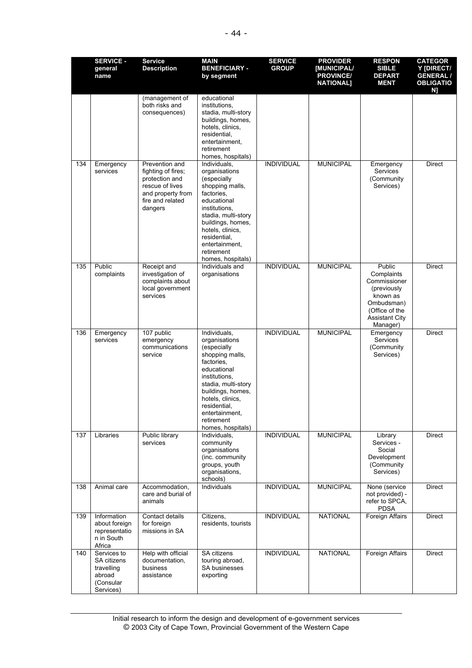|     | <b>SERVICE -</b><br>general<br>name                                          | <b>Service</b><br><b>Description</b>                                                                                          | <b>MAIN</b><br><b>BENEFICIARY -</b><br>by segment                                                                                                                                                                                                  | <b>SERVICE</b><br><b>GROUP</b> | <b>PROVIDER</b><br><b>[MUNICIPAL/</b><br><b>PROVINCE/</b><br><b>NATIONAL]</b> | <b>RESPON</b><br><b>SIBLE</b><br><b>DEPART</b><br><b>MENT</b>                                                                        | <b>CATEGOR</b><br>Y [DIRECT/<br><b>GENERAL /</b><br><b>OBLIGATIO</b><br>N] |
|-----|------------------------------------------------------------------------------|-------------------------------------------------------------------------------------------------------------------------------|----------------------------------------------------------------------------------------------------------------------------------------------------------------------------------------------------------------------------------------------------|--------------------------------|-------------------------------------------------------------------------------|--------------------------------------------------------------------------------------------------------------------------------------|----------------------------------------------------------------------------|
|     |                                                                              | (management of<br>both risks and<br>consequences)                                                                             | educational<br>institutions.<br>stadia, multi-story<br>buildings, homes,<br>hotels, clinics,<br>residential,<br>entertainment.<br>retirement<br>homes, hospitals)                                                                                  |                                |                                                                               |                                                                                                                                      |                                                                            |
| 134 | Emergency<br>services                                                        | Prevention and<br>fighting of fires;<br>protection and<br>rescue of lives<br>and property from<br>fire and related<br>dangers | Individuals,<br>organisations<br>(especially<br>shopping malls,<br>factories,<br>educational<br>institutions.<br>stadia, multi-story<br>buildings, homes,<br>hotels, clinics,<br>residential,<br>entertainment,<br>retirement<br>homes, hospitals) | <b>INDIVIDUAL</b>              | <b>MUNICIPAL</b>                                                              | Emergency<br>Services<br>(Community<br>Services)                                                                                     | Direct                                                                     |
| 135 | Public<br>complaints                                                         | Receipt and<br>investigation of<br>complaints about<br>local government<br>services                                           | Individuals and<br>organisations                                                                                                                                                                                                                   | <b>INDIVIDUAL</b>              | <b>MUNICIPAL</b>                                                              | Public<br>Complaints<br>Commissioner<br>(previously<br>known as<br>Ombudsman)<br>(Office of the<br><b>Assistant City</b><br>Manager) | <b>Direct</b>                                                              |
| 136 | Emergency<br>services                                                        | 107 public<br>emergency<br>communications<br>service                                                                          | Individuals,<br>organisations<br>(especially<br>shopping malls,<br>factories.<br>educational<br>institutions,<br>stadia, multi-story<br>buildings, homes,<br>hotels, clinics,<br>residential,<br>entertainment,<br>retirement<br>homes, hospitals) | <b>INDIVIDUAL</b>              | <b>MUNICIPAL</b>                                                              | Emergency<br><b>Services</b><br>(Community<br>Services)                                                                              | Direct                                                                     |
| 137 | Libraries                                                                    | Public library<br>services                                                                                                    | Individuals,<br>community<br>organisations<br>(inc. community<br>groups, youth<br>organisations,<br>schools)                                                                                                                                       | <b>INDIVIDUAL</b>              | <b>MUNICIPAL</b>                                                              | Library<br>Services -<br>Social<br>Development<br>(Community<br>Services)                                                            | Direct                                                                     |
| 138 | Animal care                                                                  | Accommodation,<br>care and burial of<br>animals                                                                               | Individuals                                                                                                                                                                                                                                        | <b>INDIVIDUAL</b>              | <b>MUNICIPAL</b>                                                              | None (service<br>not provided) -<br>refer to SPCA,<br><b>PDSA</b>                                                                    | <b>Direct</b>                                                              |
| 139 | Information<br>about foreign<br>representatio<br>n in South<br>Africa        | Contact details<br>for foreign<br>missions in SA                                                                              | Citizens,<br>residents, tourists                                                                                                                                                                                                                   | <b>INDIVIDUAL</b>              | <b>NATIONAL</b>                                                               | Foreign Affairs                                                                                                                      | <b>Direct</b>                                                              |
| 140 | Services to<br>SA citizens<br>travelling<br>abroad<br>(Consular<br>Services) | Help with official<br>documentation,<br>business<br>assistance                                                                | <b>SA citizens</b><br>touring abroad,<br>SA businesses<br>exporting                                                                                                                                                                                | <b>INDIVIDUAL</b>              | <b>NATIONAL</b>                                                               | Foreign Affairs                                                                                                                      | <b>Direct</b>                                                              |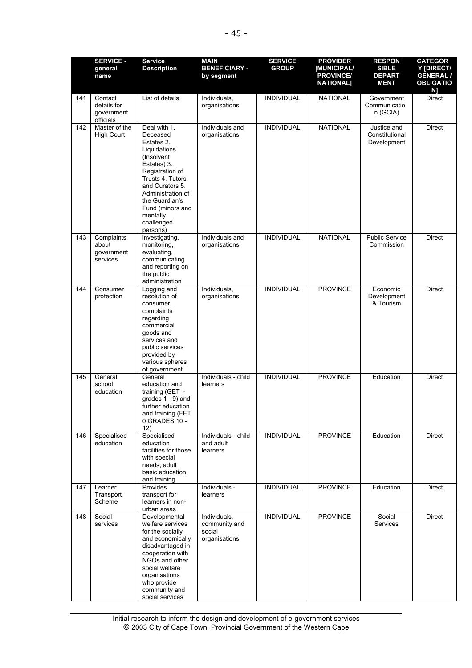|     | <b>SERVICE -</b>                                  | <b>Service</b>                                                                                                                                                                                                                                 | <b>MAIN</b>                                              | <b>SERVICE</b>    | <b>PROVIDER</b>                                            | <b>RESPON</b>                                | <b>CATEGOR</b>                                          |
|-----|---------------------------------------------------|------------------------------------------------------------------------------------------------------------------------------------------------------------------------------------------------------------------------------------------------|----------------------------------------------------------|-------------------|------------------------------------------------------------|----------------------------------------------|---------------------------------------------------------|
|     | general<br>name                                   | <b>Description</b>                                                                                                                                                                                                                             | <b>BENEFICIARY -</b><br>by segment                       | <b>GROUP</b>      | <b>IMUNICIPAL/</b><br><b>PROVINCE/</b><br><b>NATIONAL]</b> | <b>SIBLE</b><br><b>DEPART</b><br><b>MENT</b> | Y [DIRECT/<br><b>GENERAL/</b><br><b>OBLIGATIO</b><br>N] |
| 141 | Contact<br>details for<br>government<br>officials | List of details                                                                                                                                                                                                                                | Individuals,<br>organisations                            | <b>INDIVIDUAL</b> | <b>NATIONAL</b>                                            | Government<br>Communicatio<br>n (GCIA)       | <b>Direct</b>                                           |
| 142 | Master of the<br><b>High Court</b>                | Deal with 1.<br>Deceased<br>Estates 2.<br>Liquidations<br>(Insolvent<br>Estates) 3.<br>Registration of<br>Trusts 4. Tutors<br>and Curators 5.<br>Administration of<br>the Guardian's<br>Fund (minors and<br>mentally<br>challenged<br>persons) | Individuals and<br>organisations                         | <b>INDIVIDUAL</b> | <b>NATIONAL</b>                                            | Justice and<br>Constitutional<br>Development | <b>Direct</b>                                           |
| 143 | Complaints<br>about<br>government<br>services     | investigating,<br>monitoring,<br>evaluating,<br>communicating<br>and reporting on<br>the public<br>administration                                                                                                                              | Individuals and<br>organisations                         | <b>INDIVIDUAL</b> | <b>NATIONAL</b>                                            | <b>Public Service</b><br>Commission          | <b>Direct</b>                                           |
| 144 | Consumer<br>protection                            | Logging and<br>resolution of<br>consumer<br>complaints<br>regarding<br>commercial<br>goods and<br>services and<br>public services<br>provided by<br>various spheres<br>of government                                                           | Individuals,<br>organisations                            | <b>INDIVIDUAL</b> | <b>PROVINCE</b>                                            | Economic<br>Development<br>& Tourism         | <b>Direct</b>                                           |
| 145 | General<br>school<br>education                    | General<br>education and<br>training (GET -<br>grades 1 - 9) and<br>further education<br>and training (FET<br>0 GRADES 10 -<br>12)                                                                                                             | Individuals - child<br>learners                          | <b>INDIVIDUAL</b> | <b>PROVINCE</b>                                            | Education                                    | <b>Direct</b>                                           |
| 146 | Specialised<br>education                          | Specialised<br>education<br>facilities for those<br>with special<br>needs; adult<br>basic education<br>and training                                                                                                                            | Individuals - child<br>and adult<br>learners             | <b>INDIVIDUAL</b> | <b>PROVINCE</b>                                            | Education                                    | Direct                                                  |
| 147 | Learner<br>Transport<br>Scheme                    | Provides<br>transport for<br>learners in non-<br>urban areas                                                                                                                                                                                   | Individuals -<br>learners                                | <b>INDIVIDUAL</b> | <b>PROVINCE</b>                                            | Education                                    | <b>Direct</b>                                           |
| 148 | Social<br>services                                | Developmental<br>welfare services<br>for the socially<br>and economically<br>disadvantaged in<br>cooperation with<br>NGOs and other<br>social welfare<br>organisations<br>who provide<br>community and<br>social services                      | Individuals,<br>community and<br>social<br>organisations | <b>INDIVIDUAL</b> | <b>PROVINCE</b>                                            | Social<br>Services                           | Direct                                                  |

Initial research to inform the design and development of e-government services © 2003 City of Cape Town, Provincial Government of the Western Cape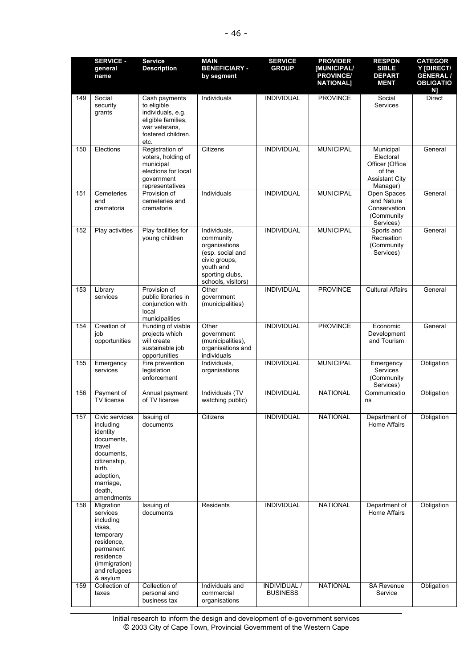|     | <b>SERVICE -</b><br>general<br>name                                                                                                                       | <b>Service</b><br><b>Description</b>                                                                                   | <b>MAIN</b><br><b>BENEFICIARY -</b><br>by segment                                                                                     | <b>SERVICE</b><br><b>GROUP</b>  | <b>PROVIDER</b><br>[MUNICIPAL/<br><b>PROVINCE/</b><br><b>NATIONAL]</b> | <b>RESPON</b><br><b>SIBLE</b><br><b>DEPART</b><br><b>MENT</b>                            | <b>CATEGOR</b><br>Y [DIRECT/<br><b>GENERAL /</b><br><b>OBLIGATIO</b><br>N] |
|-----|-----------------------------------------------------------------------------------------------------------------------------------------------------------|------------------------------------------------------------------------------------------------------------------------|---------------------------------------------------------------------------------------------------------------------------------------|---------------------------------|------------------------------------------------------------------------|------------------------------------------------------------------------------------------|----------------------------------------------------------------------------|
| 149 | Social<br>security<br>grants                                                                                                                              | Cash payments<br>to eligible<br>individuals, e.g.<br>eligible families,<br>war veterans,<br>fostered children.<br>etc. | Individuals                                                                                                                           | <b>INDIVIDUAL</b>               | <b>PROVINCE</b>                                                        | Social<br>Services                                                                       | Direct                                                                     |
| 150 | Elections                                                                                                                                                 | Registration of<br>voters, holding of<br>municipal<br>elections for local<br>government<br>representatives             | Citizens                                                                                                                              | <b>INDIVIDUAL</b>               | <b>MUNICIPAL</b>                                                       | Municipal<br>Electoral<br>Officer (Office<br>of the<br><b>Assistant City</b><br>Manager) | General                                                                    |
| 151 | Cemeteries<br>and<br>crematoria                                                                                                                           | Provision of<br>cemeteries and<br>crematoria                                                                           | Individuals                                                                                                                           | <b>INDIVIDUAL</b>               | <b>MUNICIPAL</b>                                                       | Open Spaces<br>and Nature<br>Conservation<br>(Community<br>Services)                     | General                                                                    |
| 152 | Play activities                                                                                                                                           | Play facilities for<br>young children                                                                                  | Individuals,<br>community<br>organisations<br>(esp. social and<br>civic groups,<br>youth and<br>sporting clubs,<br>schools, visitors) | <b>INDIVIDUAL</b>               | <b>MUNICIPAL</b>                                                       | Sports and<br>Recreation<br>(Community<br>Services)                                      | General                                                                    |
| 153 | Library<br>services                                                                                                                                       | Provision of<br>public libraries in<br>conjunction with<br>local<br>municipalities                                     | Other<br>government<br>(municipalities)                                                                                               | <b>INDIVIDUAL</b>               | <b>PROVINCE</b>                                                        | <b>Cultural Affairs</b>                                                                  | General                                                                    |
| 154 | Creation of<br>job<br>opportunities                                                                                                                       | Funding of viable<br>projects which<br>will create<br>sustainable job<br>opportunities                                 | Other<br>government<br>(municipalities),<br>organisations and<br>individuals                                                          | <b>INDIVIDUAL</b>               | <b>PROVINCE</b>                                                        | Economic<br>Development<br>and Tourism                                                   | General                                                                    |
| 155 | Emergency<br>services                                                                                                                                     | Fire prevention<br>legislation<br>enforcement                                                                          | Individuals.<br>organisations                                                                                                         | <b>INDIVIDUAL</b>               | <b>MUNICIPAL</b>                                                       | Emergency<br><b>Services</b><br>(Community<br>Services)                                  | Obligation                                                                 |
| 156 | Payment of<br>TV license                                                                                                                                  | Annual payment<br>of TV license                                                                                        | Individuals (TV<br>watching public)                                                                                                   | <b>INDIVIDUAL</b>               | <b>NATIONAL</b>                                                        | Communicatio<br>ns                                                                       | Obligation                                                                 |
| 157 | Civic services<br>including<br>identity<br>documents,<br>travel<br>documents,<br>citizenship,<br>birth,<br>adoption,<br>marriage,<br>death,<br>amendments | Issuing of<br>documents                                                                                                | Citizens                                                                                                                              | <b>INDIVIDUAL</b>               | <b>NATIONAL</b>                                                        | Department of<br>Home Affairs                                                            | Obligation                                                                 |
| 158 | Migration<br>services<br>including<br>visas,<br>temporary<br>residence,<br>permanent<br>residence<br>(immigration)<br>and refugees<br>& asylum            | Issuing of<br>documents                                                                                                | Residents                                                                                                                             | <b>INDIVIDUAL</b>               | <b>NATIONAL</b>                                                        | Department of<br>Home Affairs                                                            | Obligation                                                                 |
| 159 | Collection of<br>taxes                                                                                                                                    | Collection of<br>personal and<br>business tax                                                                          | Individuals and<br>commercial<br>organisations                                                                                        | INDIVIDUAL /<br><b>BUSINESS</b> | <b>NATIONAL</b>                                                        | <b>SA Revenue</b><br>Service                                                             | Obligation                                                                 |

Initial research to inform the design and development of e-government services © 2003 City of Cape Town, Provincial Government of the Western Cape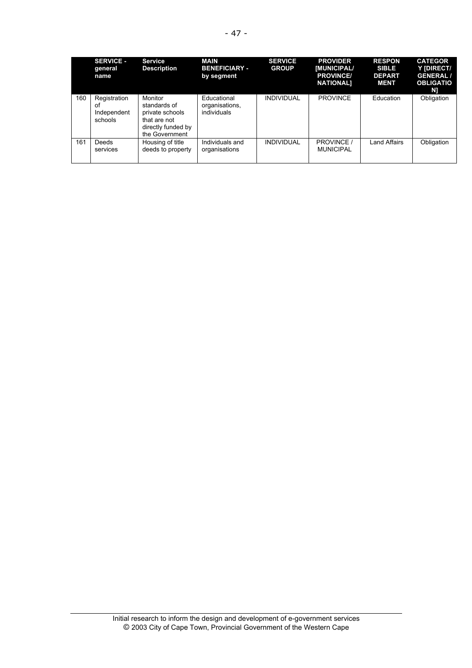|     | <b>SERVICE -</b><br>general<br>name          | <b>Service</b><br><b>Description</b>                                                               | MAIN<br><b>BENEFICIARY -</b><br>by segment   | <b>SERVICE</b><br><b>GROUP</b> | <b>PROVIDER</b><br><b>[MUNICIPAL/</b><br><b>PROVINCE/</b><br><b>NATIONAL1</b> | <b>RESPON</b><br><b>SIBLE</b><br><b>DEPART</b><br><b>MENT</b> | <b>CATEGOR</b><br>Y IDIRECT/<br><b>GENERAL/</b><br><b>OBLIGATIO</b><br>N) |
|-----|----------------------------------------------|----------------------------------------------------------------------------------------------------|----------------------------------------------|--------------------------------|-------------------------------------------------------------------------------|---------------------------------------------------------------|---------------------------------------------------------------------------|
| 160 | Registration<br>οf<br>Independent<br>schools | Monitor<br>standards of<br>private schools<br>that are not<br>directly funded by<br>the Government | Educational<br>organisations,<br>individuals | <b>INDIVIDUAL</b>              | <b>PROVINCE</b>                                                               | Education                                                     | Obligation                                                                |
| 161 | <b>Deeds</b><br>services                     | Housing of title<br>deeds to property                                                              | Individuals and<br>organisations             | <b>INDIVIDUAL</b>              | <b>PROVINCE</b><br><b>MUNICIPAL</b>                                           | Land Affairs                                                  | Obligation                                                                |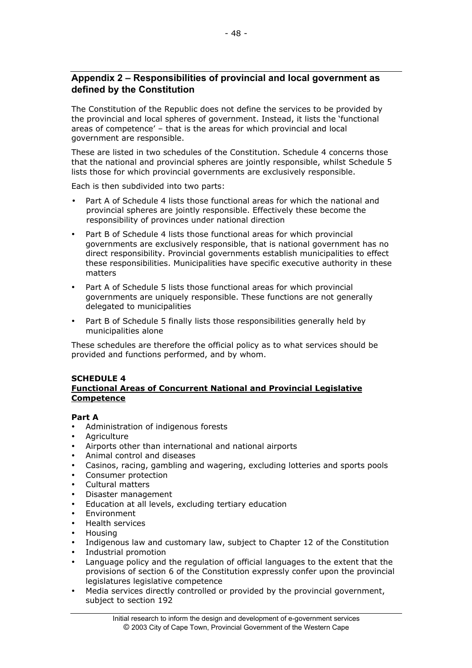# **Appendix 2 – Responsibilities of provincial and local government as defined by the Constitution**

The Constitution of the Republic does not define the services to be provided by the provincial and local spheres of government. Instead, it lists the 'functional areas of competence' – that is the areas for which provincial and local government are responsible.

These are listed in two schedules of the Constitution. Schedule 4 concerns those that the national and provincial spheres are jointly responsible, whilst Schedule 5 lists those for which provincial governments are exclusively responsible.

Each is then subdivided into two parts:

Part A of Schedule 4 lists those functional areas for which the national and provincial spheres are jointly responsible. Effectively these become the responsibility of provinces under national direction

Part B of Schedule 4 lists those functional areas for which provincial governments are exclusively responsible, that is national government has no direct responsibility. Provincial governments establish municipalities to effect these responsibilities. Municipalities have specific executive authority in these matters

Part A of Schedule 5 lists those functional areas for which provincial governments are uniquely responsible. These functions are not generally delegated to municipalities

Part B of Schedule 5 finally lists those responsibilities generally held by municipalities alone

These schedules are therefore the official policy as to what services should be provided and functions performed, and by whom.

#### **SCHEDULE 4 Functional Areas of Concurrent National and Provincial Legislative Competence**

#### **Part A**

Administration of indigenous forests **Agriculture** Airports other than international and national airports Animal control and diseases Casinos, racing, gambling and wagering, excluding lotteries and sports pools Consumer protection Cultural matters Disaster management Education at all levels, excluding tertiary education Environment Health services Housing Indigenous law and customary law, subject to Chapter 12 of the Constitution Industrial promotion Language policy and the regulation of official languages to the extent that the provisions of section 6 of the Constitution expressly confer upon the provincial legislatures legislative competence Media services directly controlled or provided by the provincial government, subject to section 192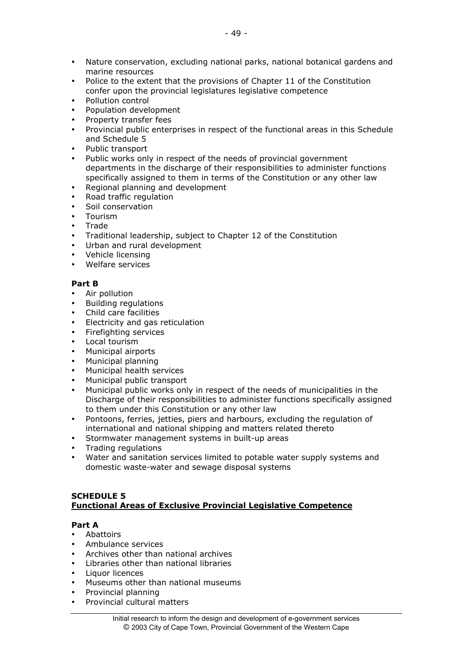Nature conservation, excluding national parks, national botanical gardens and marine resources Police to the extent that the provisions of Chapter 11 of the Constitution confer upon the provincial legislatures legislative competence Pollution control Population development Property transfer fees Provincial public enterprises in respect of the functional areas in this Schedule and Schedule 5 Public transport Public works only in respect of the needs of provincial government departments in the discharge of their responsibilities to administer functions specifically assigned to them in terms of the Constitution or any other law Regional planning and development Road traffic regulation Soil conservation Tourism Trade Traditional leadership, subject to Chapter 12 of the Constitution Urban and rural development Vehicle licensing Welfare services

#### **Part B**

Air pollution Building regulations Child care facilities Electricity and gas reticulation Firefighting services Local tourism Municipal airports Municipal planning Municipal health services Municipal public transport Municipal public works only in respect of the needs of municipalities in the Discharge of their responsibilities to administer functions specifically assigned to them under this Constitution or any other law Pontoons, ferries, jetties, piers and harbours, excluding the regulation of international and national shipping and matters related thereto Stormwater management systems in built-up areas Trading regulations Water and sanitation services limited to potable water supply systems and domestic waste-water and sewage disposal systems

### **SCHEDULE 5 Functional Areas of Exclusive Provincial Legislative Competence**

#### **Part A**

Abattoirs Ambulance services Archives other than national archives Libraries other than national libraries Liquor licences Museums other than national museums Provincial planning Provincial cultural matters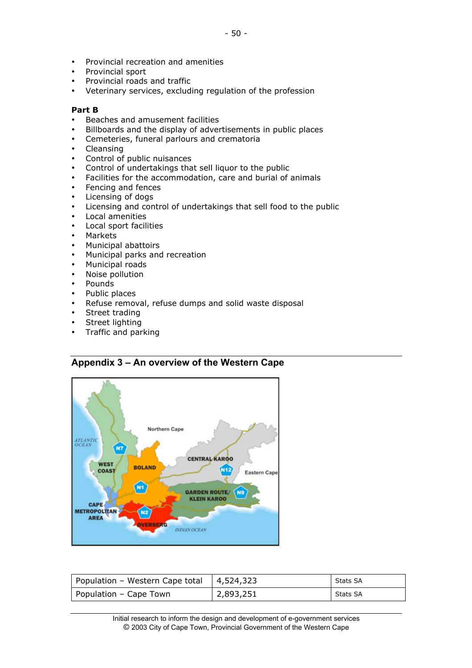Provincial recreation and amenities Provincial sport Provincial roads and traffic Veterinary services, excluding regulation of the profession

#### **Part B**

Beaches and amusement facilities Billboards and the display of advertisements in public places Cemeteries, funeral parlours and crematoria Cleansing Control of public nuisances Control of undertakings that sell liquor to the public Facilities for the accommodation, care and burial of animals Fencing and fences Licensing of dogs Licensing and control of undertakings that sell food to the public Local amenities Local sport facilities Markets Municipal abattoirs Municipal parks and recreation Municipal roads Noise pollution Pounds Public places Refuse removal, refuse dumps and solid waste disposal Street trading Street lighting Traffic and parking

#### Northern Cape **ATLANTIC** N7 **CENTRAL KAROO** WEST **BOLAND N12** COAST Eastern Cape N<sub>1</sub> **GARDEN ROUTE/ N9 KLEIN KAROO** CAPE **METROPOLITAN**  $N2$ **AREA OVERBERG INDIAN OCEAN**

| Population - Western Cape total | 4,524,323 | Stats SA |
|---------------------------------|-----------|----------|
| Population – Cape Town          | 2,893,251 | Stats SA |

Initial research to inform the design and development of e-government services © 2003 City of Cape Town, Provincial Government of the Western Cape

# **Appendix 3 – An overview of the Western Cape**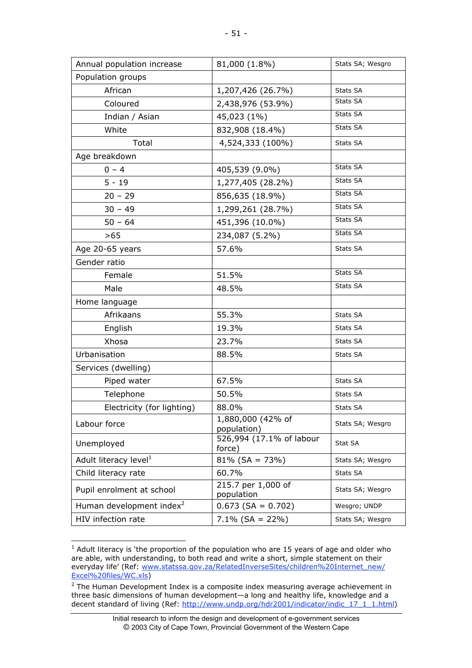| Annual population increase           | 81,000 (1.8%)                      | Stats SA; Wesgro |
|--------------------------------------|------------------------------------|------------------|
| Population groups                    |                                    |                  |
| African                              | 1,207,426 (26.7%)                  | Stats SA         |
| Coloured                             | 2,438,976 (53.9%)                  | Stats SA         |
| Indian / Asian                       | 45,023 (1%)                        | Stats SA         |
| White                                | 832,908 (18.4%)                    | Stats SA         |
| Total                                | 4,524,333 (100%)                   | Stats SA         |
| Age breakdown                        |                                    |                  |
| $0 - 4$                              | 405,539 (9.0%)                     | Stats SA         |
| $5 - 19$                             | 1,277,405 (28.2%)                  | Stats SA         |
| $20 - 29$                            | 856,635 (18.9%)                    | Stats SA         |
| $30 - 49$                            | 1,299,261 (28.7%)                  | Stats SA         |
| $50 - 64$                            | 451,396 (10.0%)                    | Stats SA         |
| >65                                  | 234,087 (5.2%)                     | Stats SA         |
| Age 20-65 years                      | 57.6%                              | Stats SA         |
| Gender ratio                         |                                    |                  |
| Female                               | 51.5%                              | Stats SA         |
| Male                                 | 48.5%                              | Stats SA         |
| Home language                        |                                    |                  |
| Afrikaans                            | 55.3%                              | Stats SA         |
| English                              | 19.3%                              | Stats SA         |
| Xhosa                                | 23.7%                              | Stats SA         |
| Urbanisation                         | 88.5%                              | Stats SA         |
| Services (dwelling)                  |                                    |                  |
| Piped water                          | 67.5%                              | Stats SA         |
| Telephone                            | 50.5%                              | Stats SA         |
| Electricity (for lighting)           | 88.0%                              | Stats SA         |
| Labour force                         | 1,880,000 (42% of<br>population)   | Stats SA; Wesgro |
| Unemployed                           | 526,994 (17.1% of labour<br>force) | Stat SA          |
| Adult literacy level <sup>1</sup>    | $81\%$ (SA = 73%)                  | Stats SA; Wesgro |
| Child literacy rate                  | 60.7%                              | Stats SA         |
| Pupil enrolment at school            | 215.7 per 1,000 of<br>population   | Stats SA; Wesgro |
| Human development index <sup>2</sup> | $0.673$ (SA = 0.702)               | Wesgro; UNDP     |
| HIV infection rate                   | $7.1\%$ (SA = 22%)                 | Stats SA; Wesgro |

 <sup>1</sup> Adult literacy is 'the proportion of the population who are 15 years of age and older who are able, with understanding, to both read and write a short, simple statement on their everyday life' (Ref: www.statssa.gov.za/RelatedInverseSites/children%20Internet\_new/ Excel%20files/WC.xls)

 $2$  The Human Development Index is a composite index measuring average achievement in three basic dimensions of human development—a long and healthy life, knowledge and a decent standard of living (Ref: http://www.undp.org/hdr2001/indicator/indic\_17\_1\_1.html)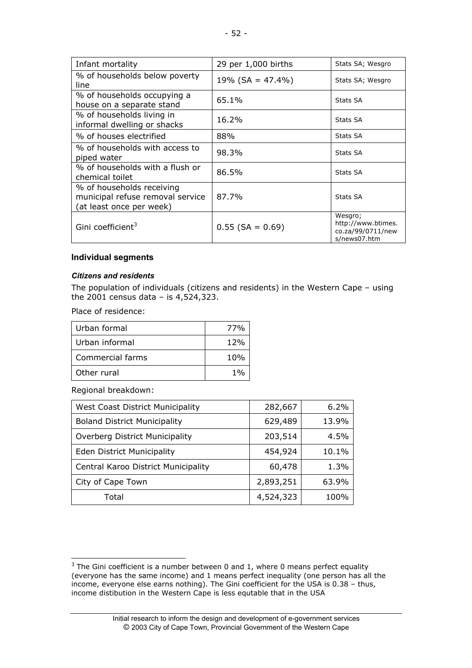| Infant mortality                                                                          | 29 per 1,000 births  | Stats SA; Wesgro                                                   |
|-------------------------------------------------------------------------------------------|----------------------|--------------------------------------------------------------------|
| % of households below poverty<br>line                                                     | 19% (SA = $47.4\%$ ) | Stats SA; Wesgro                                                   |
| % of households occupying a<br>house on a separate stand                                  | 65.1%                | Stats SA                                                           |
| % of households living in<br>informal dwelling or shacks                                  | 16.2%                | Stats SA                                                           |
| % of houses electrified                                                                   | 88%                  | Stats SA                                                           |
| % of households with access to<br>piped water                                             | 98.3%                | Stats SA                                                           |
| % of households with a flush or<br>chemical toilet                                        | 86.5%                | Stats SA                                                           |
| % of households receiving<br>municipal refuse removal service<br>(at least once per week) | 87.7%                | Stats SA                                                           |
| Gini coefficient <sup>3</sup>                                                             | $0.55$ (SA = 0.69)   | Wesgro;<br>http://www.btimes.<br>co.za/99/0711/new<br>s/news07.htm |

# **Individual segments**

#### *Citizens and residents*

The population of individuals (citizens and residents) in the Western Cape – using the 2001 census data - is  $4,524,323$ .

Place of residence:

| Urban formal     | 77%             |
|------------------|-----------------|
| Urban informal   | 12%             |
| Commercial farms | 10%             |
| Other rural      | 10 <sub>0</sub> |

Regional breakdown:

| <b>West Coast District Municipality</b> | 282,667   | $6.2\%$ |
|-----------------------------------------|-----------|---------|
| <b>Boland District Municipality</b>     | 629,489   | 13.9%   |
| Overberg District Municipality          | 203,514   | 4.5%    |
| <b>Eden District Municipality</b>       | 454,924   | 10.1%   |
| Central Karoo District Municipality     | 60,478    | 1.3%    |
| City of Cape Town                       | 2,893,251 | 63.9%   |
| Total                                   | 4,524,323 | 100%    |

 $\overline{3}$  The Gini coefficient is a number between 0 and 1, where 0 means perfect equality (everyone has the same income) and 1 means perfect inequality (one person has all the income, everyone else earns nothing). The Gini coefficient for the USA is 0.38 – thus, income distibution in the Western Cape is less equtable that in the USA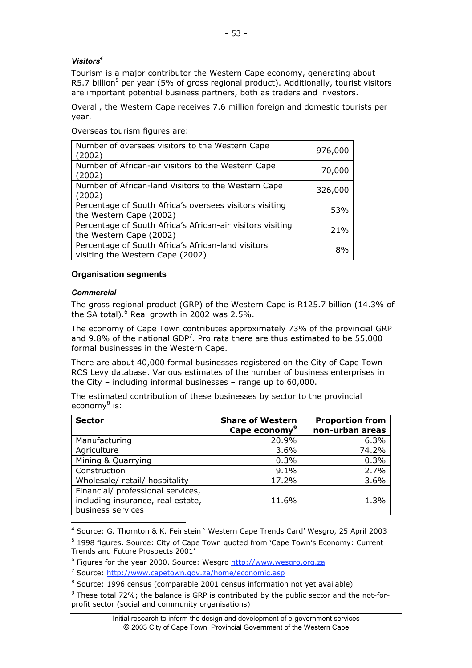# *Visitors4*

Tourism is a major contributor the Western Cape economy, generating about R5.7 billion<sup>5</sup> per year (5% of gross regional product). Additionally, tourist visitors are important potential business partners, both as traders and investors.

Overall, the Western Cape receives 7.6 million foreign and domestic tourists per year.

Overseas tourism figures are:

| Number of oversees visitors to the Western Cape<br>(2002)                              | 976,000 |
|----------------------------------------------------------------------------------------|---------|
| Number of African-air visitors to the Western Cape<br>(2002)                           | 70,000  |
| Number of African-land Visitors to the Western Cape<br>(2002)                          | 326,000 |
| Percentage of South Africa's oversees visitors visiting<br>the Western Cape (2002)     | 53%     |
| Percentage of South Africa's African-air visitors visiting<br>the Western Cape (2002)  | 21%     |
| Percentage of South Africa's African-land visitors<br>visiting the Western Cape (2002) | 8%      |

# **Organisation segments**

#### *Commercial*

The gross regional product (GRP) of the Western Cape is R125.7 billion (14.3% of the SA total). $6$  Real growth in 2002 was 2.5%.

The economy of Cape Town contributes approximately 73% of the provincial GRP and 9.8% of the national GDP<sup>7</sup>. Pro rata there are thus estimated to be 55,000 formal businesses in the Western Cape.

There are about 40,000 formal businesses registered on the City of Cape Town RCS Levy database. Various estimates of the number of business enterprises in the City – including informal businesses – range up to 60,000.

The estimated contribution of these businesses by sector to the provincial economy<sup>8</sup> is:

| <b>Sector</b>                                                                               | <b>Share of Western</b><br>Cape economy <sup>9</sup> | <b>Proportion from</b><br>non-urban areas |
|---------------------------------------------------------------------------------------------|------------------------------------------------------|-------------------------------------------|
| Manufacturing                                                                               | 20.9%                                                | 6.3%                                      |
| Agriculture                                                                                 | 3.6%                                                 | 74.2%                                     |
| Mining & Quarrying                                                                          | 0.3%                                                 | 0.3%                                      |
| Construction                                                                                | 9.1%                                                 | 2.7%                                      |
| Wholesale/retail/hospitality                                                                | 17.2%                                                | 3.6%                                      |
| Financial/ professional services,<br>including insurance, real estate,<br>business services | 11.6%                                                | 1.3%                                      |

 <sup>4</sup> Source: G. Thornton & K. Feinstein ' Western Cape Trends Card' Wesgro, 25 April 2003

<sup>&</sup>lt;sup>5</sup> 1998 figures. Source: City of Cape Town quoted from 'Cape Town's Economy: Current Trends and Future Prospects 2001'

<sup>&</sup>lt;sup>6</sup> Figures for the year 2000. Source: Wesgro http://www.wesgro.org.za

<sup>&</sup>lt;sup>7</sup> Source: http://www.capetown.gov.za/home/economic.asp

<sup>&</sup>lt;sup>8</sup> Source: 1996 census (comparable 2001 census information not yet available)

 $9$  These total 72%; the balance is GRP is contributed by the public sector and the not-forprofit sector (social and community organisations)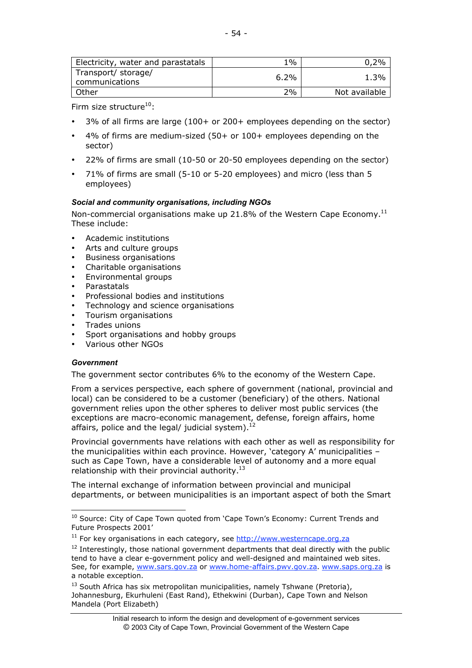| Electricity, water and parastatals    | $1\%$ | 2%            |
|---------------------------------------|-------|---------------|
| Transport/ storage/<br>communications | 6.2%  | 1.3%          |
| Other                                 | 2%    | Not available |

Firm size structure $^{10}$ :

3% of all firms are large (100+ or 200+ employees depending on the sector)

4% of firms are medium-sized (50+ or 100+ employees depending on the sector)

22% of firms are small (10-50 or 20-50 employees depending on the sector)

71% of firms are small (5-10 or 5-20 employees) and micro (less than 5 employees)

#### *Social and community organisations, including NGOs*

Non-commercial organisations make up 21.8% of the Western Cape Economy.<sup>11</sup> These include:

Academic institutions Arts and culture groups Business organisations Charitable organisations Environmental groups **Parastatals** Professional bodies and institutions Technology and science organisations Tourism organisations Trades unions Sport organisations and hobby groups Various other NGOs

#### *Government*

The government sector contributes 6% to the economy of the Western Cape.

From a services perspective, each sphere of government (national, provincial and local) can be considered to be a customer (beneficiary) of the others. National government relies upon the other spheres to deliver most public services (the exceptions are macro-economic management, defense, foreign affairs, home affairs, police and the legal/ judicial system). $^{12}$ 

Provincial governments have relations with each other as well as responsibility for the municipalities within each province. However, 'category A' municipalities – such as Cape Town, have a considerable level of autonomy and a more equal relationship with their provincial authority. $^{13}$ 

The internal exchange of information between provincial and municipal departments, or between municipalities is an important aspect of both the Smart

<sup>10&</sup>lt;br>10 Source: City of Cape Town quoted from 'Cape Town's Economy: Current Trends and Future Prospects 2001'

<sup>&</sup>lt;sup>11</sup> For key organisations in each category, see http://www.westerncape.org.za

 $12$  Interestingly, those national government departments that deal directly with the public tend to have a clear e-government policy and well-designed and maintained web sites. See, for example, www.sars.gov.za or www.home-affairs.pwv.gov.za. www.saps.org.za is a notable exception.

 $^{13}$  South Africa has six metropolitan municipalities, namely Tshwane (Pretoria), Johannesburg, Ekurhuleni (East Rand), Ethekwini (Durban), Cape Town and Nelson Mandela (Port Elizabeth)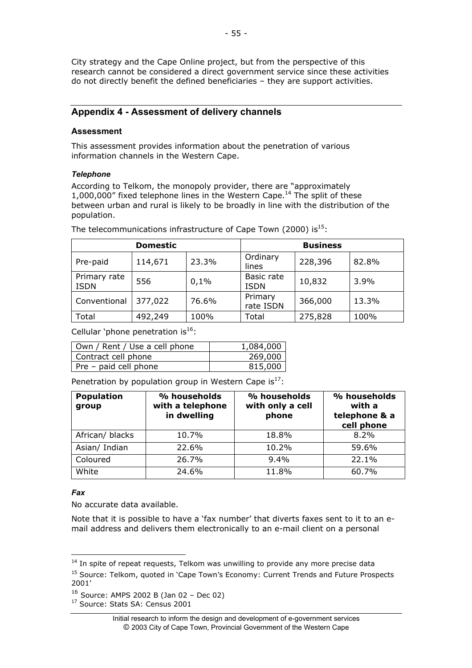City strategy and the Cape Online project, but from the perspective of this research cannot be considered a direct government service since these activities do not directly benefit the defined beneficiaries – they are support activities.

# **Appendix 4 - Assessment of delivery channels**

### **Assessment**

This assessment provides information about the penetration of various information channels in the Western Cape.

### *Telephone*

According to Telkom, the monopoly provider, there are "approximately 1,000,000" fixed telephone lines in the Western Cape.<sup>14</sup> The split of these between urban and rural is likely to be broadly in line with the distribution of the population.

|                             | <b>Domestic</b> |       | <b>Business</b>           |         |       |
|-----------------------------|-----------------|-------|---------------------------|---------|-------|
| Pre-paid                    | 114,671         | 23.3% | Ordinary<br>lines         | 228,396 | 82.8% |
| Primary rate<br><b>ISDN</b> | 556             | 0,1%  | Basic rate<br><b>ISDN</b> | 10,832  | 3.9%  |
| Conventional                | 377,022         | 76.6% | Primary<br>rate ISDN      | 366,000 | 13.3% |
| Total                       | 492,249         | 100%  | Total                     | 275,828 | 100%  |

The telecommunications infrastructure of Cape Town (2000) is $^{15}$ :

Cellular 'phone penetration is $^{16}$ :

| Own / Rent / Use a cell phone | 1,084,000 |
|-------------------------------|-----------|
| Contract cell phone           | 269,000   |
| Pre - paid cell phone         | 815,000   |

Penetration by population group in Western Cape is $^{17}$ :

| <b>Population</b><br>group | % households<br>with a telephone<br>in dwelling | % households<br>with only a cell<br>phone | % households<br>with a<br>telephone & a<br>cell phone |
|----------------------------|-------------------------------------------------|-------------------------------------------|-------------------------------------------------------|
| African/ blacks            | 10.7%                                           | 18.8%                                     | 8.2%                                                  |
| Asian/ Indian              | 22.6%                                           | 10.2%                                     | 59.6%                                                 |
| Coloured                   | 26.7%                                           | 9.4%                                      | 22.1%                                                 |
| White                      | 24.6%                                           | 11.8%                                     | 60.7%                                                 |

#### *Fax*

No accurate data available.

Note that it is possible to have a 'fax number' that diverts faxes sent to it to an email address and delivers them electronically to an e-mail client on a personal

<sup>17</sup> Source: Stats SA: Census 2001

 <sup>14</sup> In spite of repeat requests, Telkom was unwilling to provide any more precise data <sup>15</sup> Source: Telkom, quoted in 'Cape Town's Economy: Current Trends and Future Prospects 2001'

<sup>16</sup> Source: AMPS 2002 B (Jan 02 – Dec 02)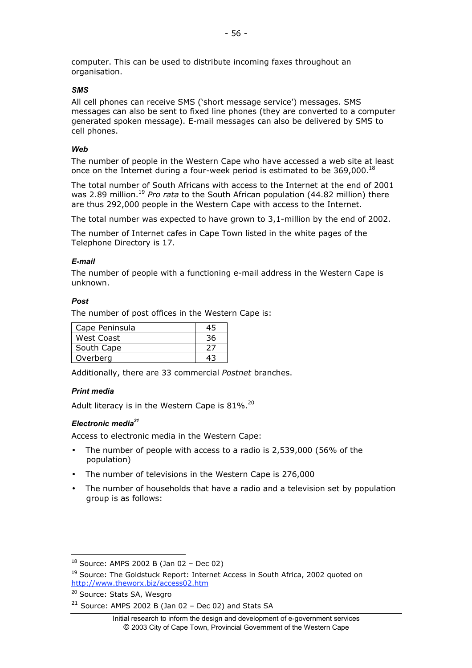computer. This can be used to distribute incoming faxes throughout an organisation.

#### *SMS*

All cell phones can receive SMS ('short message service') messages. SMS messages can also be sent to fixed line phones (they are converted to a computer generated spoken message). E-mail messages can also be delivered by SMS to cell phones.

#### *Web*

The number of people in the Western Cape who have accessed a web site at least once on the Internet during a four-week period is estimated to be 369,000.18

The total number of South Africans with access to the Internet at the end of 2001 was 2.89 million.<sup>19</sup> *Pro rata* to the South African population (44.82 million) there are thus 292,000 people in the Western Cape with access to the Internet.

The total number was expected to have grown to 3,1-million by the end of 2002.

The number of Internet cafes in Cape Town listed in the white pages of the Telephone Directory is 17.

### *E-mail*

The number of people with a functioning e-mail address in the Western Cape is unknown.

#### *Post*

The number of post offices in the Western Cape is:

| Cape Peninsula |  |
|----------------|--|
| West Coast     |  |
| South Cape     |  |
| Overberg       |  |

Additionally, there are 33 commercial *Postnet* branches.

# *Print media*

Adult literacy is in the Western Cape is 81%.<sup>20</sup>

#### *Electronic media21*

Access to electronic media in the Western Cape:

The number of people with access to a radio is 2,539,000 (56% of the population)

The number of televisions in the Western Cape is 276,000

The number of households that have a radio and a television set by population group is as follows:

 <sup>18</sup> Source: AMPS 2002 B (Jan 02 – Dec 02)

<sup>&</sup>lt;sup>19</sup> Source: The Goldstuck Report: Internet Access in South Africa, 2002 quoted on http://www.theworx.biz/access02.htm

<sup>&</sup>lt;sup>20</sup> Source: Stats SA, Wesgro

 $21$  Source: AMPS 2002 B (Jan 02 - Dec 02) and Stats SA

Initial research to inform the design and development of e-government services © 2003 City of Cape Town, Provincial Government of the Western Cape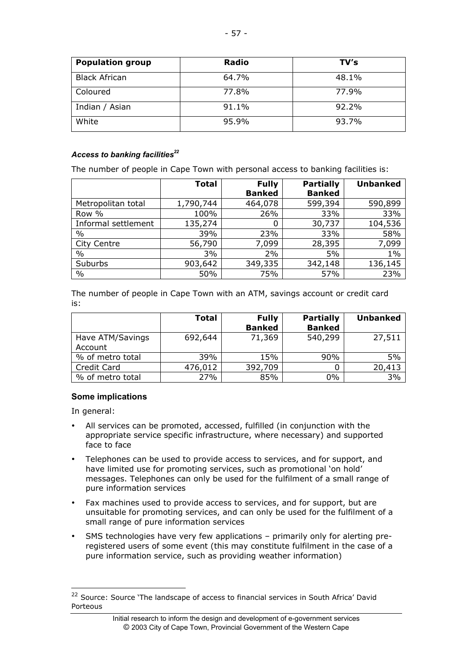| <b>Population group</b> | Radio | TV's  |
|-------------------------|-------|-------|
| <b>Black African</b>    | 64.7% | 48.1% |
| Coloured                | 77.8% | 77.9% |
| Indian / Asian          | 91.1% | 92.2% |
| White                   | 95.9% | 93.7% |

#### Access to banking facilities<sup>22</sup>

The number of people in Cape Town with personal access to banking facilities is:

|                     | <b>Total</b> | <b>Fully</b>  | <b>Partially</b> | <b>Unbanked</b> |
|---------------------|--------------|---------------|------------------|-----------------|
|                     |              | <b>Banked</b> | <b>Banked</b>    |                 |
| Metropolitan total  | 1,790,744    | 464,078       | 599,394          | 590,899         |
| Row %               | 100%         | 26%           | 33%              | 33%             |
| Informal settlement | 135,274      | 0             | 30,737           | 104,536         |
| $\%$                | 39%          | 23%           | 33%              | 58%             |
| City Centre         | 56,790       | 7,099         | 28,395           | 7,099           |
| $\%$                | 3%           | 2%            | 5%               | $1\%$           |
| Suburbs             | 903,642      | 349,335       | 342,148          | 136,145         |
| $\%$                | 50%          | 75%           | 57%              | 23%             |

The number of people in Cape Town with an ATM, savings account or credit card is:

|                             | <b>Total</b> | <b>Fully</b><br><b>Banked</b> | <b>Partially</b><br><b>Banked</b> | <b>Unbanked</b> |
|-----------------------------|--------------|-------------------------------|-----------------------------------|-----------------|
| Have ATM/Savings<br>Account | 692,644      | 71,369                        | 540,299                           | 27,511          |
| % of metro total            | 39%          | 15%                           | 90%                               | 5%              |
| Credit Card                 | 476,012      | 392,709                       |                                   | 20,413          |
| % of metro total            | 27%          | 85%                           | 0%                                | 3%              |

# **Some implications**

In general:

All services can be promoted, accessed, fulfilled (in conjunction with the appropriate service specific infrastructure, where necessary) and supported face to face

Telephones can be used to provide access to services, and for support, and have limited use for promoting services, such as promotional 'on hold' messages. Telephones can only be used for the fulfilment of a small range of pure information services

Fax machines used to provide access to services, and for support, but are unsuitable for promoting services, and can only be used for the fulfilment of a small range of pure information services

SMS technologies have very few applications – primarily only for alerting preregistered users of some event (this may constitute fulfilment in the case of a pure information service, such as providing weather information)

<sup>&</sup>lt;sup>22</sup> Source: Source 'The landscape of access to financial services in South Africa' David Porteous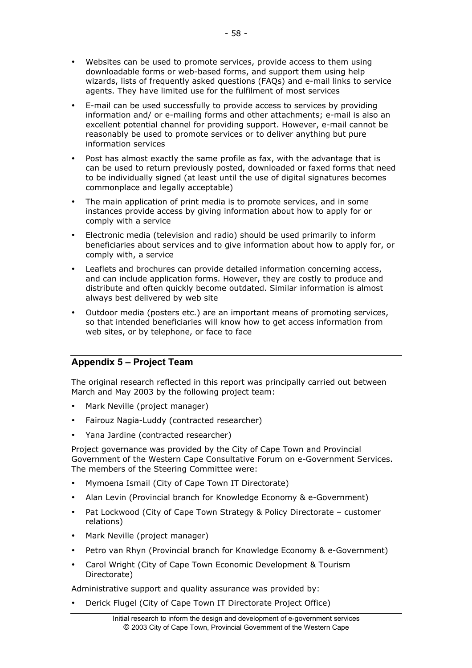Websites can be used to promote services, provide access to them using downloadable forms or web-based forms, and support them using help wizards, lists of frequently asked questions (FAQs) and e-mail links to service agents. They have limited use for the fulfilment of most services

E-mail can be used successfully to provide access to services by providing information and/ or e-mailing forms and other attachments; e-mail is also an excellent potential channel for providing support. However, e-mail cannot be reasonably be used to promote services or to deliver anything but pure information services

Post has almost exactly the same profile as fax, with the advantage that is can be used to return previously posted, downloaded or faxed forms that need to be individually signed (at least until the use of digital signatures becomes commonplace and legally acceptable)

The main application of print media is to promote services, and in some instances provide access by giving information about how to apply for or comply with a service

Electronic media (television and radio) should be used primarily to inform beneficiaries about services and to give information about how to apply for, or comply with, a service

Leaflets and brochures can provide detailed information concerning access, and can include application forms. However, they are costly to produce and distribute and often quickly become outdated. Similar information is almost always best delivered by web site

Outdoor media (posters etc.) are an important means of promoting services, so that intended beneficiaries will know how to get access information from web sites, or by telephone, or face to face

# **Appendix 5 – Project Team**

The original research reflected in this report was principally carried out between March and May 2003 by the following project team:

Mark Neville (project manager)

Fairouz Nagia-Luddy (contracted researcher)

Yana Jardine (contracted researcher)

Project governance was provided by the City of Cape Town and Provincial Government of the Western Cape Consultative Forum on e-Government Services. The members of the Steering Committee were:

Mymoena Ismail (City of Cape Town IT Directorate)

Alan Levin (Provincial branch for Knowledge Economy & e-Government)

Pat Lockwood (City of Cape Town Strategy & Policy Directorate – customer relations)

Mark Neville (project manager)

Petro van Rhyn (Provincial branch for Knowledge Economy & e-Government)

Carol Wright (City of Cape Town Economic Development & Tourism Directorate)

Administrative support and quality assurance was provided by:

Derick Flugel (City of Cape Town IT Directorate Project Office)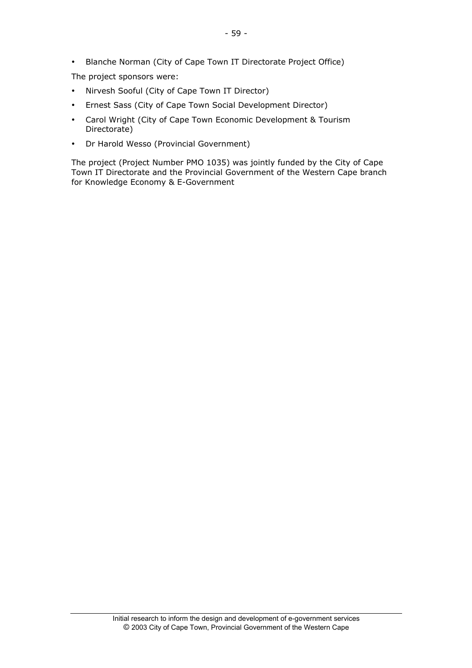Blanche Norman (City of Cape Town IT Directorate Project Office)

The project sponsors were:

Nirvesh Sooful (City of Cape Town IT Director)

Ernest Sass (City of Cape Town Social Development Director)

Carol Wright (City of Cape Town Economic Development & Tourism Directorate)

Dr Harold Wesso (Provincial Government)

The project (Project Number PMO 1035) was jointly funded by the City of Cape Town IT Directorate and the Provincial Government of the Western Cape branch for Knowledge Economy & E-Government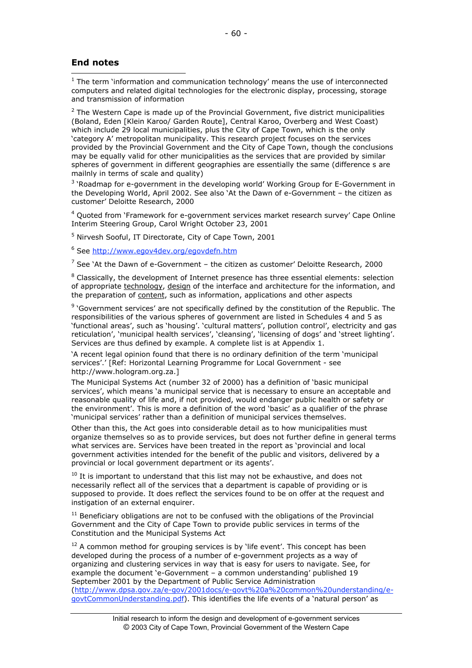### **End notes**

 1 The term 'information and communication technology' means the use of interconnected computers and related digital technologies for the electronic display, processing, storage and transmission of information

 $^2$  The Western Cape is made up of the Provincial Government, five district municipalities (Boland, Eden [Klein Karoo/ Garden Route], Central Karoo, Overberg and West Coast) which include 29 local municipalities, plus the City of Cape Town, which is the only 'category A' metropolitan municipality. This research project focuses on the services provided by the Provincial Government and the City of Cape Town, though the conclusions may be equally valid for other municipalities as the services that are provided by similar spheres of government in different geographies are essentially the same (difference s are mailnly in terms of scale and quality)

<sup>3</sup> 'Roadmap for e-government in the developing world' Working Group for E-Government in the Developing World, April 2002. See also 'At the Dawn of e-Government – the citizen as customer' Deloitte Research, 2000

<sup>4</sup> Quoted from `Framework for e-government services market research survey' Cape Online Interim Steering Group, Carol Wright October 23, 2001

<sup>5</sup> Nirvesh Sooful, IT Directorate, City of Cape Town, 2001

<sup>6</sup> See http://www.egov4dev.org/egovdefn.htm

 $^7$  See `At the Dawn of e-Government – the citizen as customer' Deloitte Research, 2000

 $^8$  Classically, the development of Internet presence has three essential elements: selection of appropriate technology, design of the interface and architecture for the information, and the preparation of content, such as information, applications and other aspects

<sup>9</sup> 'Government services' are not specifically defined by the constitution of the Republic. The responsibilities of the various spheres of government are listed in Schedules 4 and 5 as 'functional areas', such as 'housing'. 'cultural matters', pollution control', electricity and gas reticulation', 'municipal health services', 'cleansing', 'licensing of dogs' and 'street lighting'. Services are thus defined by example. A complete list is at Appendix 1.

'A recent legal opinion found that there is no ordinary definition of the term 'municipal services'.' [Ref: Horizontal Learning Programme for Local Government - see http://www.hologram.org.za.]

The Municipal Systems Act (number 32 of 2000) has a definition of 'basic municipal services', which means 'a municipal service that is necessary to ensure an acceptable and reasonable quality of life and, if not provided, would endanger public health or safety or the environment'. This is more a definition of the word 'basic' as a qualifier of the phrase 'municipal services' rather than a definition of municipal services themselves.

Other than this, the Act goes into considerable detail as to how municipalities must organize themselves so as to provide services, but does not further define in general terms what services are. Services have been treated in the report as 'provincial and local government activities intended for the benefit of the public and visitors, delivered by a provincial or local government department or its agents'.

 $^{10}$  It is important to understand that this list may not be exhaustive, and does not necessarily reflect all of the services that a department is capable of providing or is supposed to provide. It does reflect the services found to be on offer at the request and instigation of an external enquirer.

 $11$  Beneficiary obligations are not to be confused with the obligations of the Provincial Government and the City of Cape Town to provide public services in terms of the Constitution and the Municipal Systems Act

 $12$  A common method for grouping services is by 'life event'. This concept has been developed during the process of a number of e-government projects as a way of organizing and clustering services in way that is easy for users to navigate. See, for example the document 'e-Government – a common understanding' published 19 September 2001 by the Department of Public Service Administration (http://www.dpsa.gov.za/e-gov/2001docs/e-govt%20a%20common%20understanding/egovtCommonUnderstanding.pdf). This identifies the life events of a 'natural person' as